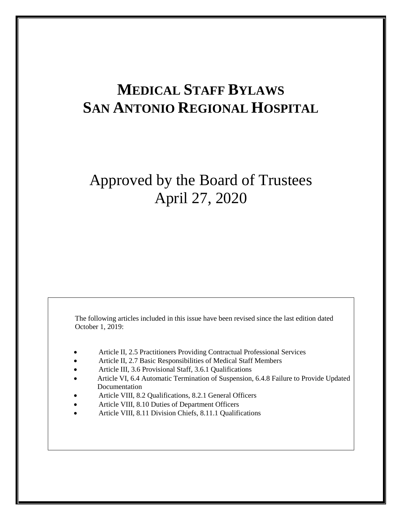# **MEDICAL STAFF BYLAWS SAN ANTONIO REGIONAL HOSPITAL**

# Approved by the Board of Trustees April 27, 2020

The following articles included in this issue have been revised since the last edition dated October 1, 2019:

- Article II, 2.5 Practitioners Providing Contractual Professional Services
- Article II, 2.7 Basic Responsibilities of Medical Staff Members
- Article III, 3.6 Provisional Staff, 3.6.1 Qualifications
- Article VI, 6.4 Automatic Termination of Suspension, 6.4.8 Failure to Provide Updated Documentation
- Article VIII, 8.2 Qualifications, 8.2.1 General Officers
- Article VIII, 8.10 Duties of Department Officers
- Article VIII, 8.11 Division Chiefs, 8.11.1 Qualifications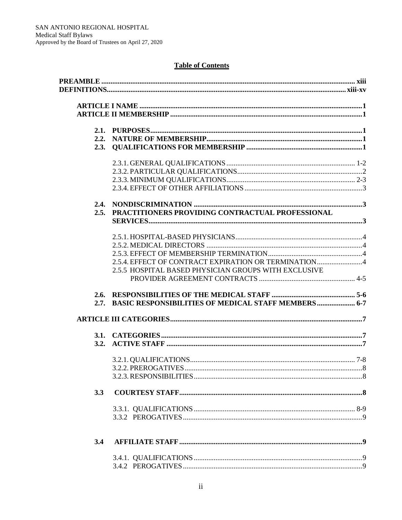# **Table of Contents**

|     | 2.5. PRACTITIONERS PROVIDING CONTRACTUAL PROFESSIONAL    |  |
|-----|----------------------------------------------------------|--|
|     |                                                          |  |
|     |                                                          |  |
|     |                                                          |  |
|     |                                                          |  |
|     | 2.5.4. EFFECT OF CONTRACT EXPIRATION OR TERMINATION4     |  |
|     | 2.5.5 HOSPITAL BASED PHYSICIAN GROUPS WITH EXCLUSIVE     |  |
|     |                                                          |  |
|     |                                                          |  |
|     | 2.7. BASIC RESPONSIBILITIES OF MEDICAL STAFF MEMBERS 6-7 |  |
|     |                                                          |  |
|     |                                                          |  |
|     |                                                          |  |
|     | 3.2.                                                     |  |
|     |                                                          |  |
|     |                                                          |  |
|     |                                                          |  |
| 3.3 |                                                          |  |
|     |                                                          |  |
|     |                                                          |  |
| 3.4 |                                                          |  |
|     |                                                          |  |
|     |                                                          |  |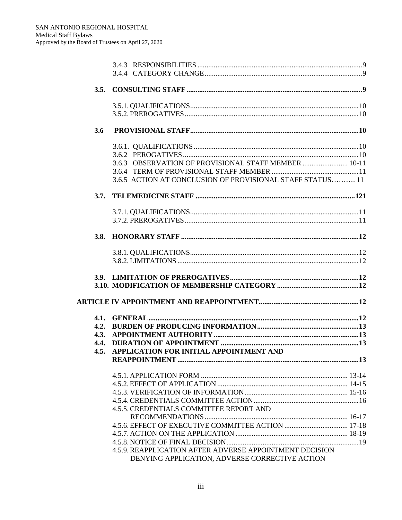| 3.5. |                                                           |  |
|------|-----------------------------------------------------------|--|
|      |                                                           |  |
|      |                                                           |  |
| 3.6  |                                                           |  |
|      |                                                           |  |
|      |                                                           |  |
|      | 3.6.3 OBSERVATION OF PROVISIONAL STAFF MEMBER  10-11      |  |
|      |                                                           |  |
|      | 3.6.5 ACTION AT CONCLUSION OF PROVISIONAL STAFF STATUS 11 |  |
| 3.7. |                                                           |  |
|      |                                                           |  |
|      |                                                           |  |
| 3.8. |                                                           |  |
|      |                                                           |  |
|      |                                                           |  |
|      |                                                           |  |
|      |                                                           |  |
|      |                                                           |  |
|      |                                                           |  |
| 4.1. |                                                           |  |
| 4.2. |                                                           |  |
| 4.3. |                                                           |  |
| 4.4. |                                                           |  |
| 4.5. | APPLICATION FOR INITIAL APPOINTMENT AND                   |  |
|      |                                                           |  |
|      |                                                           |  |
|      |                                                           |  |
|      |                                                           |  |
|      |                                                           |  |
|      | <b>4.5.5. CREDENTIALS COMMITTEE REPORT AND</b>            |  |
|      |                                                           |  |
|      |                                                           |  |
|      |                                                           |  |
|      |                                                           |  |
|      | 4.5.9. REAPPLICATION AFTER ADVERSE APPOINTMENT DECISION   |  |
|      | DENYING APPLICATION, ADVERSE CORRECTIVE ACTION            |  |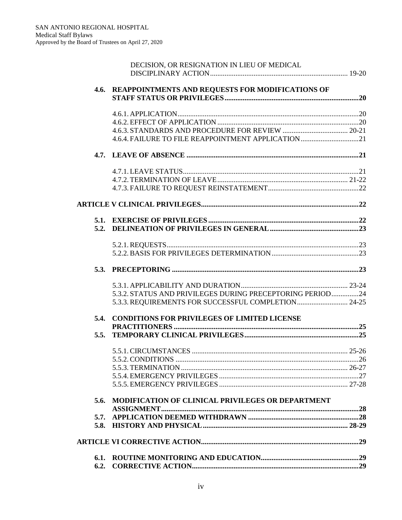| 5.6. | MODIFICATION OF CLINICAL PRIVILEGES OR DEPARTMENT         |  |
|------|-----------------------------------------------------------|--|
|      |                                                           |  |
|      |                                                           |  |
|      |                                                           |  |
|      |                                                           |  |
|      |                                                           |  |
| 5.5. |                                                           |  |
| 5.4. | <b>CONDITIONS FOR PRIVILEGES OF LIMITED LICENSE</b>       |  |
|      |                                                           |  |
|      | 5.3.3. REQUIREMENTS FOR SUCCESSFUL COMPLETION 24-25       |  |
|      | 5.3.2. STATUS AND PRIVILEGES DURING PRECEPTORING PERIOD24 |  |
|      |                                                           |  |
|      |                                                           |  |
|      |                                                           |  |
|      |                                                           |  |
|      |                                                           |  |
|      |                                                           |  |
|      |                                                           |  |
|      |                                                           |  |
|      |                                                           |  |
|      |                                                           |  |
|      | 4.6.4. FAILURE TO FILE REAPPOINTMENT APPLICATION21        |  |
|      |                                                           |  |
|      |                                                           |  |
|      |                                                           |  |
|      | 4.6. REAPPOINTMENTS AND REQUESTS FOR MODIFICATIONS OF     |  |
|      |                                                           |  |
|      | DECISION, OR RESIGNATION IN LIEU OF MEDICAL               |  |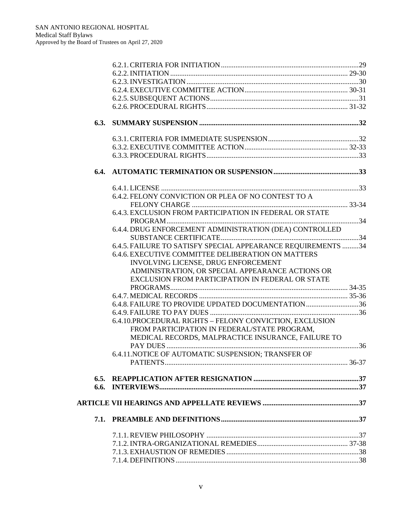| 6.4. |                                                                                                         |  |
|------|---------------------------------------------------------------------------------------------------------|--|
|      |                                                                                                         |  |
|      | 6.4.2. FELONY CONVICTION OR PLEA OF NO CONTEST TO A                                                     |  |
|      |                                                                                                         |  |
|      | 6.4.3. EXCLUSION FROM PARTICIPATION IN FEDERAL OR STATE                                                 |  |
|      |                                                                                                         |  |
|      | 6.4.4. DRUG ENFORCEMENT ADMINISTRATION (DEA) CONTROLLED                                                 |  |
|      | 6.4.5. FAILURE TO SATISFY SPECIAL APPEARANCE REQUIREMENTS 34                                            |  |
|      | 6.4.6. EXECUTIVE COMMITTEE DELIBERATION ON MATTERS                                                      |  |
|      | INVOLVING LICENSE, DRUG ENFORCEMENT                                                                     |  |
|      | ADMINISTRATION, OR SPECIAL APPEARANCE ACTIONS OR                                                        |  |
|      | EXCLUSION FROM PARTICIPATION IN FEDERAL OR STATE                                                        |  |
|      |                                                                                                         |  |
|      |                                                                                                         |  |
|      | 6.4.8. FAILURE TO PROVIDE UPDATED DOCUMENTATION36                                                       |  |
|      |                                                                                                         |  |
|      | 6.4.10.PROCEDURAL RIGHTS - FELONY CONVICTION, EXCLUSION<br>FROM PARTICIPATION IN FEDERAL/STATE PROGRAM, |  |
|      | MEDICAL RECORDS, MALPRACTICE INSURANCE, FAILURE TO                                                      |  |
|      |                                                                                                         |  |
|      | 6.4.11.NOTICE OF AUTOMATIC SUSPENSION: TRANSFER OF                                                      |  |
|      |                                                                                                         |  |
|      |                                                                                                         |  |
|      |                                                                                                         |  |
|      |                                                                                                         |  |
|      |                                                                                                         |  |
|      |                                                                                                         |  |
|      |                                                                                                         |  |
|      |                                                                                                         |  |
|      |                                                                                                         |  |
|      |                                                                                                         |  |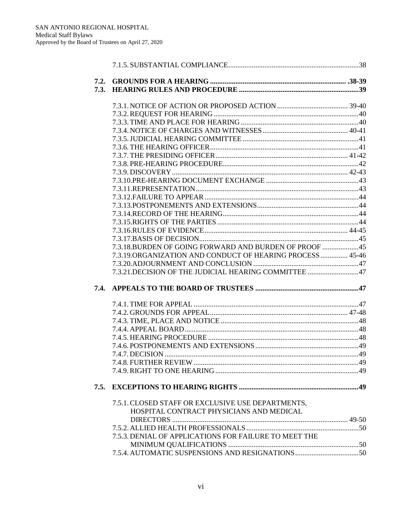| 7.2. |                                                           |  |
|------|-----------------------------------------------------------|--|
| 7.3. |                                                           |  |
|      |                                                           |  |
|      |                                                           |  |
|      |                                                           |  |
|      |                                                           |  |
|      |                                                           |  |
|      |                                                           |  |
|      |                                                           |  |
|      |                                                           |  |
|      |                                                           |  |
|      |                                                           |  |
|      |                                                           |  |
|      |                                                           |  |
|      |                                                           |  |
|      |                                                           |  |
|      |                                                           |  |
|      |                                                           |  |
|      |                                                           |  |
|      | 7.3.18. BURDEN OF GOING FORWARD AND BURDEN OF PROOF  45   |  |
|      | 7.3.19.ORGANIZATION AND CONDUCT OF HEARING PROCESS  45-46 |  |
|      |                                                           |  |
|      | 7.3.21. DECISION OF THE JUDICIAL HEARING COMMITTEE  47    |  |
|      |                                                           |  |
| 7.4. |                                                           |  |
|      |                                                           |  |
|      |                                                           |  |
|      |                                                           |  |
|      |                                                           |  |
|      |                                                           |  |
|      |                                                           |  |
|      |                                                           |  |
|      |                                                           |  |
|      |                                                           |  |
|      |                                                           |  |
| 7.5. |                                                           |  |
|      |                                                           |  |
|      | 7.5.1. CLOSED STAFF OR EXCLUSIVE USE DEPARTMENTS,         |  |
|      | HOSPITAL CONTRACT PHYSICIANS AND MEDICAL                  |  |
|      |                                                           |  |
|      |                                                           |  |
|      | 7.5.3. DENIAL OF APPLICATIONS FOR FAILURE TO MEET THE     |  |
|      |                                                           |  |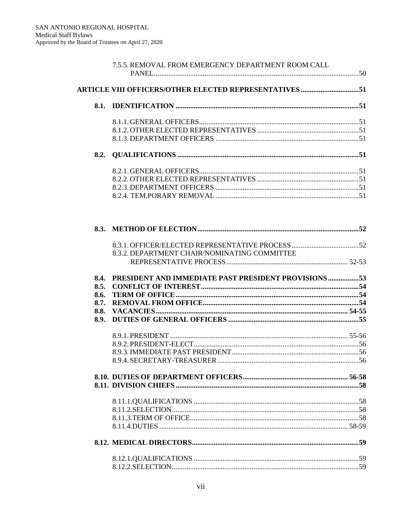|              | 7.5.5. REMOVAL FROM EMERGENCY DEPARTMENT ROOM CALL            |  |
|--------------|---------------------------------------------------------------|--|
|              |                                                               |  |
|              | <b>ARTICLE VIII OFFICERS/OTHER ELECTED REPRESENTATIVES 51</b> |  |
| 8.1.         |                                                               |  |
|              |                                                               |  |
|              |                                                               |  |
|              |                                                               |  |
| 8.2.         |                                                               |  |
|              |                                                               |  |
|              |                                                               |  |
|              |                                                               |  |
|              |                                                               |  |
|              |                                                               |  |
| 8.3.         |                                                               |  |
|              |                                                               |  |
|              | 8.3.2. DEPARTMENT CHAIR/NOMINATING COMMITTEE                  |  |
|              |                                                               |  |
|              |                                                               |  |
| 8.4.<br>8.5. | PRESIDENT AND IMMEDIATE PAST PRESIDENT PROVISIONS53           |  |
| 8.6.         |                                                               |  |
| 8.7.         |                                                               |  |
| 8.8.         |                                                               |  |
| 8.9.         |                                                               |  |
|              |                                                               |  |
|              |                                                               |  |
|              |                                                               |  |
|              |                                                               |  |
|              |                                                               |  |
|              |                                                               |  |
|              |                                                               |  |
|              |                                                               |  |
|              |                                                               |  |
|              |                                                               |  |
|              |                                                               |  |
|              |                                                               |  |
|              |                                                               |  |
|              |                                                               |  |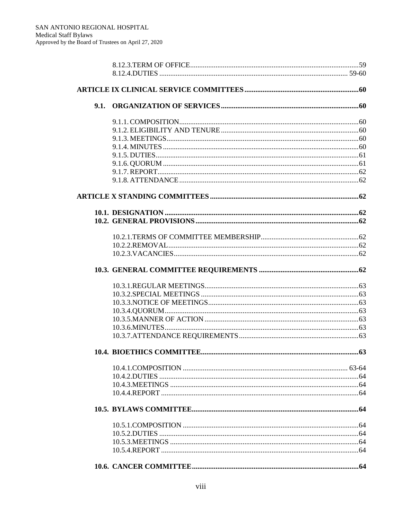| 9.1. |  |
|------|--|
|      |  |
|      |  |
|      |  |
|      |  |
|      |  |
|      |  |
|      |  |
|      |  |
|      |  |
|      |  |
|      |  |
|      |  |
|      |  |
|      |  |
|      |  |
|      |  |
|      |  |
|      |  |
|      |  |
|      |  |
|      |  |
|      |  |
|      |  |
|      |  |
|      |  |
|      |  |
|      |  |
|      |  |
|      |  |
|      |  |
|      |  |
|      |  |
|      |  |
|      |  |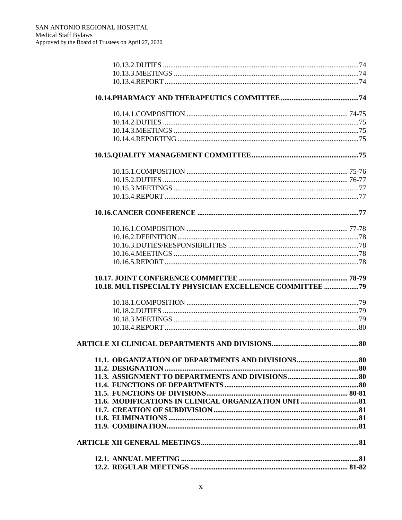| 10.18. MULTISPECIALTY PHYSICIAN EXCELLENCE COMMITTEE ? 9 |  |
|----------------------------------------------------------|--|
|                                                          |  |
|                                                          |  |
|                                                          |  |
|                                                          |  |
|                                                          |  |
|                                                          |  |
|                                                          |  |
|                                                          |  |
|                                                          |  |
|                                                          |  |
|                                                          |  |
|                                                          |  |
|                                                          |  |
|                                                          |  |
|                                                          |  |
|                                                          |  |
|                                                          |  |
|                                                          |  |
|                                                          |  |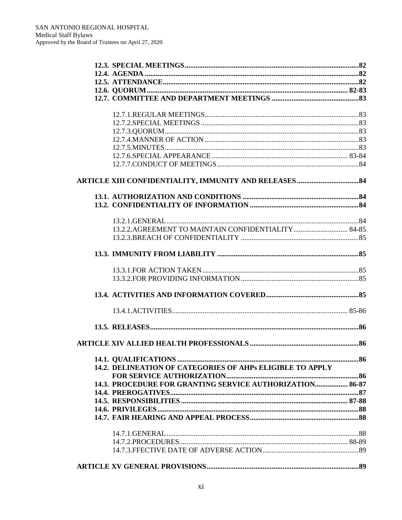| 14.2. DELINEATION OF CATEGORIES OF AHPs ELIGIBLE TO APPLY |
|-----------------------------------------------------------|
| 14.3. PROCEDURE FOR GRANTING SERVICE AUTHORIZATION 86-87  |
|                                                           |
|                                                           |
|                                                           |
|                                                           |
|                                                           |
|                                                           |
|                                                           |
|                                                           |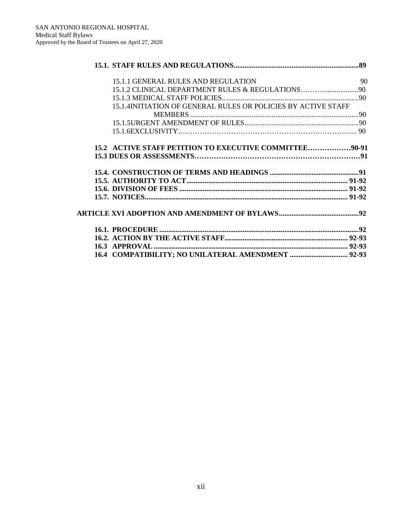| 15.1.1 GENERAL RULES AND REGULATION                           | 90 |
|---------------------------------------------------------------|----|
|                                                               |    |
|                                                               |    |
| 15.1.4INITIATION OF GENERAL RULES OR POLICIES BY ACTIVE STAFF |    |
|                                                               |    |
|                                                               |    |
|                                                               |    |
| 15.2 ACTIVE STAFF PETITION TO EXECUTIVE COMMITTEE90-91        |    |
|                                                               |    |
|                                                               |    |
|                                                               |    |
|                                                               |    |
|                                                               |    |
|                                                               |    |
|                                                               |    |
|                                                               |    |
|                                                               |    |
|                                                               |    |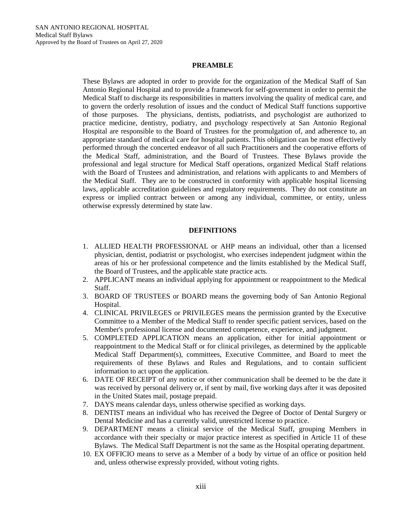## **PREAMBLE**

These Bylaws are adopted in order to provide for the organization of the Medical Staff of San Antonio Regional Hospital and to provide a framework for self-government in order to permit the Medical Staff to discharge its responsibilities in matters involving the quality of medical care, and to govern the orderly resolution of issues and the conduct of Medical Staff functions supportive of those purposes. The physicians, dentists, podiatrists, and psychologist are authorized to practice medicine, dentistry, podiatry, and psychology respectively at San Antonio Regional Hospital are responsible to the Board of Trustees for the promulgation of, and adherence to, an appropriate standard of medical care for hospital patients. This obligation can be most effectively performed through the concerted endeavor of all such Practitioners and the cooperative efforts of the Medical Staff, administration, and the Board of Trustees. These Bylaws provide the professional and legal structure for Medical Staff operations, organized Medical Staff relations with the Board of Trustees and administration, and relations with applicants to and Members of the Medical Staff. They are to be constructed in conformity with applicable hospital licensing laws, applicable accreditation guidelines and regulatory requirements. They do not constitute an express or implied contract between or among any individual, committee, or entity, unless otherwise expressly determined by state law.

## **DEFINITIONS**

- 1. ALLIED HEALTH PROFESSIONAL or AHP means an individual, other than a licensed physician, dentist, podiatrist or psychologist, who exercises independent judgment within the areas of his or her professional competence and the limits established by the Medical Staff, the Board of Trustees, and the applicable state practice acts.
- 2. APPLICANT means an individual applying for appointment or reappointment to the Medical Staff.
- 3. BOARD OF TRUSTEES or BOARD means the governing body of San Antonio Regional Hospital.
- 4. CLINICAL PRIVILEGES or PRIVILEGES means the permission granted by the Executive Committee to a Member of the Medical Staff to render specific patient services, based on the Member's professional license and documented competence, experience, and judgment.
- 5. COMPLETED APPLICATION means an application, either for initial appointment or reappointment to the Medical Staff or for clinical privileges, as determined by the applicable Medical Staff Department(s), committees, Executive Committee, and Board to meet the requirements of these Bylaws and Rules and Regulations, and to contain sufficient information to act upon the application.
- 6. DATE OF RECEIPT of any notice or other communication shall be deemed to be the date it was received by personal delivery or, if sent by mail, five working days after it was deposited in the United States mail, postage prepaid.
- 7. DAYS means calendar days, unless otherwise specified as working days.
- 8. DENTIST means an individual who has received the Degree of Doctor of Dental Surgery or Dental Medicine and has a currently valid, unrestricted license to practice.
- 9. DEPARTMENT means a clinical service of the Medical Staff, grouping Members in accordance with their specialty or major practice interest as specified in Article 11 of these Bylaws. The Medical Staff Department is not the same as the Hospital operating department.
- 10. EX OFFICIO means to serve as a Member of a body by virtue of an office or position held and, unless otherwise expressly provided, without voting rights.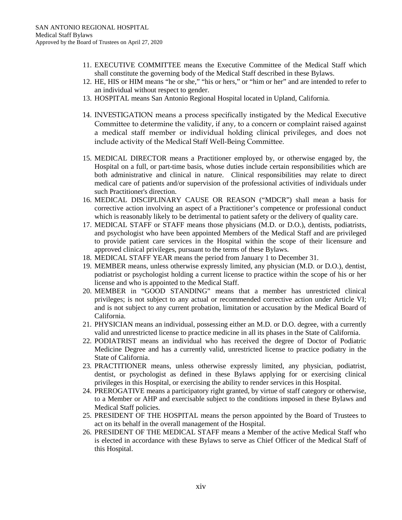- 11. EXECUTIVE COMMITTEE means the Executive Committee of the Medical Staff which shall constitute the governing body of the Medical Staff described in these Bylaws.
- 12. HE, HIS or HIM means "he or she," "his or hers," or "him or her" and are intended to refer to an individual without respect to gender.
- 13. HOSPITAL means San Antonio Regional Hospital located in Upland, California.
- 14. INVESTIGATION means a process specifically instigated by the Medical Executive Committee to determine the validity, if any, to a concern or complaint raised against a medical staff member or individual holding clinical privileges, and does not include activity of the Medical Staff Well-Being Committee.
- 15. MEDICAL DIRECTOR means a Practitioner employed by, or otherwise engaged by, the Hospital on a full, or part-time basis, whose duties include certain responsibilities which are both administrative and clinical in nature. Clinical responsibilities may relate to direct medical care of patients and/or supervision of the professional activities of individuals under such Practitioner's direction.
- 16. MEDICAL DISCIPLINARY CAUSE OR REASON ("MDCR") shall mean a basis for corrective action involving an aspect of a Practitioner's competence or professional conduct which is reasonably likely to be detrimental to patient safety or the delivery of quality care.
- 17. MEDICAL STAFF or STAFF means those physicians (M.D. or D.O.), dentists, podiatrists, and psychologist who have been appointed Members of the Medical Staff and are privileged to provide patient care services in the Hospital within the scope of their licensure and approved clinical privileges, pursuant to the terms of these Bylaws.
- 18. MEDICAL STAFF YEAR means the period from January 1 to December 31.
- 19. MEMBER means, unless otherwise expressly limited, any physician (M.D. or D.O.), dentist, podiatrist or psychologist holding a current license to practice within the scope of his or her license and who is appointed to the Medical Staff.
- 20. MEMBER in "GOOD STANDING" means that a member has unrestricted clinical privileges; is not subject to any actual or recommended corrective action under Article VI; and is not subject to any current probation, limitation or accusation by the Medical Board of California.
- 21. PHYSICIAN means an individual, possessing either an M.D. or D.O. degree, with a currently valid and unrestricted license to practice medicine in all its phases in the State of California.
- 22. PODIATRIST means an individual who has received the degree of Doctor of Podiatric Medicine Degree and has a currently valid, unrestricted license to practice podiatry in the State of California.
- 23. PRACTITIONER means, unless otherwise expressly limited, any physician, podiatrist, dentist, or psychologist as defined in these Bylaws applying for or exercising clinical privileges in this Hospital, or exercising the ability to render services in this Hospital.
- 24. PREROGATIVE means a participatory right granted, by virtue of staff category or otherwise, to a Member or AHP and exercisable subject to the conditions imposed in these Bylaws and Medical Staff policies.
- 25. PRESIDENT OF THE HOSPITAL means the person appointed by the Board of Trustees to act on its behalf in the overall management of the Hospital.
- 26. PRESIDENT OF THE MEDICAL STAFF means a Member of the active Medical Staff who is elected in accordance with these Bylaws to serve as Chief Officer of the Medical Staff of this Hospital.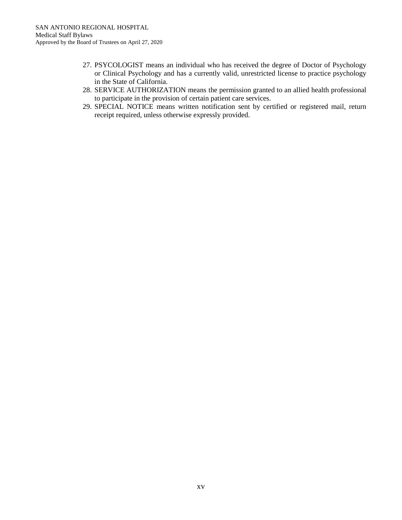- 27. PSYCOLOGIST means an individual who has received the degree of Doctor of Psychology or Clinical Psychology and has a currently valid, unrestricted license to practice psychology in the State of California.
- 28. SERVICE AUTHORIZATION means the permission granted to an allied health professional to participate in the provision of certain patient care services.
- 29. SPECIAL NOTICE means written notification sent by certified or registered mail, return receipt required, unless otherwise expressly provided.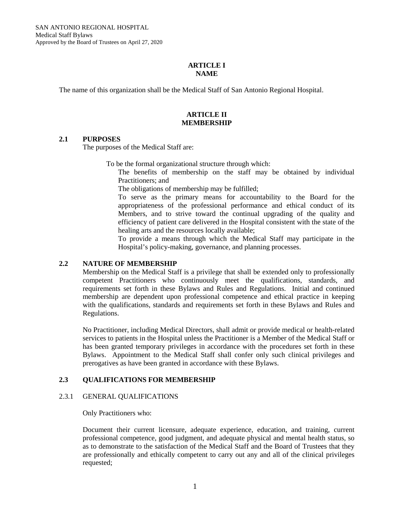## **ARTICLE I NAME**

The name of this organization shall be the Medical Staff of San Antonio Regional Hospital.

# **ARTICLE II MEMBERSHIP**

# **2.1 PURPOSES**

The purposes of the Medical Staff are:

To be the formal organizational structure through which:

The benefits of membership on the staff may be obtained by individual Practitioners; and

The obligations of membership may be fulfilled;

To serve as the primary means for accountability to the Board for the appropriateness of the professional performance and ethical conduct of its Members, and to strive toward the continual upgrading of the quality and efficiency of patient care delivered in the Hospital consistent with the state of the healing arts and the resources locally available;

To provide a means through which the Medical Staff may participate in the Hospital's policy-making, governance, and planning processes.

# **2.2 NATURE OF MEMBERSHIP**

Membership on the Medical Staff is a privilege that shall be extended only to professionally competent Practitioners who continuously meet the qualifications, standards, and requirements set forth in these Bylaws and Rules and Regulations. Initial and continued membership are dependent upon professional competence and ethical practice in keeping with the qualifications, standards and requirements set forth in these Bylaws and Rules and Regulations.

No Practitioner, including Medical Directors, shall admit or provide medical or health-related services to patients in the Hospital unless the Practitioner is a Member of the Medical Staff or has been granted temporary privileges in accordance with the procedures set forth in these Bylaws. Appointment to the Medical Staff shall confer only such clinical privileges and prerogatives as have been granted in accordance with these Bylaws.

# **2.3 QUALIFICATIONS FOR MEMBERSHIP**

#### 2.3.1 GENERAL QUALIFICATIONS

Only Practitioners who:

Document their current licensure, adequate experience, education, and training, current professional competence, good judgment, and adequate physical and mental health status, so as to demonstrate to the satisfaction of the Medical Staff and the Board of Trustees that they are professionally and ethically competent to carry out any and all of the clinical privileges requested;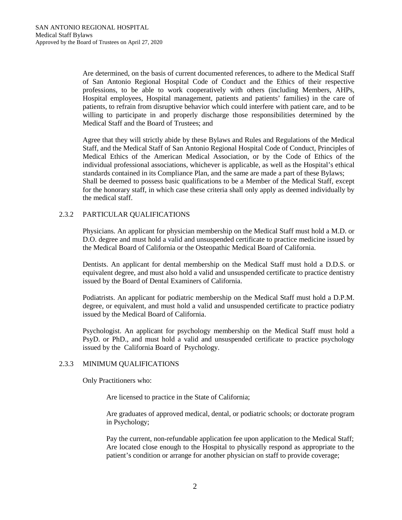Are determined, on the basis of current documented references, to adhere to the Medical Staff of San Antonio Regional Hospital Code of Conduct and the Ethics of their respective professions, to be able to work cooperatively with others (including Members, AHPs, Hospital employees, Hospital management, patients and patients' families) in the care of patients, to refrain from disruptive behavior which could interfere with patient care, and to be willing to participate in and properly discharge those responsibilities determined by the Medical Staff and the Board of Trustees; and

Agree that they will strictly abide by these Bylaws and Rules and Regulations of the Medical Staff, and the Medical Staff of San Antonio Regional Hospital Code of Conduct, Principles of Medical Ethics of the American Medical Association, or by the Code of Ethics of the individual professional associations, whichever is applicable, as well as the Hospital's ethical standards contained in its Compliance Plan, and the same are made a part of these Bylaws; Shall be deemed to possess basic qualifications to be a Member of the Medical Staff, except for the honorary staff, in which case these criteria shall only apply as deemed individually by the medical staff.

# 2.3.2 PARTICULAR QUALIFICATIONS

Physicians. An applicant for physician membership on the Medical Staff must hold a M.D. or D.O. degree and must hold a valid and unsuspended certificate to practice medicine issued by the Medical Board of California or the Osteopathic Medical Board of California.

Dentists. An applicant for dental membership on the Medical Staff must hold a D.D.S. or equivalent degree, and must also hold a valid and unsuspended certificate to practice dentistry issued by the Board of Dental Examiners of California.

Podiatrists. An applicant for podiatric membership on the Medical Staff must hold a D.P.M. degree, or equivalent, and must hold a valid and unsuspended certificate to practice podiatry issued by the Medical Board of California.

Psychologist. An applicant for psychology membership on the Medical Staff must hold a PsyD. or PhD., and must hold a valid and unsuspended certificate to practice psychology issued by the California Board of Psychology.

# 2.3.3 MINIMUM QUALIFICATIONS

Only Practitioners who:

Are licensed to practice in the State of California;

Are graduates of approved medical, dental, or podiatric schools; or doctorate program in Psychology;

Pay the current, non-refundable application fee upon application to the Medical Staff; Are located close enough to the Hospital to physically respond as appropriate to the patient's condition or arrange for another physician on staff to provide coverage;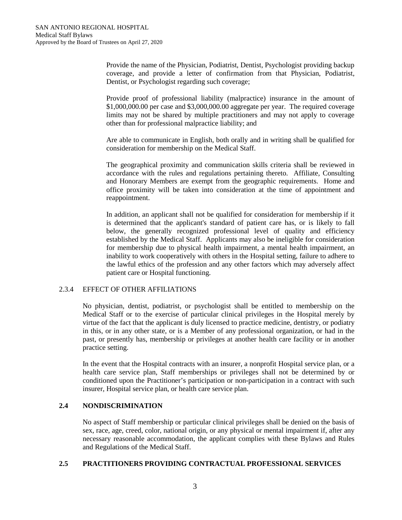Provide the name of the Physician, Podiatrist, Dentist, Psychologist providing backup coverage, and provide a letter of confirmation from that Physician, Podiatrist, Dentist, or Psychologist regarding such coverage;

Provide proof of professional liability (malpractice) insurance in the amount of \$1,000,000.00 per case and \$3,000,000.00 aggregate per year. The required coverage limits may not be shared by multiple practitioners and may not apply to coverage other than for professional malpractice liability; and

Are able to communicate in English, both orally and in writing shall be qualified for consideration for membership on the Medical Staff.

The geographical proximity and communication skills criteria shall be reviewed in accordance with the rules and regulations pertaining thereto. Affiliate, Consulting and Honorary Members are exempt from the geographic requirements. Home and office proximity will be taken into consideration at the time of appointment and reappointment.

In addition, an applicant shall not be qualified for consideration for membership if it is determined that the applicant's standard of patient care has, or is likely to fall below, the generally recognized professional level of quality and efficiency established by the Medical Staff. Applicants may also be ineligible for consideration for membership due to physical health impairment, a mental health impairment, an inability to work cooperatively with others in the Hospital setting, failure to adhere to the lawful ethics of the profession and any other factors which may adversely affect patient care or Hospital functioning.

# 2.3.4 EFFECT OF OTHER AFFILIATIONS

No physician, dentist, podiatrist, or psychologist shall be entitled to membership on the Medical Staff or to the exercise of particular clinical privileges in the Hospital merely by virtue of the fact that the applicant is duly licensed to practice medicine, dentistry, or podiatry in this, or in any other state, or is a Member of any professional organization, or had in the past, or presently has, membership or privileges at another health care facility or in another practice setting.

In the event that the Hospital contracts with an insurer, a nonprofit Hospital service plan, or a health care service plan, Staff memberships or privileges shall not be determined by or conditioned upon the Practitioner's participation or non-participation in a contract with such insurer, Hospital service plan, or health care service plan.

# **2.4 NONDISCRIMINATION**

No aspect of Staff membership or particular clinical privileges shall be denied on the basis of sex, race, age, creed, color, national origin, or any physical or mental impairment if, after any necessary reasonable accommodation, the applicant complies with these Bylaws and Rules and Regulations of the Medical Staff.

# **2.5 PRACTITIONERS PROVIDING CONTRACTUAL PROFESSIONAL SERVICES**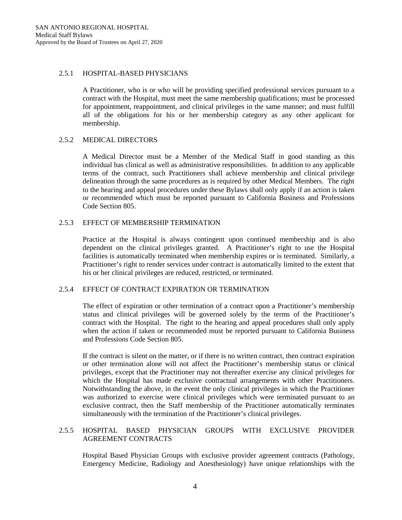## 2.5.1 HOSPITAL-BASED PHYSICIANS

A Practitioner, who is or who will be providing specified professional services pursuant to a contract with the Hospital, must meet the same membership qualifications; must be processed for appointment, reappointment, and clinical privileges in the same manner; and must fulfill all of the obligations for his or her membership category as any other applicant for membership.

# 2.5.2 MEDICAL DIRECTORS

A Medical Director must be a Member of the Medical Staff in good standing as this individual has clinical as well as administrative responsibilities. In addition to any applicable terms of the contract, such Practitioners shall achieve membership and clinical privilege delineation through the same procedures as is required by other Medical Members. The right to the hearing and appeal procedures under these Bylaws shall only apply if an action is taken or recommended which must be reported pursuant to California Business and Professions Code Section 805.

# 2.5.3 EFFECT OF MEMBERSHIP TERMINATION

Practice at the Hospital is always contingent upon continued membership and is also dependent on the clinical privileges granted. A Practitioner's right to use the Hospital facilities is automatically terminated when membership expires or is terminated. Similarly, a Practitioner's right to render services under contract is automatically limited to the extent that his or her clinical privileges are reduced, restricted, or terminated.

# 2.5.4 EFFECT OF CONTRACT EXPIRATION OR TERMINATION

The effect of expiration or other termination of a contract upon a Practitioner's membership status and clinical privileges will be governed solely by the terms of the Practitioner's contract with the Hospital. The right to the hearing and appeal procedures shall only apply when the action if taken or recommended must be reported pursuant to California Business and Professions Code Section 805.

If the contract is silent on the matter, or if there is no written contract, then contract expiration or other termination alone will not affect the Practitioner's membership status or clinical privileges, except that the Practitioner may not thereafter exercise any clinical privileges for which the Hospital has made exclusive contractual arrangements with other Practitioners. Notwithstanding the above, in the event the only clinical privileges in which the Practitioner was authorized to exercise were clinical privileges which were terminated pursuant to an exclusive contract, then the Staff membership of the Practitioner automatically terminates simultaneously with the termination of the Practitioner's clinical privileges.

# 2.5.5 HOSPITAL BASED PHYSICIAN GROUPS WITH EXCLUSIVE PROVIDER AGREEMENT CONTRACTS

Hospital Based Physician Groups with exclusive provider agreement contracts (Pathology, Emergency Medicine, Radiology and Anesthesiology) have unique relationships with the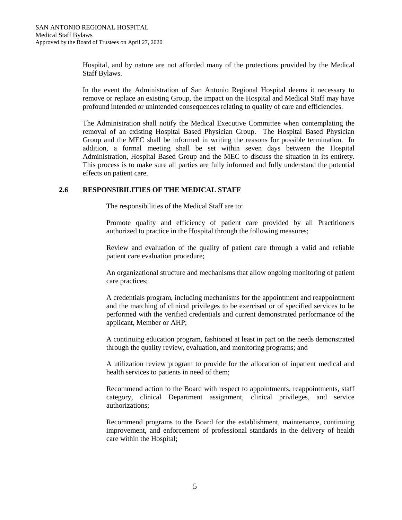Hospital, and by nature are not afforded many of the protections provided by the Medical Staff Bylaws.

In the event the Administration of San Antonio Regional Hospital deems it necessary to remove or replace an existing Group, the impact on the Hospital and Medical Staff may have profound intended or unintended consequences relating to quality of care and efficiencies.

The Administration shall notify the Medical Executive Committee when contemplating the removal of an existing Hospital Based Physician Group. The Hospital Based Physician Group and the MEC shall be informed in writing the reasons for possible termination. In addition, a formal meeting shall be set within seven days between the Hospital Administration, Hospital Based Group and the MEC to discuss the situation in its entirety. This process is to make sure all parties are fully informed and fully understand the potential effects on patient care.

# **2.6 RESPONSIBILITIES OF THE MEDICAL STAFF**

The responsibilities of the Medical Staff are to:

Promote quality and efficiency of patient care provided by all Practitioners authorized to practice in the Hospital through the following measures;

Review and evaluation of the quality of patient care through a valid and reliable patient care evaluation procedure;

An organizational structure and mechanisms that allow ongoing monitoring of patient care practices;

A credentials program, including mechanisms for the appointment and reappointment and the matching of clinical privileges to be exercised or of specified services to be performed with the verified credentials and current demonstrated performance of the applicant, Member or AHP;

A continuing education program, fashioned at least in part on the needs demonstrated through the quality review, evaluation, and monitoring programs; and

A utilization review program to provide for the allocation of inpatient medical and health services to patients in need of them;

Recommend action to the Board with respect to appointments, reappointments, staff category, clinical Department assignment, clinical privileges, and service authorizations;

Recommend programs to the Board for the establishment, maintenance, continuing improvement, and enforcement of professional standards in the delivery of health care within the Hospital;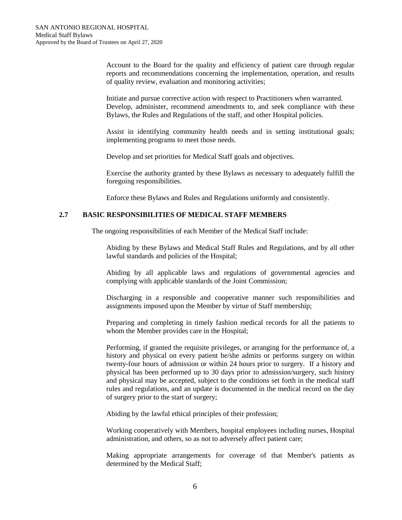Account to the Board for the quality and efficiency of patient care through regular reports and recommendations concerning the implementation, operation, and results of quality review, evaluation and monitoring activities;

Initiate and pursue corrective action with respect to Practitioners when warranted. Develop, administer, recommend amendments to, and seek compliance with these Bylaws, the Rules and Regulations of the staff, and other Hospital policies.

Assist in identifying community health needs and in setting institutional goals; implementing programs to meet those needs.

Develop and set priorities for Medical Staff goals and objectives.

Exercise the authority granted by these Bylaws as necessary to adequately fulfill the foregoing responsibilities.

Enforce these Bylaws and Rules and Regulations uniformly and consistently.

# **2.7 BASIC RESPONSIBILITIES OF MEDICAL STAFF MEMBERS**

The ongoing responsibilities of each Member of the Medical Staff include:

Abiding by these Bylaws and Medical Staff Rules and Regulations, and by all other lawful standards and policies of the Hospital;

Abiding by all applicable laws and regulations of governmental agencies and complying with applicable standards of the Joint Commission;

Discharging in a responsible and cooperative manner such responsibilities and assignments imposed upon the Member by virtue of Staff membership;

Preparing and completing in timely fashion medical records for all the patients to whom the Member provides care in the Hospital;

Performing, if granted the requisite privileges, or arranging for the performance of, a history and physical on every patient he/she admits or performs surgery on within twenty-four hours of admission or within 24 hours prior to surgery. If a history and physical has been performed up to 30 days prior to admission/surgery, such history and physical may be accepted, subject to the conditions set forth in the medical staff rules and regulations, and an update is documented in the medical record on the day of surgery prior to the start of surgery;

Abiding by the lawful ethical principles of their profession;

Working cooperatively with Members, hospital employees including nurses, Hospital administration, and others, so as not to adversely affect patient care;

Making appropriate arrangements for coverage of that Member's patients as determined by the Medical Staff;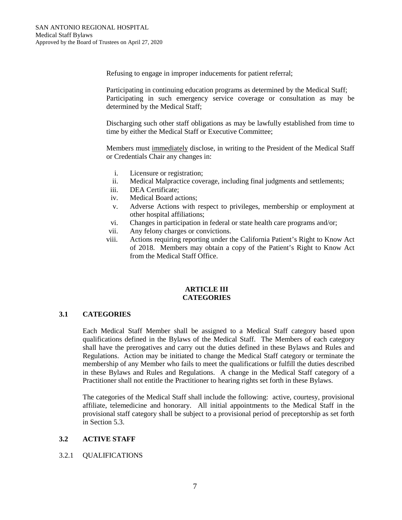Refusing to engage in improper inducements for patient referral;

Participating in continuing education programs as determined by the Medical Staff; Participating in such emergency service coverage or consultation as may be determined by the Medical Staff;

Discharging such other staff obligations as may be lawfully established from time to time by either the Medical Staff or Executive Committee;

Members must immediately disclose, in writing to the President of the Medical Staff or Credentials Chair any changes in:

- i. Licensure or registration;
- ii. Medical Malpractice coverage, including final judgments and settlements;
- iii. DEA Certificate;
- iv. Medical Board actions;
- v. Adverse Actions with respect to privileges, membership or employment at other hospital affiliations;
- vi. Changes in participation in federal or state health care programs and/or;
- vii. Any felony charges or convictions.
- viii. Actions requiring reporting under the California Patient's Right to Know Act of 2018. Members may obtain a copy of the Patient's Right to Know Act from the Medical Staff Office.

## **ARTICLE III CATEGORIES**

# **3.1 CATEGORIES**

Each Medical Staff Member shall be assigned to a Medical Staff category based upon qualifications defined in the Bylaws of the Medical Staff. The Members of each category shall have the prerogatives and carry out the duties defined in these Bylaws and Rules and Regulations. Action may be initiated to change the Medical Staff category or terminate the membership of any Member who fails to meet the qualifications or fulfill the duties described in these Bylaws and Rules and Regulations. A change in the Medical Staff category of a Practitioner shall not entitle the Practitioner to hearing rights set forth in these Bylaws.

The categories of the Medical Staff shall include the following: active, courtesy, provisional affiliate, telemedicine and honorary. All initial appointments to the Medical Staff in the provisional staff category shall be subject to a provisional period of preceptorship as set forth in Section 5.3.

# **3.2 ACTIVE STAFF**

# 3.2.1 QUALIFICATIONS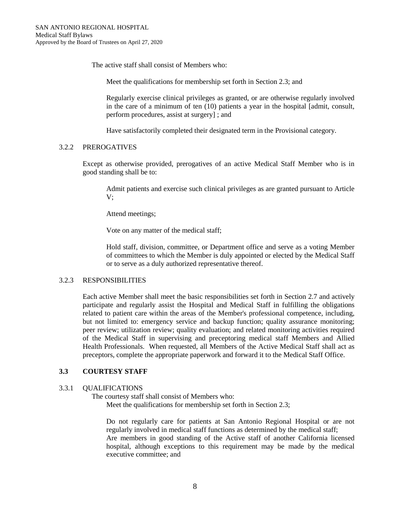The active staff shall consist of Members who:

Meet the qualifications for membership set forth in Section 2.3; and

Regularly exercise clinical privileges as granted, or are otherwise regularly involved in the care of a minimum of ten (10) patients a year in the hospital [admit, consult, perform procedures, assist at surgery] ; and

Have satisfactorily completed their designated term in the Provisional category.

## 3.2.2 PREROGATIVES

Except as otherwise provided, prerogatives of an active Medical Staff Member who is in good standing shall be to:

Admit patients and exercise such clinical privileges as are granted pursuant to Article V;

Attend meetings;

Vote on any matter of the medical staff;

Hold staff, division, committee, or Department office and serve as a voting Member of committees to which the Member is duly appointed or elected by the Medical Staff or to serve as a duly authorized representative thereof.

#### 3.2.3 RESPONSIBILITIES

Each active Member shall meet the basic responsibilities set forth in Section 2.7 and actively participate and regularly assist the Hospital and Medical Staff in fulfilling the obligations related to patient care within the areas of the Member's professional competence, including, but not limited to: emergency service and backup function; quality assurance monitoring; peer review; utilization review; quality evaluation; and related monitoring activities required of the Medical Staff in supervising and preceptoring medical staff Members and Allied Health Professionals. When requested, all Members of the Active Medical Staff shall act as preceptors, complete the appropriate paperwork and forward it to the Medical Staff Office.

# **3.3 COURTESY STAFF**

#### 3.3.1 QUALIFICATIONS

 The courtesy staff shall consist of Members who: Meet the qualifications for membership set forth in Section 2.3;

Do not regularly care for patients at San Antonio Regional Hospital or are not regularly involved in medical staff functions as determined by the medical staff; Are members in good standing of the Active staff of another California licensed hospital, although exceptions to this requirement may be made by the medical executive committee; and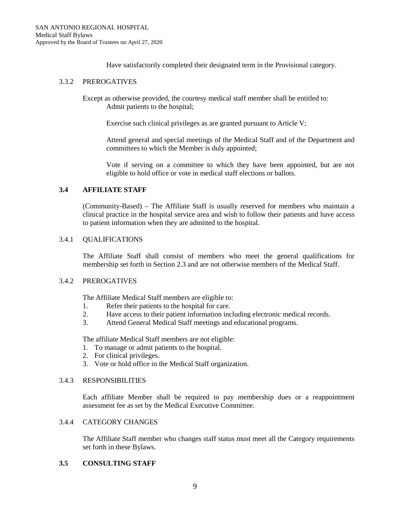Have satisfactorily completed their designated term in the Provisional category.

## 3.3.2 PREROGATIVES

Except as otherwise provided, the courtesy medical staff member shall be entitled to: Admit patients to the hospital;

Exercise such clinical privileges as are granted pursuant to Article V;

Attend general and special meetings of the Medical Staff and of the Department and committees to which the Member is duly appointed;

Vote if serving on a committee to which they have been appointed, but are not eligible to hold office or vote in medical staff elections or ballots.

# **3.4 AFFILIATE STAFF**

(Community-Based) – The Affiliate Staff is usually reserved for members who maintain a clinical practice in the hospital service area and wish to follow their patients and have access to patient information when they are admitted to the hospital.

## 3.4.1 QUALIFICATIONS

The Affiliate Staff shall consist of members who meet the general qualifications for membership set forth in Section 2.3 and are not otherwise members of the Medical Staff.

#### 3.4.2 PREROGATIVES

The Affiliate Medical Staff members are eligible to:

- 1. Refer their patients to the hospital for care.
- 2. Have access to their patient information including electronic medical records.
- 3. Attend General Medical Staff meetings and educational programs.

The affiliate Medical Staff members are not eligible:

- 1. To manage or admit patients to the hospital.
- 2. For clinical privileges.
- 3. Vote or hold office in the Medical Staff organization.

## 3.4.3 RESPONSIBILITIES

Each affiliate Member shall be required to pay membership dues or a reappointment assessment fee as set by the Medical Executive Committee.

## 3.4.4 CATEGORY CHANGES

The Affiliate Staff member who changes staff status must meet all the Category requirements set forth in these Bylaws.

## **3.5 CONSULTING STAFF**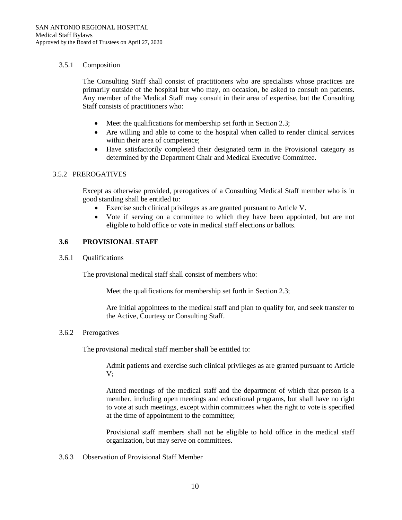# 3.5.1 Composition

The Consulting Staff shall consist of practitioners who are specialists whose practices are primarily outside of the hospital but who may, on occasion, be asked to consult on patients. Any member of the Medical Staff may consult in their area of expertise, but the Consulting Staff consists of practitioners who:

- Meet the qualifications for membership set forth in Section 2.3;
- Are willing and able to come to the hospital when called to render clinical services within their area of competence;
- Have satisfactorily completed their designated term in the Provisional category as determined by the Department Chair and Medical Executive Committee.

# 3.5.2 PREROGATIVES

Except as otherwise provided, prerogatives of a Consulting Medical Staff member who is in good standing shall be entitled to:

- Exercise such clinical privileges as are granted pursuant to Article V.
- Vote if serving on a committee to which they have been appointed, but are not eligible to hold office or vote in medical staff elections or ballots.

# **3.6 PROVISIONAL STAFF**

3.6.1 Qualifications

The provisional medical staff shall consist of members who:

Meet the qualifications for membership set forth in Section 2.3;

Are initial appointees to the medical staff and plan to qualify for, and seek transfer to the Active, Courtesy or Consulting Staff.

#### 3.6.2 Prerogatives

The provisional medical staff member shall be entitled to:

Admit patients and exercise such clinical privileges as are granted pursuant to Article V;

Attend meetings of the medical staff and the department of which that person is a member, including open meetings and educational programs, but shall have no right to vote at such meetings, except within committees when the right to vote is specified at the time of appointment to the committee;

Provisional staff members shall not be eligible to hold office in the medical staff organization, but may serve on committees.

3.6.3 Observation of Provisional Staff Member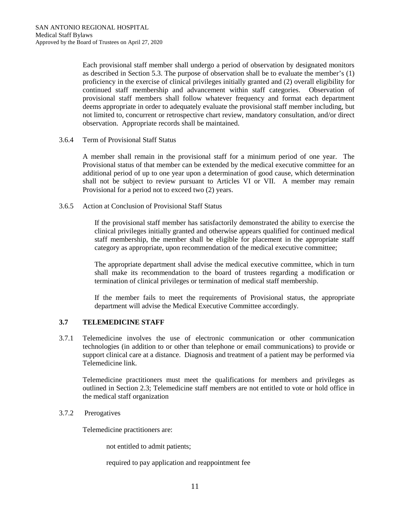Each provisional staff member shall undergo a period of observation by designated monitors as described in Section 5.3. The purpose of observation shall be to evaluate the member's (1) proficiency in the exercise of clinical privileges initially granted and (2) overall eligibility for continued staff membership and advancement within staff categories. Observation of provisional staff members shall follow whatever frequency and format each department deems appropriate in order to adequately evaluate the provisional staff member including, but not limited to, concurrent or retrospective chart review, mandatory consultation, and/or direct observation. Appropriate records shall be maintained.

3.6.4 Term of Provisional Staff Status

A member shall remain in the provisional staff for a minimum period of one year. The Provisional status of that member can be extended by the medical executive committee for an additional period of up to one year upon a determination of good cause, which determination shall not be subject to review pursuant to Articles VI or VII. A member may remain Provisional for a period not to exceed two (2) years.

3.6.5 Action at Conclusion of Provisional Staff Status

If the provisional staff member has satisfactorily demonstrated the ability to exercise the clinical privileges initially granted and otherwise appears qualified for continued medical staff membership, the member shall be eligible for placement in the appropriate staff category as appropriate, upon recommendation of the medical executive committee;

The appropriate department shall advise the medical executive committee, which in turn shall make its recommendation to the board of trustees regarding a modification or termination of clinical privileges or termination of medical staff membership.

If the member fails to meet the requirements of Provisional status, the appropriate department will advise the Medical Executive Committee accordingly.

# **3.7 TELEMEDICINE STAFF**

3.7.1 Telemedicine involves the use of electronic communication or other communication technologies (in addition to or other than telephone or email communications) to provide or support clinical care at a distance. Diagnosis and treatment of a patient may be performed via Telemedicine link.

Telemedicine practitioners must meet the qualifications for members and privileges as outlined in Section 2.3; Telemedicine staff members are not entitled to vote or hold office in the medical staff organization

3.7.2 Prerogatives

Telemedicine practitioners are:

not entitled to admit patients;

required to pay application and reappointment fee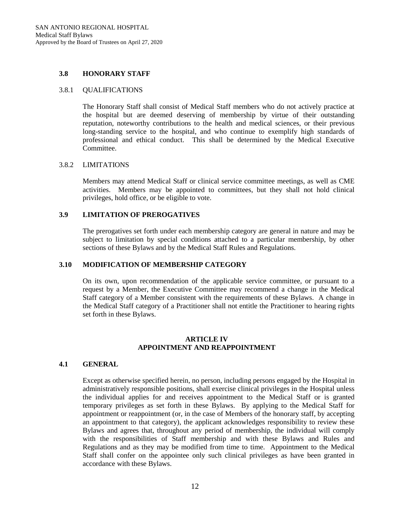## **3.8 HONORARY STAFF**

## 3.8.1 QUALIFICATIONS

The Honorary Staff shall consist of Medical Staff members who do not actively practice at the hospital but are deemed deserving of membership by virtue of their outstanding reputation, noteworthy contributions to the health and medical sciences, or their previous long-standing service to the hospital, and who continue to exemplify high standards of professional and ethical conduct. This shall be determined by the Medical Executive Committee.

## 3.8.2 LIMITATIONS

Members may attend Medical Staff or clinical service committee meetings, as well as CME activities. Members may be appointed to committees, but they shall not hold clinical privileges, hold office, or be eligible to vote.

# **3.9 LIMITATION OF PREROGATIVES**

The prerogatives set forth under each membership category are general in nature and may be subject to limitation by special conditions attached to a particular membership, by other sections of these Bylaws and by the Medical Staff Rules and Regulations.

#### **3.10 MODIFICATION OF MEMBERSHIP CATEGORY**

On its own, upon recommendation of the applicable service committee, or pursuant to a request by a Member, the Executive Committee may recommend a change in the Medical Staff category of a Member consistent with the requirements of these Bylaws. A change in the Medical Staff category of a Practitioner shall not entitle the Practitioner to hearing rights set forth in these Bylaws.

## **ARTICLE IV APPOINTMENT AND REAPPOINTMENT**

#### **4.1 GENERAL**

Except as otherwise specified herein, no person, including persons engaged by the Hospital in administratively responsible positions, shall exercise clinical privileges in the Hospital unless the individual applies for and receives appointment to the Medical Staff or is granted temporary privileges as set forth in these Bylaws. By applying to the Medical Staff for appointment or reappointment (or, in the case of Members of the honorary staff, by accepting an appointment to that category), the applicant acknowledges responsibility to review these Bylaws and agrees that, throughout any period of membership, the individual will comply with the responsibilities of Staff membership and with these Bylaws and Rules and Regulations and as they may be modified from time to time. Appointment to the Medical Staff shall confer on the appointee only such clinical privileges as have been granted in accordance with these Bylaws.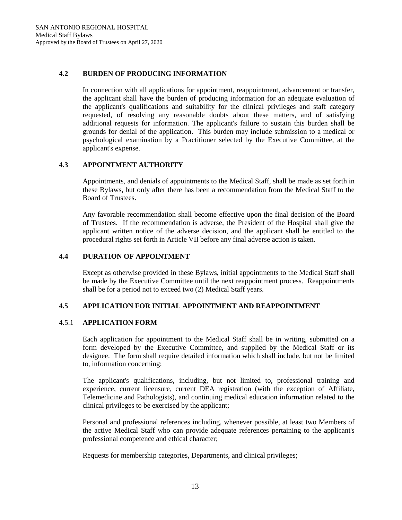## **4.2 BURDEN OF PRODUCING INFORMATION**

In connection with all applications for appointment, reappointment, advancement or transfer, the applicant shall have the burden of producing information for an adequate evaluation of the applicant's qualifications and suitability for the clinical privileges and staff category requested, of resolving any reasonable doubts about these matters, and of satisfying additional requests for information. The applicant's failure to sustain this burden shall be grounds for denial of the application. This burden may include submission to a medical or psychological examination by a Practitioner selected by the Executive Committee, at the applicant's expense.

## **4.3 APPOINTMENT AUTHORITY**

Appointments, and denials of appointments to the Medical Staff, shall be made as set forth in these Bylaws, but only after there has been a recommendation from the Medical Staff to the Board of Trustees.

Any favorable recommendation shall become effective upon the final decision of the Board of Trustees. If the recommendation is adverse, the President of the Hospital shall give the applicant written notice of the adverse decision, and the applicant shall be entitled to the procedural rights set forth in Article VII before any final adverse action is taken.

# **4.4 DURATION OF APPOINTMENT**

Except as otherwise provided in these Bylaws, initial appointments to the Medical Staff shall be made by the Executive Committee until the next reappointment process. Reappointments shall be for a period not to exceed two (2) Medical Staff years.

### **4.5 APPLICATION FOR INITIAL APPOINTMENT AND REAPPOINTMENT**

### 4.5.1 **APPLICATION FORM**

Each application for appointment to the Medical Staff shall be in writing, submitted on a form developed by the Executive Committee, and supplied by the Medical Staff or its designee. The form shall require detailed information which shall include, but not be limited to, information concerning:

The applicant's qualifications, including, but not limited to, professional training and experience, current licensure, current DEA registration (with the exception of Affiliate, Telemedicine and Pathologists), and continuing medical education information related to the clinical privileges to be exercised by the applicant;

Personal and professional references including, whenever possible, at least two Members of the active Medical Staff who can provide adequate references pertaining to the applicant's professional competence and ethical character;

Requests for membership categories, Departments, and clinical privileges;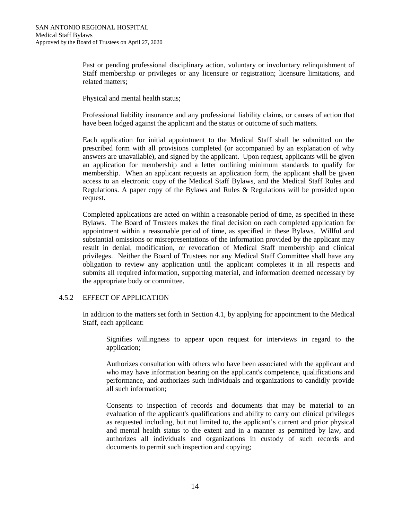Past or pending professional disciplinary action, voluntary or involuntary relinquishment of Staff membership or privileges or any licensure or registration; licensure limitations, and related matters;

Physical and mental health status;

Professional liability insurance and any professional liability claims, or causes of action that have been lodged against the applicant and the status or outcome of such matters.

Each application for initial appointment to the Medical Staff shall be submitted on the prescribed form with all provisions completed (or accompanied by an explanation of why answers are unavailable), and signed by the applicant. Upon request, applicants will be given an application for membership and a letter outlining minimum standards to qualify for membership. When an applicant requests an application form, the applicant shall be given access to an electronic copy of the Medical Staff Bylaws, and the Medical Staff Rules and Regulations. A paper copy of the Bylaws and Rules & Regulations will be provided upon request.

Completed applications are acted on within a reasonable period of time, as specified in these Bylaws. The Board of Trustees makes the final decision on each completed application for appointment within a reasonable period of time, as specified in these Bylaws. Willful and substantial omissions or misrepresentations of the information provided by the applicant may result in denial, modification, or revocation of Medical Staff membership and clinical privileges. Neither the Board of Trustees nor any Medical Staff Committee shall have any obligation to review any application until the applicant completes it in all respects and submits all required information, supporting material, and information deemed necessary by the appropriate body or committee.

# 4.5.2 EFFECT OF APPLICATION

In addition to the matters set forth in Section 4.1, by applying for appointment to the Medical Staff, each applicant:

Signifies willingness to appear upon request for interviews in regard to the application;

Authorizes consultation with others who have been associated with the applicant and who may have information bearing on the applicant's competence, qualifications and performance, and authorizes such individuals and organizations to candidly provide all such information;

Consents to inspection of records and documents that may be material to an evaluation of the applicant's qualifications and ability to carry out clinical privileges as requested including, but not limited to, the applicant's current and prior physical and mental health status to the extent and in a manner as permitted by law, and authorizes all individuals and organizations in custody of such records and documents to permit such inspection and copying;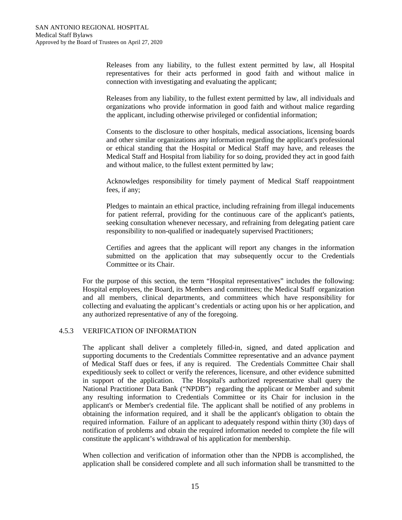Releases from any liability, to the fullest extent permitted by law, all Hospital representatives for their acts performed in good faith and without malice in connection with investigating and evaluating the applicant;

Releases from any liability, to the fullest extent permitted by law, all individuals and organizations who provide information in good faith and without malice regarding the applicant, including otherwise privileged or confidential information;

Consents to the disclosure to other hospitals, medical associations, licensing boards and other similar organizations any information regarding the applicant's professional or ethical standing that the Hospital or Medical Staff may have, and releases the Medical Staff and Hospital from liability for so doing, provided they act in good faith and without malice, to the fullest extent permitted by law;

Acknowledges responsibility for timely payment of Medical Staff reappointment fees, if any;

Pledges to maintain an ethical practice, including refraining from illegal inducements for patient referral, providing for the continuous care of the applicant's patients, seeking consultation whenever necessary, and refraining from delegating patient care responsibility to non-qualified or inadequately supervised Practitioners;

Certifies and agrees that the applicant will report any changes in the information submitted on the application that may subsequently occur to the Credentials Committee or its Chair.

For the purpose of this section, the term "Hospital representatives" includes the following: Hospital employees, the Board, its Members and committees; the Medical Staff organization and all members, clinical departments, and committees which have responsibility for collecting and evaluating the applicant's credentials or acting upon his or her application, and any authorized representative of any of the foregoing.

# 4.5.3 VERIFICATION OF INFORMATION

The applicant shall deliver a completely filled-in, signed, and dated application and supporting documents to the Credentials Committee representative and an advance payment of Medical Staff dues or fees, if any is required. The Credentials Committee Chair shall expeditiously seek to collect or verify the references, licensure, and other evidence submitted in support of the application. The Hospital's authorized representative shall query the National Practitioner Data Bank ("NPDB") regarding the applicant or Member and submit any resulting information to Credentials Committee or its Chair for inclusion in the applicant's or Member's credential file. The applicant shall be notified of any problems in obtaining the information required, and it shall be the applicant's obligation to obtain the required information. Failure of an applicant to adequately respond within thirty (30) days of notification of problems and obtain the required information needed to complete the file will constitute the applicant's withdrawal of his application for membership.

When collection and verification of information other than the NPDB is accomplished, the application shall be considered complete and all such information shall be transmitted to the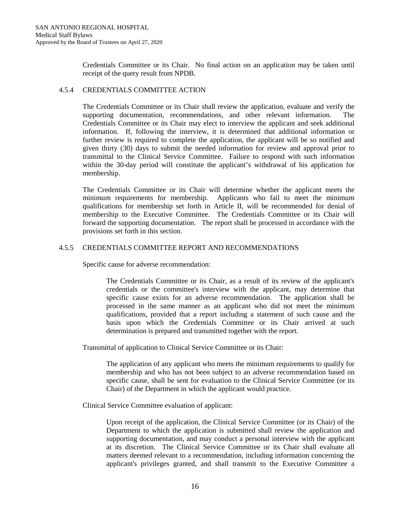Credentials Committee or its Chair. No final action on an application may be taken until receipt of the query result from NPDB.

# 4.5.4 CREDENTIALS COMMITTEE ACTION

The Credentials Committee or its Chair shall review the application, evaluate and verify the supporting documentation, recommendations, and other relevant information. The Credentials Committee or its Chair may elect to interview the applicant and seek additional information. If, following the interview, it is determined that additional information or further review is required to complete the application, the applicant will be so notified and given thirty (30) days to submit the needed information for review and approval prior to transmittal to the Clinical Service Committee. Failure to respond with such information within the 30-day period will constitute the applicant's withdrawal of his application for membership.

The Credentials Committee or its Chair will determine whether the applicant meets the minimum requirements for membership. Applicants who fail to meet the minimum qualifications for membership set forth in Article II, will be recommended for denial of membership to the Executive Committee. The Credentials Committee or its Chair will forward the supporting documentation. The report shall be processed in accordance with the provisions set forth in this section.

# 4.5.5 CREDENTIALS COMMITTEE REPORT AND RECOMMENDATIONS

Specific cause for adverse recommendation:

The Credentials Committee or its Chair, as a result of its review of the applicant's credentials or the committee's interview with the applicant, may determine that specific cause exists for an adverse recommendation. The application shall be processed in the same manner as an applicant who did not meet the minimum qualifications, provided that a report including a statement of such cause and the basis upon which the Credentials Committee or its Chair arrived at such determination is prepared and transmitted together with the report.

Transmittal of application to Clinical Service Committee or its Chair:

The application of any applicant who meets the minimum requirements to qualify for membership and who has not been subject to an adverse recommendation based on specific cause, shall be sent for evaluation to the Clinical Service Committee (or its Chair) of the Department in which the applicant would practice.

Clinical Service Committee evaluation of applicant:

Upon receipt of the application, the Clinical Service Committee (or its Chair) of the Department to which the application is submitted shall review the application and supporting documentation, and may conduct a personal interview with the applicant at its discretion. The Clinical Service Committee or its Chair shall evaluate all matters deemed relevant to a recommendation, including information concerning the applicant's privileges granted, and shall transmit to the Executive Committee a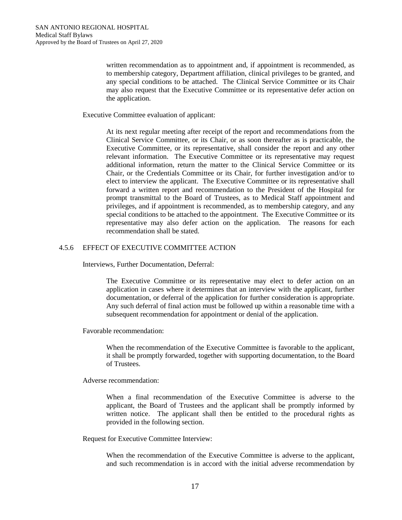written recommendation as to appointment and, if appointment is recommended, as to membership category, Department affiliation, clinical privileges to be granted, and any special conditions to be attached. The Clinical Service Committee or its Chair may also request that the Executive Committee or its representative defer action on the application.

Executive Committee evaluation of applicant:

At its next regular meeting after receipt of the report and recommendations from the Clinical Service Committee, or its Chair, or as soon thereafter as is practicable, the Executive Committee, or its representative, shall consider the report and any other relevant information. The Executive Committee or its representative may request additional information, return the matter to the Clinical Service Committee or its Chair, or the Credentials Committee or its Chair, for further investigation and/or to elect to interview the applicant. The Executive Committee or its representative shall forward a written report and recommendation to the President of the Hospital for prompt transmittal to the Board of Trustees, as to Medical Staff appointment and privileges, and if appointment is recommended, as to membership category, and any special conditions to be attached to the appointment. The Executive Committee or its representative may also defer action on the application. The reasons for each recommendation shall be stated.

# 4.5.6 EFFECT OF EXECUTIVE COMMITTEE ACTION

Interviews, Further Documentation, Deferral:

The Executive Committee or its representative may elect to defer action on an application in cases where it determines that an interview with the applicant, further documentation, or deferral of the application for further consideration is appropriate. Any such deferral of final action must be followed up within a reasonable time with a subsequent recommendation for appointment or denial of the application.

Favorable recommendation:

When the recommendation of the Executive Committee is favorable to the applicant, it shall be promptly forwarded, together with supporting documentation, to the Board of Trustees.

Adverse recommendation:

When a final recommendation of the Executive Committee is adverse to the applicant, the Board of Trustees and the applicant shall be promptly informed by written notice. The applicant shall then be entitled to the procedural rights as provided in the following section.

Request for Executive Committee Interview:

When the recommendation of the Executive Committee is adverse to the applicant, and such recommendation is in accord with the initial adverse recommendation by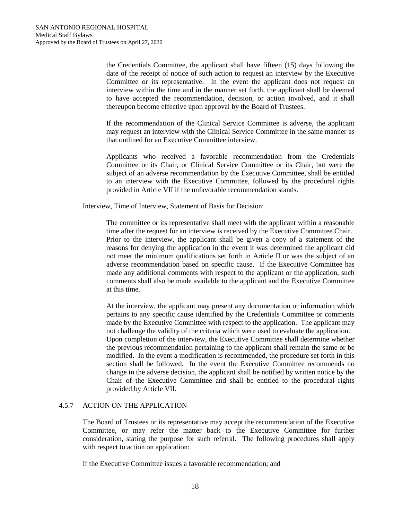the Credentials Committee, the applicant shall have fifteen (15) days following the date of the receipt of notice of such action to request an interview by the Executive Committee or its representative. In the event the applicant does not request an interview within the time and in the manner set forth, the applicant shall be deemed to have accepted the recommendation, decision, or action involved, and it shall thereupon become effective upon approval by the Board of Trustees.

If the recommendation of the Clinical Service Committee is adverse, the applicant may request an interview with the Clinical Service Committee in the same manner as that outlined for an Executive Committee interview.

Applicants who received a favorable recommendation from the Credentials Committee or its Chair, or Clinical Service Committee or its Chair, but were the subject of an adverse recommendation by the Executive Committee, shall be entitled to an interview with the Executive Committee, followed by the procedural rights provided in Article VII if the unfavorable recommendation stands.

Interview, Time of Interview, Statement of Basis for Decision:

The committee or its representative shall meet with the applicant within a reasonable time after the request for an interview is received by the Executive Committee Chair. Prior to the interview, the applicant shall be given a copy of a statement of the reasons for denying the application in the event it was determined the applicant did not meet the minimum qualifications set forth in Article II or was the subject of an adverse recommendation based on specific cause. If the Executive Committee has made any additional comments with respect to the applicant or the application, such comments shall also be made available to the applicant and the Executive Committee at this time.

At the interview, the applicant may present any documentation or information which pertains to any specific cause identified by the Credentials Committee or comments made by the Executive Committee with respect to the application. The applicant may not challenge the validity of the criteria which were used to evaluate the application. Upon completion of the interview, the Executive Committee shall determine whether the previous recommendation pertaining to the applicant shall remain the same or be modified. In the event a modification is recommended, the procedure set forth in this section shall be followed. In the event the Executive Committee recommends no change in the adverse decision, the applicant shall be notified by written notice by the Chair of the Executive Committee and shall be entitled to the procedural rights provided by Article VII.

# 4.5.7 ACTION ON THE APPLICATION

The Board of Trustees or its representative may accept the recommendation of the Executive Committee, or may refer the matter back to the Executive Committee for further consideration, stating the purpose for such referral. The following procedures shall apply with respect to action on application:

If the Executive Committee issues a favorable recommendation; and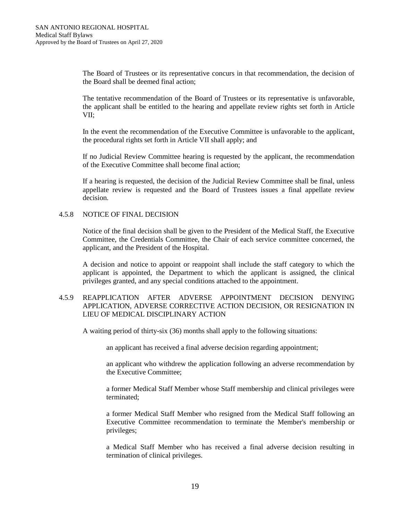The Board of Trustees or its representative concurs in that recommendation, the decision of the Board shall be deemed final action;

The tentative recommendation of the Board of Trustees or its representative is unfavorable, the applicant shall be entitled to the hearing and appellate review rights set forth in Article VII;

In the event the recommendation of the Executive Committee is unfavorable to the applicant, the procedural rights set forth in Article VII shall apply; and

If no Judicial Review Committee hearing is requested by the applicant, the recommendation of the Executive Committee shall become final action;

If a hearing is requested, the decision of the Judicial Review Committee shall be final, unless appellate review is requested and the Board of Trustees issues a final appellate review decision.

## 4.5.8 NOTICE OF FINAL DECISION

Notice of the final decision shall be given to the President of the Medical Staff, the Executive Committee, the Credentials Committee, the Chair of each service committee concerned, the applicant, and the President of the Hospital.

A decision and notice to appoint or reappoint shall include the staff category to which the applicant is appointed, the Department to which the applicant is assigned, the clinical privileges granted, and any special conditions attached to the appointment.

# 4.5.9 REAPPLICATION AFTER ADVERSE APPOINTMENT DECISION DENYING APPLICATION, ADVERSE CORRECTIVE ACTION DECISION, OR RESIGNATION IN LIEU OF MEDICAL DISCIPLINARY ACTION

A waiting period of thirty-six (36) months shall apply to the following situations:

an applicant has received a final adverse decision regarding appointment;

an applicant who withdrew the application following an adverse recommendation by the Executive Committee;

a former Medical Staff Member whose Staff membership and clinical privileges were terminated;

a former Medical Staff Member who resigned from the Medical Staff following an Executive Committee recommendation to terminate the Member's membership or privileges;

a Medical Staff Member who has received a final adverse decision resulting in termination of clinical privileges.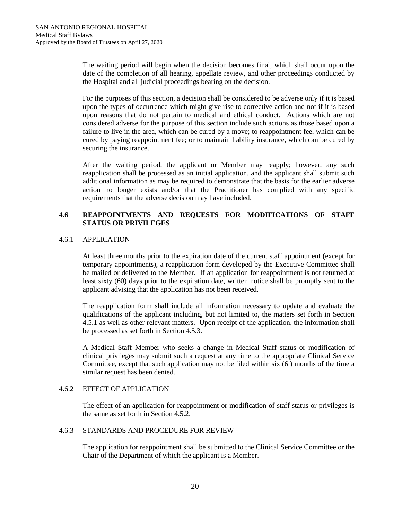The waiting period will begin when the decision becomes final, which shall occur upon the date of the completion of all hearing, appellate review, and other proceedings conducted by the Hospital and all judicial proceedings bearing on the decision.

For the purposes of this section, a decision shall be considered to be adverse only if it is based upon the types of occurrence which might give rise to corrective action and not if it is based upon reasons that do not pertain to medical and ethical conduct. Actions which are not considered adverse for the purpose of this section include such actions as those based upon a failure to live in the area, which can be cured by a move; to reappointment fee, which can be cured by paying reappointment fee; or to maintain liability insurance, which can be cured by securing the insurance.

After the waiting period, the applicant or Member may reapply; however, any such reapplication shall be processed as an initial application, and the applicant shall submit such additional information as may be required to demonstrate that the basis for the earlier adverse action no longer exists and/or that the Practitioner has complied with any specific requirements that the adverse decision may have included.

# **4.6 REAPPOINTMENTS AND REQUESTS FOR MODIFICATIONS OF STAFF STATUS OR PRIVILEGES**

## 4.6.1 APPLICATION

At least three months prior to the expiration date of the current staff appointment (except for temporary appointments), a reapplication form developed by the Executive Committee shall be mailed or delivered to the Member. If an application for reappointment is not returned at least sixty (60) days prior to the expiration date, written notice shall be promptly sent to the applicant advising that the application has not been received.

The reapplication form shall include all information necessary to update and evaluate the qualifications of the applicant including, but not limited to, the matters set forth in Section 4.5.1 as well as other relevant matters. Upon receipt of the application, the information shall be processed as set forth in Section 4.5.3.

A Medical Staff Member who seeks a change in Medical Staff status or modification of clinical privileges may submit such a request at any time to the appropriate Clinical Service Committee, except that such application may not be filed within six (6 ) months of the time a similar request has been denied.

#### 4.6.2 EFFECT OF APPLICATION

The effect of an application for reappointment or modification of staff status or privileges is the same as set forth in Section 4.5.2.

## 4.6.3 STANDARDS AND PROCEDURE FOR REVIEW

The application for reappointment shall be submitted to the Clinical Service Committee or the Chair of the Department of which the applicant is a Member.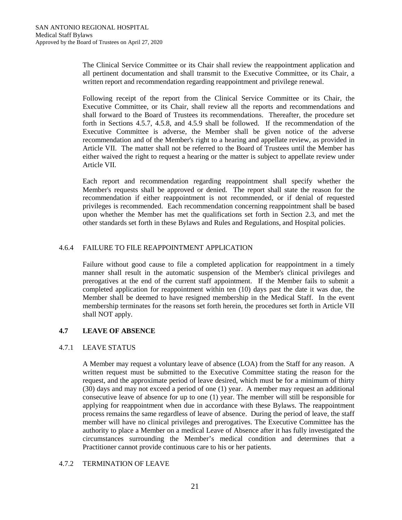The Clinical Service Committee or its Chair shall review the reappointment application and all pertinent documentation and shall transmit to the Executive Committee, or its Chair, a written report and recommendation regarding reappointment and privilege renewal.

Following receipt of the report from the Clinical Service Committee or its Chair, the Executive Committee, or its Chair, shall review all the reports and recommendations and shall forward to the Board of Trustees its recommendations. Thereafter, the procedure set forth in Sections 4.5.7, 4.5.8, and 4.5.9 shall be followed. If the recommendation of the Executive Committee is adverse, the Member shall be given notice of the adverse recommendation and of the Member's right to a hearing and appellate review, as provided in Article VII. The matter shall not be referred to the Board of Trustees until the Member has either waived the right to request a hearing or the matter is subject to appellate review under Article VII.

Each report and recommendation regarding reappointment shall specify whether the Member's requests shall be approved or denied. The report shall state the reason for the recommendation if either reappointment is not recommended, or if denial of requested privileges is recommended. Each recommendation concerning reappointment shall be based upon whether the Member has met the qualifications set forth in Section 2.3, and met the other standards set forth in these Bylaws and Rules and Regulations, and Hospital policies.

# 4.6.4 FAILURE TO FILE REAPPOINTMENT APPLICATION

Failure without good cause to file a completed application for reappointment in a timely manner shall result in the automatic suspension of the Member's clinical privileges and prerogatives at the end of the current staff appointment. If the Member fails to submit a completed application for reappointment within ten (10) days past the date it was due, the Member shall be deemed to have resigned membership in the Medical Staff. In the event membership terminates for the reasons set forth herein, the procedures set forth in Article VII shall NOT apply.

# **4.7 LEAVE OF ABSENCE**

# 4.7.1 LEAVE STATUS

A Member may request a voluntary leave of absence (LOA) from the Staff for any reason. A written request must be submitted to the Executive Committee stating the reason for the request, and the approximate period of leave desired, which must be for a minimum of thirty (30) days and may not exceed a period of one (1) year. A member may request an additional consecutive leave of absence for up to one (1) year. The member will still be responsible for applying for reappointment when due in accordance with these Bylaws. The reappointment process remains the same regardless of leave of absence. During the period of leave, the staff member will have no clinical privileges and prerogatives. The Executive Committee has the authority to place a Member on a medical Leave of Absence after it has fully investigated the circumstances surrounding the Member's medical condition and determines that a Practitioner cannot provide continuous care to his or her patients.

# 4.7.2 TERMINATION OF LEAVE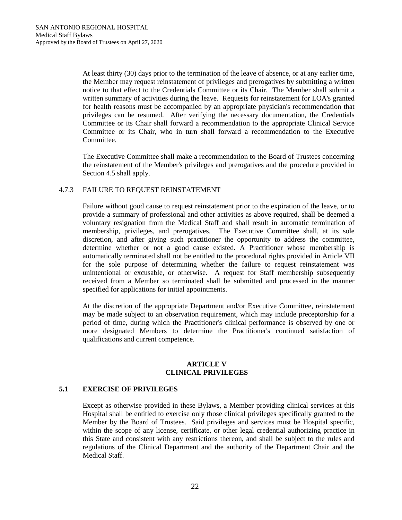At least thirty (30) days prior to the termination of the leave of absence, or at any earlier time, the Member may request reinstatement of privileges and prerogatives by submitting a written notice to that effect to the Credentials Committee or its Chair. The Member shall submit a written summary of activities during the leave. Requests for reinstatement for LOA's granted for health reasons must be accompanied by an appropriate physician's recommendation that privileges can be resumed. After verifying the necessary documentation, the Credentials Committee or its Chair shall forward a recommendation to the appropriate Clinical Service Committee or its Chair, who in turn shall forward a recommendation to the Executive Committee.

The Executive Committee shall make a recommendation to the Board of Trustees concerning the reinstatement of the Member's privileges and prerogatives and the procedure provided in Section 4.5 shall apply.

## 4.7.3 FAILURE TO REQUEST REINSTATEMENT

Failure without good cause to request reinstatement prior to the expiration of the leave, or to provide a summary of professional and other activities as above required, shall be deemed a voluntary resignation from the Medical Staff and shall result in automatic termination of membership, privileges, and prerogatives. The Executive Committee shall, at its sole discretion, and after giving such practitioner the opportunity to address the committee, determine whether or not a good cause existed. A Practitioner whose membership is automatically terminated shall not be entitled to the procedural rights provided in Article VII for the sole purpose of determining whether the failure to request reinstatement was unintentional or excusable, or otherwise. A request for Staff membership subsequently received from a Member so terminated shall be submitted and processed in the manner specified for applications for initial appointments.

At the discretion of the appropriate Department and/or Executive Committee, reinstatement may be made subject to an observation requirement, which may include preceptorship for a period of time, during which the Practitioner's clinical performance is observed by one or more designated Members to determine the Practitioner's continued satisfaction of qualifications and current competence.

#### **ARTICLE V CLINICAL PRIVILEGES**

## **5.1 EXERCISE OF PRIVILEGES**

Except as otherwise provided in these Bylaws, a Member providing clinical services at this Hospital shall be entitled to exercise only those clinical privileges specifically granted to the Member by the Board of Trustees. Said privileges and services must be Hospital specific, within the scope of any license, certificate, or other legal credential authorizing practice in this State and consistent with any restrictions thereon, and shall be subject to the rules and regulations of the Clinical Department and the authority of the Department Chair and the Medical Staff.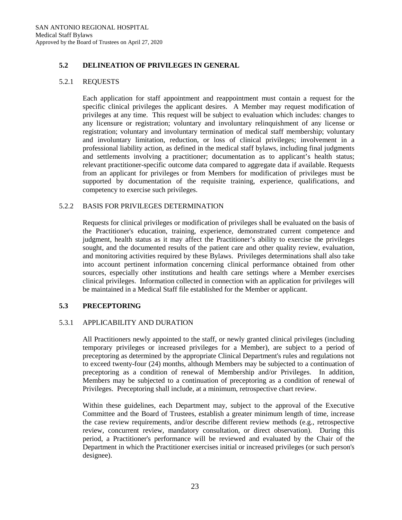# **5.2 DELINEATION OF PRIVILEGES IN GENERAL**

## 5.2.1 REQUESTS

Each application for staff appointment and reappointment must contain a request for the specific clinical privileges the applicant desires. A Member may request modification of privileges at any time. This request will be subject to evaluation which includes: changes to any licensure or registration; voluntary and involuntary relinquishment of any license or registration; voluntary and involuntary termination of medical staff membership; voluntary and involuntary limitation, reduction, or loss of clinical privileges; involvement in a professional liability action, as defined in the medical staff bylaws, including final judgments and settlements involving a practitioner; documentation as to applicant's health status; relevant practitioner-specific outcome data compared to aggregate data if available. Requests from an applicant for privileges or from Members for modification of privileges must be supported by documentation of the requisite training, experience, qualifications, and competency to exercise such privileges.

## 5.2.2 BASIS FOR PRIVILEGES DETERMINATION

Requests for clinical privileges or modification of privileges shall be evaluated on the basis of the Practitioner's education, training, experience, demonstrated current competence and judgment, health status as it may affect the Practitioner's ability to exercise the privileges sought, and the documented results of the patient care and other quality review, evaluation, and monitoring activities required by these Bylaws. Privileges determinations shall also take into account pertinent information concerning clinical performance obtained from other sources, especially other institutions and health care settings where a Member exercises clinical privileges. Information collected in connection with an application for privileges will be maintained in a Medical Staff file established for the Member or applicant.

## **5.3 PRECEPTORING**

## 5.3.1 APPLICABILITY AND DURATION

All Practitioners newly appointed to the staff, or newly granted clinical privileges (including temporary privileges or increased privileges for a Member), are subject to a period of preceptoring as determined by the appropriate Clinical Department's rules and regulations not to exceed twenty-four (24) months, although Members may be subjected to a continuation of preceptoring as a condition of renewal of Membership and/or Privileges. In addition, Members may be subjected to a continuation of preceptoring as a condition of renewal of Privileges. Preceptoring shall include, at a minimum, retrospective chart review.

Within these guidelines, each Department may, subject to the approval of the Executive Committee and the Board of Trustees, establish a greater minimum length of time, increase the case review requirements, and/or describe different review methods (e.g., retrospective review, concurrent review, mandatory consultation, or direct observation). During this period, a Practitioner's performance will be reviewed and evaluated by the Chair of the Department in which the Practitioner exercises initial or increased privileges (or such person's designee).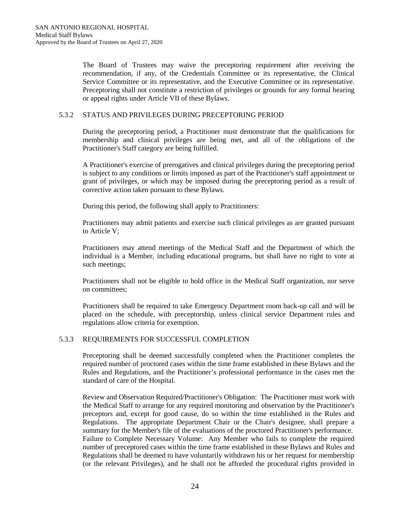The Board of Trustees may waive the preceptoring requirement after receiving the recommendation, if any, of the Credentials Committee or its representative, the Clinical Service Committee or its representative, and the Executive Committee or its representative. Preceptoring shall not constitute a restriction of privileges or grounds for any formal hearing or appeal rights under Article VII of these Bylaws.

#### 5.3.2 STATUS AND PRIVILEGES DURING PRECEPTORING PERIOD

During the preceptoring period, a Practitioner must demonstrate that the qualifications for membership and clinical privileges are being met, and all of the obligations of the Practitioner's Staff category are being fulfilled.

A Practitioner's exercise of prerogatives and clinical privileges during the preceptoring period is subject to any conditions or limits imposed as part of the Practitioner's staff appointment or grant of privileges, or which may be imposed during the preceptoring period as a result of corrective action taken pursuant to these Bylaws.

During this period, the following shall apply to Practitioners:

Practitioners may admit patients and exercise such clinical privileges as are granted pursuant to Article V;

Practitioners may attend meetings of the Medical Staff and the Department of which the individual is a Member, including educational programs, but shall have no right to vote at such meetings;

Practitioners shall not be eligible to hold office in the Medical Staff organization, nor serve on committees;

Practitioners shall be required to take Emergency Department room back-up call and will be placed on the schedule, with preceptorship, unless clinical service Department rules and regulations allow criteria for exemption.

## 5.3.3 REQUIREMENTS FOR SUCCESSFUL COMPLETION

Preceptoring shall be deemed successfully completed when the Practitioner completes the required number of proctored cases within the time frame established in these Bylaws and the Rules and Regulations, and the Practitioner's professional performance in the cases met the standard of care of the Hospital.

Review and Observation Required/Practitioner's Obligation: The Practitioner must work with the Medical Staff to arrange for any required monitoring and observation by the Practitioner's preceptors and, except for good cause, do so within the time established in the Rules and Regulations. The appropriate Department Chair or the Chair's designee, shall prepare a summary for the Member's file of the evaluations of the proctored Practitioner's performance. Failure to Complete Necessary Volume: Any Member who fails to complete the required number of preceptored cases within the time frame established in these Bylaws and Rules and Regulations shall be deemed to have voluntarily withdrawn his or her request for membership (or the relevant Privileges), and he shall not be afforded the procedural rights provided in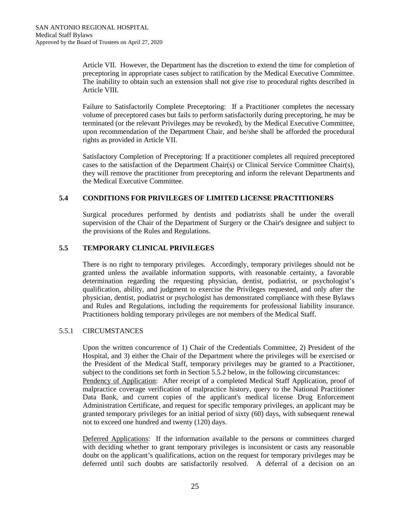Article VII. However, the Department has the discretion to extend the time for completion of preceptoring in appropriate cases subject to ratification by the Medical Executive Committee. The inability to obtain such an extension shall not give rise to procedural rights described in Article VIII.

Failure to Satisfactorily Complete Preceptoring: If a Practitioner completes the necessary volume of preceptored cases but fails to perform satisfactorily during preceptoring, he may be terminated (or the relevant Privileges may be revoked), by the Medical Executive Committee, upon recommendation of the Department Chair, and he/she shall be afforded the procedural rights as provided in Article VII.

Satisfactory Completion of Preceptoring: If a practitioner completes all required preceptored cases to the satisfaction of the Department Chair(s) or Clinical Service Committee Chair(s), they will remove the practitioner from preceptoring and inform the relevant Departments and the Medical Executive Committee.

## **5.4 CONDITIONS FOR PRIVILEGES OF LIMITED LICENSE PRACTITIONERS**

Surgical procedures performed by dentists and podiatrists shall be under the overall supervision of the Chair of the Department of Surgery or the Chair's designee and subject to the provisions of the Rules and Regulations.

## **5.5 TEMPORARY CLINICAL PRIVILEGES**

There is no right to temporary privileges. Accordingly, temporary privileges should not be granted unless the available information supports, with reasonable certainty, a favorable determination regarding the requesting physician, dentist, podiatrist, or psychologist's qualification, ability, and judgment to exercise the Privileges requested, and only after the physician, dentist, podiatrist or psychologist has demonstrated compliance with these Bylaws and Rules and Regulations, including the requirements for professional liability insurance. Practitioners holding temporary privileges are not members of the Medical Staff.

## 5.5.1 CIRCUMSTANCES

Upon the written concurrence of 1) Chair of the Credentials Committee, 2) President of the Hospital, and 3) either the Chair of the Department where the privileges will be exercised or the President of the Medical Staff, temporary privileges may be granted to a Practitioner, subject to the conditions set forth in Section 5.5.2 below, in the following circumstances: Pendency of Application: After receipt of a completed Medical Staff Application, proof of malpractice coverage verification of malpractice history, query to the National Practitioner Data Bank, and current copies of the applicant's medical license Drug Enforcement Administration Certificate, and request for specific temporary privileges, an applicant may be granted temporary privileges for an initial period of sixty (60) days, with subsequent renewal not to exceed one hundred and twenty (120) days.

Deferred Applications: If the information available to the persons or committees charged with deciding whether to grant temporary privileges is inconsistent or casts any reasonable doubt on the applicant's qualifications, action on the request for temporary privileges may be deferred until such doubts are satisfactorily resolved. A deferral of a decision on an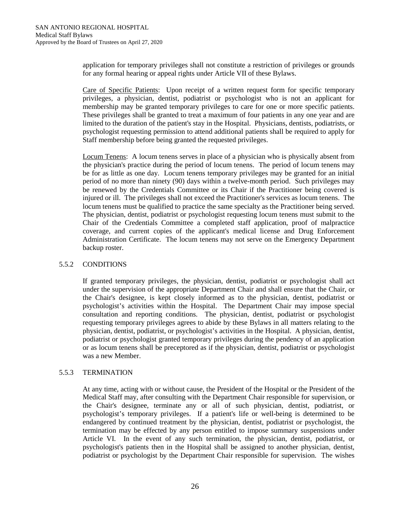application for temporary privileges shall not constitute a restriction of privileges or grounds for any formal hearing or appeal rights under Article VII of these Bylaws.

Care of Specific Patients: Upon receipt of a written request form for specific temporary privileges, a physician, dentist, podiatrist or psychologist who is not an applicant for membership may be granted temporary privileges to care for one or more specific patients. These privileges shall be granted to treat a maximum of four patients in any one year and are limited to the duration of the patient's stay in the Hospital. Physicians, dentists, podiatrists, or psychologist requesting permission to attend additional patients shall be required to apply for Staff membership before being granted the requested privileges.

Locum Tenens: A locum tenens serves in place of a physician who is physically absent from the physician's practice during the period of locum tenens. The period of locum tenens may be for as little as one day. Locum tenens temporary privileges may be granted for an initial period of no more than ninety (90) days within a twelve-month period. Such privileges may be renewed by the Credentials Committee or its Chair if the Practitioner being covered is injured or ill. The privileges shall not exceed the Practitioner's services as locum tenens. The locum tenens must be qualified to practice the same specialty as the Practitioner being served. The physician, dentist, podiatrist or psychologist requesting locum tenens must submit to the Chair of the Credentials Committee a completed staff application, proof of malpractice coverage, and current copies of the applicant's medical license and Drug Enforcement Administration Certificate. The locum tenens may not serve on the Emergency Department backup roster.

## 5.5.2 CONDITIONS

If granted temporary privileges, the physician, dentist, podiatrist or psychologist shall act under the supervision of the appropriate Department Chair and shall ensure that the Chair, or the Chair's designee, is kept closely informed as to the physician, dentist, podiatrist or psychologist's activities within the Hospital. The Department Chair may impose special consultation and reporting conditions. The physician, dentist, podiatrist or psychologist requesting temporary privileges agrees to abide by these Bylaws in all matters relating to the physician, dentist, podiatrist, or psychologist's activities in the Hospital. A physician, dentist, podiatrist or psychologist granted temporary privileges during the pendency of an application or as locum tenens shall be preceptored as if the physician, dentist, podiatrist or psychologist was a new Member.

## 5.5.3 TERMINATION

At any time, acting with or without cause, the President of the Hospital or the President of the Medical Staff may, after consulting with the Department Chair responsible for supervision, or the Chair's designee, terminate any or all of such physician, dentist, podiatrist, or psychologist's temporary privileges. If a patient's life or well-being is determined to be endangered by continued treatment by the physician, dentist, podiatrist or psychologist, the termination may be effected by any person entitled to impose summary suspensions under Article VI. In the event of any such termination, the physician, dentist, podiatrist, or psychologist's patients then in the Hospital shall be assigned to another physician, dentist, podiatrist or psychologist by the Department Chair responsible for supervision. The wishes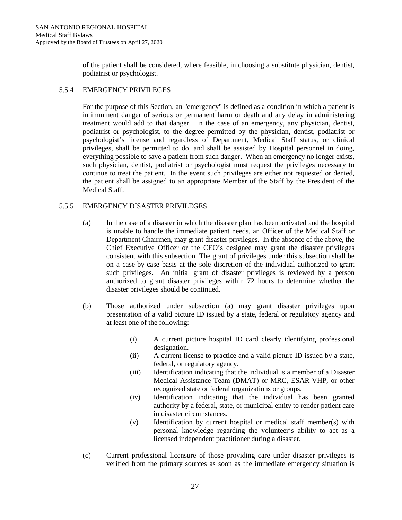of the patient shall be considered, where feasible, in choosing a substitute physician, dentist, podiatrist or psychologist.

# 5.5.4 EMERGENCY PRIVILEGES

For the purpose of this Section, an "emergency" is defined as a condition in which a patient is in imminent danger of serious or permanent harm or death and any delay in administering treatment would add to that danger. In the case of an emergency, any physician, dentist, podiatrist or psychologist, to the degree permitted by the physician, dentist, podiatrist or psychologist's license and regardless of Department, Medical Staff status, or clinical privileges, shall be permitted to do, and shall be assisted by Hospital personnel in doing, everything possible to save a patient from such danger. When an emergency no longer exists, such physician, dentist, podiatrist or psychologist must request the privileges necessary to continue to treat the patient. In the event such privileges are either not requested or denied, the patient shall be assigned to an appropriate Member of the Staff by the President of the Medical Staff.

# 5.5.5 EMERGENCY DISASTER PRIVILEGES

- (a) In the case of a disaster in which the disaster plan has been activated and the hospital is unable to handle the immediate patient needs, an Officer of the Medical Staff or Department Chairmen, may grant disaster privileges. In the absence of the above, the Chief Executive Officer or the CEO's designee may grant the disaster privileges consistent with this subsection. The grant of privileges under this subsection shall be on a case-by-case basis at the sole discretion of the individual authorized to grant such privileges. An initial grant of disaster privileges is reviewed by a person authorized to grant disaster privileges within 72 hours to determine whether the disaster privileges should be continued.
- (b) Those authorized under subsection (a) may grant disaster privileges upon presentation of a valid picture ID issued by a state, federal or regulatory agency and at least one of the following:
	- (i) A current picture hospital ID card clearly identifying professional designation.
	- (ii) A current license to practice and a valid picture ID issued by a state, federal, or regulatory agency.
	- (iii) Identification indicating that the individual is a member of a Disaster Medical Assistance Team (DMAT) or MRC, ESAR-VHP, or other recognized state or federal organizations or groups.
	- (iv) Identification indicating that the individual has been granted authority by a federal, state, or municipal entity to render patient care in disaster circumstances.
	- (v) Identification by current hospital or medical staff member(s) with personal knowledge regarding the volunteer's ability to act as a licensed independent practitioner during a disaster.
- (c) Current professional licensure of those providing care under disaster privileges is verified from the primary sources as soon as the immediate emergency situation is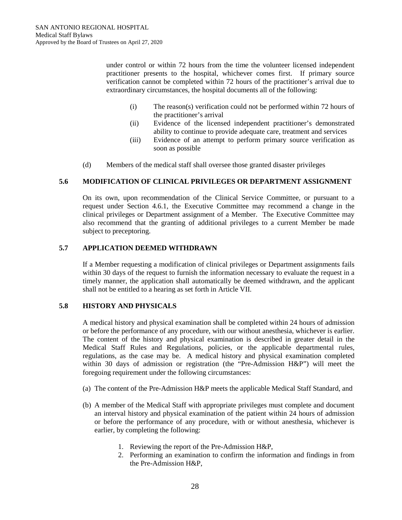under control or within 72 hours from the time the volunteer licensed independent practitioner presents to the hospital, whichever comes first. If primary source verification cannot be completed within 72 hours of the practitioner's arrival due to extraordinary circumstances, the hospital documents all of the following:

- (i) The reason(s) verification could not be performed within 72 hours of the practitioner's arrival
- (ii) Evidence of the licensed independent practitioner's demonstrated ability to continue to provide adequate care, treatment and services
- (iii) Evidence of an attempt to perform primary source verification as soon as possible
- (d) Members of the medical staff shall oversee those granted disaster privileges

## **5.6 MODIFICATION OF CLINICAL PRIVILEGES OR DEPARTMENT ASSIGNMENT**

On its own, upon recommendation of the Clinical Service Committee, or pursuant to a request under Section 4.6.1, the Executive Committee may recommend a change in the clinical privileges or Department assignment of a Member. The Executive Committee may also recommend that the granting of additional privileges to a current Member be made subject to preceptoring.

#### **5.7 APPLICATION DEEMED WITHDRAWN**

If a Member requesting a modification of clinical privileges or Department assignments fails within 30 days of the request to furnish the information necessary to evaluate the request in a timely manner, the application shall automatically be deemed withdrawn, and the applicant shall not be entitled to a hearing as set forth in Article VII.

#### **5.8 HISTORY AND PHYSICALS**

A medical history and physical examination shall be completed within 24 hours of admission or before the performance of any procedure, with our without anesthesia, whichever is earlier. The content of the history and physical examination is described in greater detail in the Medical Staff Rules and Regulations, policies, or the applicable departmental rules, regulations, as the case may be. A medical history and physical examination completed within 30 days of admission or registration (the "Pre-Admission H&P") will meet the foregoing requirement under the following circumstances:

- (a) The content of the Pre-Admission H&P meets the applicable Medical Staff Standard, and
- (b) A member of the Medical Staff with appropriate privileges must complete and document an interval history and physical examination of the patient within 24 hours of admission or before the performance of any procedure, with or without anesthesia, whichever is earlier, by completing the following:
	- 1. Reviewing the report of the Pre-Admission H&P,
	- 2. Performing an examination to confirm the information and findings in from the Pre-Admission H&P,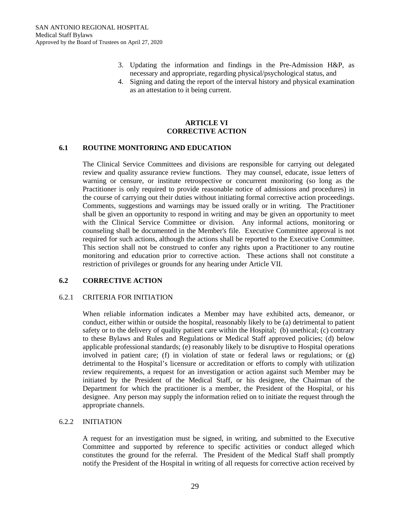- 3. Updating the information and findings in the Pre-Admission H&P, as necessary and appropriate, regarding physical/psychological status, and
- 4. Signing and dating the report of the interval history and physical examination as an attestation to it being current.

#### **ARTICLE VI CORRECTIVE ACTION**

## **6.1 ROUTINE MONITORING AND EDUCATION**

The Clinical Service Committees and divisions are responsible for carrying out delegated review and quality assurance review functions. They may counsel, educate, issue letters of warning or censure, or institute retrospective or concurrent monitoring (so long as the Practitioner is only required to provide reasonable notice of admissions and procedures) in the course of carrying out their duties without initiating formal corrective action proceedings. Comments, suggestions and warnings may be issued orally or in writing. The Practitioner shall be given an opportunity to respond in writing and may be given an opportunity to meet with the Clinical Service Committee or division. Any informal actions, monitoring or counseling shall be documented in the Member's file. Executive Committee approval is not required for such actions, although the actions shall be reported to the Executive Committee. This section shall not be construed to confer any rights upon a Practitioner to any routine monitoring and education prior to corrective action. These actions shall not constitute a restriction of privileges or grounds for any hearing under Article VII.

#### **6.2 CORRECTIVE ACTION**

## 6.2.1 CRITERIA FOR INITIATION

When reliable information indicates a Member may have exhibited acts, demeanor, or conduct, either within or outside the hospital, reasonably likely to be (a) detrimental to patient safety or to the delivery of quality patient care within the Hospital; (b) unethical; (c) contrary to these Bylaws and Rules and Regulations or Medical Staff approved policies; (d) below applicable professional standards; (e) reasonably likely to be disruptive to Hospital operations involved in patient care; (f) in violation of state or federal laws or regulations; or (g) detrimental to the Hospital's licensure or accreditation or efforts to comply with utilization review requirements, a request for an investigation or action against such Member may be initiated by the President of the Medical Staff, or his designee, the Chairman of the Department for which the practitioner is a member, the President of the Hospital, or his designee. Any person may supply the information relied on to initiate the request through the appropriate channels.

#### 6.2.2 INITIATION

A request for an investigation must be signed, in writing, and submitted to the Executive Committee and supported by reference to specific activities or conduct alleged which constitutes the ground for the referral. The President of the Medical Staff shall promptly notify the President of the Hospital in writing of all requests for corrective action received by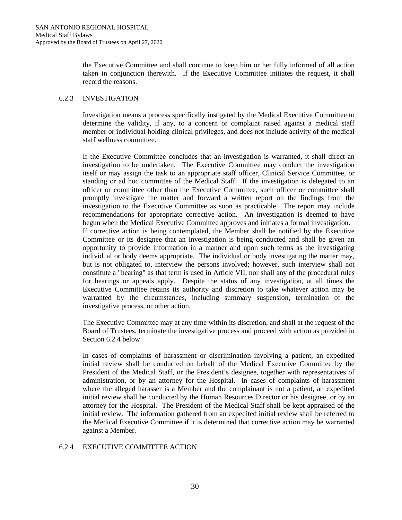the Executive Committee and shall continue to keep him or her fully informed of all action taken in conjunction therewith. If the Executive Committee initiates the request, it shall record the reasons.

## 6.2.3 INVESTIGATION

Investigation means a process specifically instigated by the Medical Executive Committee to determine the validity, if any, to a concern or complaint raised against a medical staff member or individual holding clinical privileges, and does not include activity of the medical staff wellness committee.

If the Executive Committee concludes that an investigation is warranted, it shall direct an investigation to be undertaken. The Executive Committee may conduct the investigation itself or may assign the task to an appropriate staff officer, Clinical Service Committee, or standing or ad hoc committee of the Medical Staff. If the investigation is delegated to an officer or committee other than the Executive Committee, such officer or committee shall promptly investigate the matter and forward a written report on the findings from the investigation to the Executive Committee as soon as practicable. The report may include recommendations for appropriate corrective action. An investigation is deemed to have begun when the Medical Executive Committee approves and initiates a formal investigation. If corrective action is being contemplated, the Member shall be notified by the Executive Committee or its designee that an investigation is being conducted and shall be given an opportunity to provide information in a manner and upon such terms as the investigating individual or body deems appropriate. The individual or body investigating the matter may, but is not obligated to, interview the persons involved; however, such interview shall not constitute a "hearing" as that term is used in Article VII, nor shall any of the procedural rules for hearings or appeals apply. Despite the status of any investigation, at all times the Executive Committee retains its authority and discretion to take whatever action may be warranted by the circumstances, including summary suspension, termination of the investigative process, or other action.

The Executive Committee may at any time within its discretion, and shall at the request of the Board of Trustees, terminate the investigative process and proceed with action as provided in Section 6.2.4 below.

In cases of complaints of harassment or discrimination involving a patient, an expedited initial review shall be conducted on behalf of the Medical Executive Committee by the President of the Medical Staff, or the President's designee, together with representatives of administration, or by an attorney for the Hospital. In cases of complaints of harassment where the alleged harasser is a Member and the complainant is not a patient, an expedited initial review shall be conducted by the Human Resources Director or his designee, or by an attorney for the Hospital. The President of the Medical Staff shall be kept appraised of the initial review. The information gathered from an expedited initial review shall be referred to the Medical Executive Committee if it is determined that corrective action may be warranted against a Member.

# 6.2.4 EXECUTIVE COMMITTEE ACTION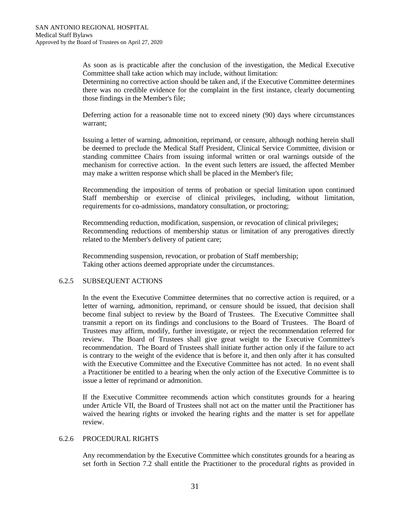As soon as is practicable after the conclusion of the investigation, the Medical Executive Committee shall take action which may include, without limitation:

Determining no corrective action should be taken and, if the Executive Committee determines there was no credible evidence for the complaint in the first instance, clearly documenting those findings in the Member's file;

Deferring action for a reasonable time not to exceed ninety (90) days where circumstances warrant;

Issuing a letter of warning, admonition, reprimand, or censure, although nothing herein shall be deemed to preclude the Medical Staff President, Clinical Service Committee, division or standing committee Chairs from issuing informal written or oral warnings outside of the mechanism for corrective action. In the event such letters are issued, the affected Member may make a written response which shall be placed in the Member's file;

Recommending the imposition of terms of probation or special limitation upon continued Staff membership or exercise of clinical privileges, including, without limitation, requirements for co-admissions, mandatory consultation, or proctoring;

Recommending reduction, modification, suspension, or revocation of clinical privileges; Recommending reductions of membership status or limitation of any prerogatives directly related to the Member's delivery of patient care;

Recommending suspension, revocation, or probation of Staff membership; Taking other actions deemed appropriate under the circumstances.

#### 6.2.5 SUBSEQUENT ACTIONS

In the event the Executive Committee determines that no corrective action is required, or a letter of warning, admonition, reprimand, or censure should be issued, that decision shall become final subject to review by the Board of Trustees. The Executive Committee shall transmit a report on its findings and conclusions to the Board of Trustees. The Board of Trustees may affirm, modify, further investigate, or reject the recommendation referred for review. The Board of Trustees shall give great weight to the Executive Committee's recommendation. The Board of Trustees shall initiate further action only if the failure to act is contrary to the weight of the evidence that is before it, and then only after it has consulted with the Executive Committee and the Executive Committee has not acted. In no event shall a Practitioner be entitled to a hearing when the only action of the Executive Committee is to issue a letter of reprimand or admonition.

If the Executive Committee recommends action which constitutes grounds for a hearing under Article VII, the Board of Trustees shall not act on the matter until the Practitioner has waived the hearing rights or invoked the hearing rights and the matter is set for appellate review.

#### 6.2.6 PROCEDURAL RIGHTS

Any recommendation by the Executive Committee which constitutes grounds for a hearing as set forth in Section 7.2 shall entitle the Practitioner to the procedural rights as provided in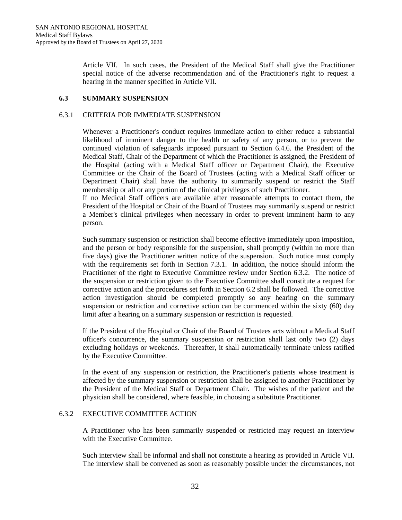Article VII. In such cases, the President of the Medical Staff shall give the Practitioner special notice of the adverse recommendation and of the Practitioner's right to request a hearing in the manner specified in Article VII.

#### **6.3 SUMMARY SUSPENSION**

#### 6.3.1 CRITERIA FOR IMMEDIATE SUSPENSION

Whenever a Practitioner's conduct requires immediate action to either reduce a substantial likelihood of imminent danger to the health or safety of any person, or to prevent the continued violation of safeguards imposed pursuant to Section 6.4.6. the President of the Medical Staff, Chair of the Department of which the Practitioner is assigned, the President of the Hospital (acting with a Medical Staff officer or Department Chair), the Executive Committee or the Chair of the Board of Trustees (acting with a Medical Staff officer or Department Chair) shall have the authority to summarily suspend or restrict the Staff membership or all or any portion of the clinical privileges of such Practitioner.

If no Medical Staff officers are available after reasonable attempts to contact them, the President of the Hospital or Chair of the Board of Trustees may summarily suspend or restrict a Member's clinical privileges when necessary in order to prevent imminent harm to any person.

Such summary suspension or restriction shall become effective immediately upon imposition, and the person or body responsible for the suspension, shall promptly (within no more than five days) give the Practitioner written notice of the suspension. Such notice must comply with the requirements set forth in Section 7.3.1. In addition, the notice should inform the Practitioner of the right to Executive Committee review under Section 6.3.2. The notice of the suspension or restriction given to the Executive Committee shall constitute a request for corrective action and the procedures set forth in Section 6.2 shall be followed. The corrective action investigation should be completed promptly so any hearing on the summary suspension or restriction and corrective action can be commenced within the sixty (60) day limit after a hearing on a summary suspension or restriction is requested.

If the President of the Hospital or Chair of the Board of Trustees acts without a Medical Staff officer's concurrence, the summary suspension or restriction shall last only two (2) days excluding holidays or weekends. Thereafter, it shall automatically terminate unless ratified by the Executive Committee.

In the event of any suspension or restriction, the Practitioner's patients whose treatment is affected by the summary suspension or restriction shall be assigned to another Practitioner by the President of the Medical Staff or Department Chair. The wishes of the patient and the physician shall be considered, where feasible, in choosing a substitute Practitioner.

# 6.3.2 EXECUTIVE COMMITTEE ACTION

A Practitioner who has been summarily suspended or restricted may request an interview with the Executive Committee.

Such interview shall be informal and shall not constitute a hearing as provided in Article VII. The interview shall be convened as soon as reasonably possible under the circumstances, not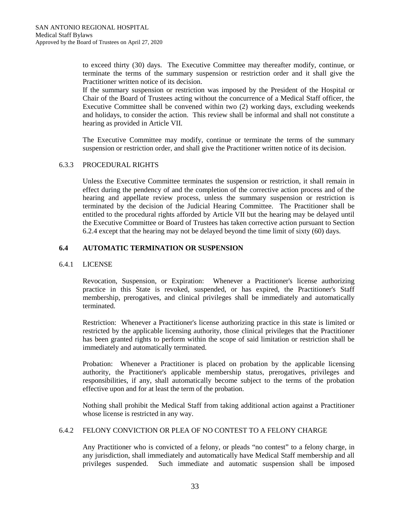to exceed thirty (30) days. The Executive Committee may thereafter modify, continue, or terminate the terms of the summary suspension or restriction order and it shall give the Practitioner written notice of its decision.

If the summary suspension or restriction was imposed by the President of the Hospital or Chair of the Board of Trustees acting without the concurrence of a Medical Staff officer, the Executive Committee shall be convened within two (2) working days, excluding weekends and holidays, to consider the action. This review shall be informal and shall not constitute a hearing as provided in Article VII.

The Executive Committee may modify, continue or terminate the terms of the summary suspension or restriction order, and shall give the Practitioner written notice of its decision.

# 6.3.3 PROCEDURAL RIGHTS

Unless the Executive Committee terminates the suspension or restriction, it shall remain in effect during the pendency of and the completion of the corrective action process and of the hearing and appellate review process, unless the summary suspension or restriction is terminated by the decision of the Judicial Hearing Committee. The Practitioner shall be entitled to the procedural rights afforded by Article VII but the hearing may be delayed until the Executive Committee or Board of Trustees has taken corrective action pursuant to Section 6.2.4 except that the hearing may not be delayed beyond the time limit of sixty (60) days.

# **6.4 AUTOMATIC TERMINATION OR SUSPENSION**

## 6.4.1 LICENSE

Revocation, Suspension, or Expiration: Whenever a Practitioner's license authorizing practice in this State is revoked, suspended, or has expired, the Practitioner's Staff membership, prerogatives, and clinical privileges shall be immediately and automatically terminated.

Restriction: Whenever a Practitioner's license authorizing practice in this state is limited or restricted by the applicable licensing authority, those clinical privileges that the Practitioner has been granted rights to perform within the scope of said limitation or restriction shall be immediately and automatically terminated.

Probation: Whenever a Practitioner is placed on probation by the applicable licensing authority, the Practitioner's applicable membership status, prerogatives, privileges and responsibilities, if any, shall automatically become subject to the terms of the probation effective upon and for at least the term of the probation.

Nothing shall prohibit the Medical Staff from taking additional action against a Practitioner whose license is restricted in any way.

#### 6.4.2 FELONY CONVICTION OR PLEA OF NO CONTEST TO A FELONY CHARGE

Any Practitioner who is convicted of a felony, or pleads "no contest" to a felony charge, in any jurisdiction, shall immediately and automatically have Medical Staff membership and all privileges suspended. Such immediate and automatic suspension shall be imposed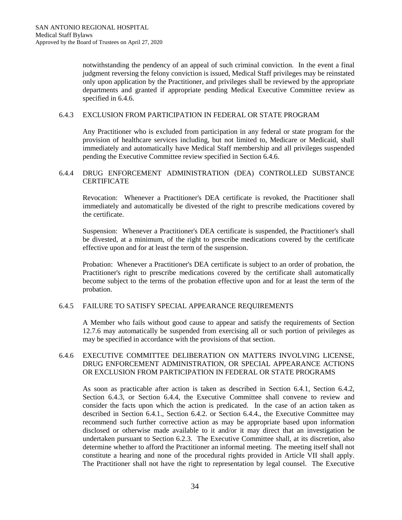notwithstanding the pendency of an appeal of such criminal conviction. In the event a final judgment reversing the felony conviction is issued, Medical Staff privileges may be reinstated only upon application by the Practitioner, and privileges shall be reviewed by the appropriate departments and granted if appropriate pending Medical Executive Committee review as specified in 6.4.6.

#### 6.4.3 EXCLUSION FROM PARTICIPATION IN FEDERAL OR STATE PROGRAM

Any Practitioner who is excluded from participation in any federal or state program for the provision of healthcare services including, but not limited to, Medicare or Medicaid, shall immediately and automatically have Medical Staff membership and all privileges suspended pending the Executive Committee review specified in Section 6.4.6.

## 6.4.4 DRUG ENFORCEMENT ADMINISTRATION (DEA) CONTROLLED SUBSTANCE **CERTIFICATE**

Revocation: Whenever a Practitioner's DEA certificate is revoked, the Practitioner shall immediately and automatically be divested of the right to prescribe medications covered by the certificate.

Suspension: Whenever a Practitioner's DEA certificate is suspended, the Practitioner's shall be divested, at a minimum, of the right to prescribe medications covered by the certificate effective upon and for at least the term of the suspension.

Probation: Whenever a Practitioner's DEA certificate is subject to an order of probation, the Practitioner's right to prescribe medications covered by the certificate shall automatically become subject to the terms of the probation effective upon and for at least the term of the probation.

## 6.4.5 FAILURE TO SATISFY SPECIAL APPEARANCE REQUIREMENTS

A Member who fails without good cause to appear and satisfy the requirements of Section 12.7.6 may automatically be suspended from exercising all or such portion of privileges as may be specified in accordance with the provisions of that section.

# 6.4.6 EXECUTIVE COMMITTEE DELIBERATION ON MATTERS INVOLVING LICENSE, DRUG ENFORCEMENT ADMINISTRATION, OR SPECIAL APPEARANCE ACTIONS OR EXCLUSION FROM PARTICIPATION IN FEDERAL OR STATE PROGRAMS

As soon as practicable after action is taken as described in Section 6.4.1, Section 6.4.2, Section 6.4.3, or Section 6.4.4, the Executive Committee shall convene to review and consider the facts upon which the action is predicated. In the case of an action taken as described in Section 6.4.1., Section 6.4.2. or Section 6.4.4., the Executive Committee may recommend such further corrective action as may be appropriate based upon information disclosed or otherwise made available to it and/or it may direct that an investigation be undertaken pursuant to Section 6.2.3. The Executive Committee shall, at its discretion, also determine whether to afford the Practitioner an informal meeting. The meeting itself shall not constitute a hearing and none of the procedural rights provided in Article VII shall apply. The Practitioner shall not have the right to representation by legal counsel. The Executive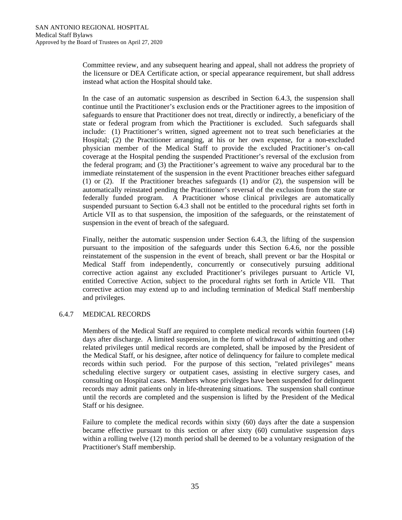Committee review, and any subsequent hearing and appeal, shall not address the propriety of the licensure or DEA Certificate action, or special appearance requirement, but shall address instead what action the Hospital should take.

In the case of an automatic suspension as described in Section 6.4.3, the suspension shall continue until the Practitioner's exclusion ends or the Practitioner agrees to the imposition of safeguards to ensure that Practitioner does not treat, directly or indirectly, a beneficiary of the state or federal program from which the Practitioner is excluded. Such safeguards shall include: (1) Practitioner's written, signed agreement not to treat such beneficiaries at the Hospital; (2) the Practitioner arranging, at his or her own expense, for a non-excluded physician member of the Medical Staff to provide the excluded Practitioner's on-call coverage at the Hospital pending the suspended Practitioner's reversal of the exclusion from the federal program; and (3) the Practitioner's agreement to waive any procedural bar to the immediate reinstatement of the suspension in the event Practitioner breaches either safeguard (1) or (2). If the Practitioner breaches safeguards (1) and/or (2), the suspension will be automatically reinstated pending the Practitioner's reversal of the exclusion from the state or federally funded program. A Practitioner whose clinical privileges are automatically suspended pursuant to Section 6.4.3 shall not be entitled to the procedural rights set forth in Article VII as to that suspension, the imposition of the safeguards, or the reinstatement of suspension in the event of breach of the safeguard.

Finally, neither the automatic suspension under Section 6.4.3, the lifting of the suspension pursuant to the imposition of the safeguards under this Section 6.4.6, nor the possible reinstatement of the suspension in the event of breach, shall prevent or bar the Hospital or Medical Staff from independently, concurrently or consecutively pursuing additional corrective action against any excluded Practitioner's privileges pursuant to Article VI, entitled Corrective Action, subject to the procedural rights set forth in Article VII. That corrective action may extend up to and including termination of Medical Staff membership and privileges.

## 6.4.7 MEDICAL RECORDS

Members of the Medical Staff are required to complete medical records within fourteen (14) days after discharge. A limited suspension, in the form of withdrawal of admitting and other related privileges until medical records are completed, shall be imposed by the President of the Medical Staff, or his designee, after notice of delinquency for failure to complete medical records within such period. For the purpose of this section, "related privileges" means scheduling elective surgery or outpatient cases, assisting in elective surgery cases, and consulting on Hospital cases. Members whose privileges have been suspended for delinquent records may admit patients only in life-threatening situations. The suspension shall continue until the records are completed and the suspension is lifted by the President of the Medical Staff or his designee.

Failure to complete the medical records within sixty (60) days after the date a suspension became effective pursuant to this section or after sixty (60) cumulative suspension days within a rolling twelve (12) month period shall be deemed to be a voluntary resignation of the Practitioner's Staff membership.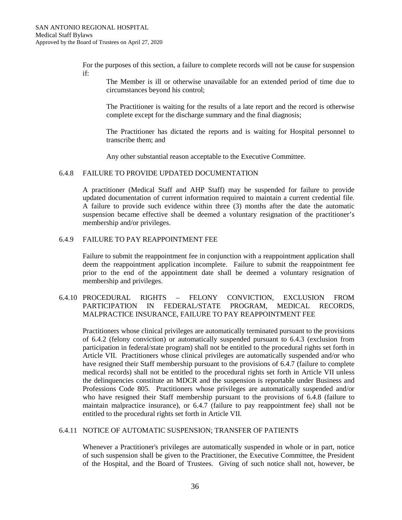For the purposes of this section, a failure to complete records will not be cause for suspension if:

The Member is ill or otherwise unavailable for an extended period of time due to circumstances beyond his control;

The Practitioner is waiting for the results of a late report and the record is otherwise complete except for the discharge summary and the final diagnosis;

The Practitioner has dictated the reports and is waiting for Hospital personnel to transcribe them; and

Any other substantial reason acceptable to the Executive Committee.

#### 6.4.8 FAILURE TO PROVIDE UPDATED DOCUMENTATION

A practitioner (Medical Staff and AHP Staff) may be suspended for failure to provide updated documentation of current information required to maintain a current credential file. A failure to provide such evidence within three (3) months after the date the automatic suspension became effective shall be deemed a voluntary resignation of the practitioner's membership and/or privileges.

#### 6.4.9 FAILURE TO PAY REAPPOINTMENT FEE

Failure to submit the reappointment fee in conjunction with a reappointment application shall deem the reappointment application incomplete. Failure to submit the reappointment fee prior to the end of the appointment date shall be deemed a voluntary resignation of membership and privileges.

# 6.4.10 PROCEDURAL RIGHTS – FELONY CONVICTION, EXCLUSION FROM PARTICIPATION IN FEDERAL/STATE PROGRAM, MEDICAL RECORDS, MALPRACTICE INSURANCE, FAILURE TO PAY REAPPOINTMENT FEE

Practitioners whose clinical privileges are automatically terminated pursuant to the provisions of 6.4.2 (felony conviction) or automatically suspended pursuant to 6.4.3 (exclusion from participation in federal/state program) shall not be entitled to the procedural rights set forth in Article VII. Practitioners whose clinical privileges are automatically suspended and/or who have resigned their Staff membership pursuant to the provisions of 6.4.7 (failure to complete medical records) shall not be entitled to the procedural rights set forth in Article VII unless the delinquencies constitute an MDCR and the suspension is reportable under Business and Professions Code 805. Practitioners whose privileges are automatically suspended and/or who have resigned their Staff membership pursuant to the provisions of 6.4.8 (failure to maintain malpractice insurance), or 6.4.7 (failure to pay reappointment fee) shall not be entitled to the procedural rights set forth in Article VII.

#### 6.4.11 NOTICE OF AUTOMATIC SUSPENSION; TRANSFER OF PATIENTS

Whenever a Practitioner's privileges are automatically suspended in whole or in part, notice of such suspension shall be given to the Practitioner, the Executive Committee, the President of the Hospital, and the Board of Trustees. Giving of such notice shall not, however, be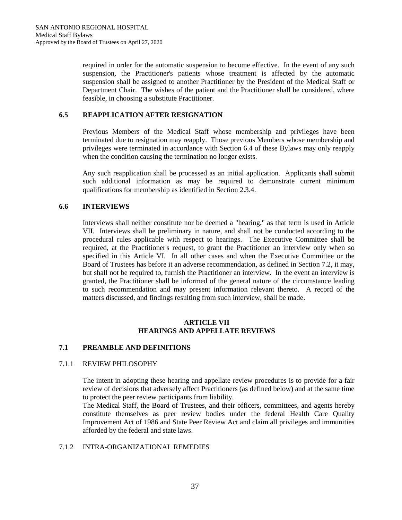required in order for the automatic suspension to become effective. In the event of any such suspension, the Practitioner's patients whose treatment is affected by the automatic suspension shall be assigned to another Practitioner by the President of the Medical Staff or Department Chair. The wishes of the patient and the Practitioner shall be considered, where feasible, in choosing a substitute Practitioner.

# **6.5 REAPPLICATION AFTER RESIGNATION**

Previous Members of the Medical Staff whose membership and privileges have been terminated due to resignation may reapply. Those previous Members whose membership and privileges were terminated in accordance with Section 6.4 of these Bylaws may only reapply when the condition causing the termination no longer exists.

Any such reapplication shall be processed as an initial application. Applicants shall submit such additional information as may be required to demonstrate current minimum qualifications for membership as identified in Section 2.3.4.

# **6.6 INTERVIEWS**

Interviews shall neither constitute nor be deemed a "hearing," as that term is used in Article VII. Interviews shall be preliminary in nature, and shall not be conducted according to the procedural rules applicable with respect to hearings. The Executive Committee shall be required, at the Practitioner's request, to grant the Practitioner an interview only when so specified in this Article VI. In all other cases and when the Executive Committee or the Board of Trustees has before it an adverse recommendation, as defined in Section 7.2, it may, but shall not be required to, furnish the Practitioner an interview. In the event an interview is granted, the Practitioner shall be informed of the general nature of the circumstance leading to such recommendation and may present information relevant thereto. A record of the matters discussed, and findings resulting from such interview, shall be made.

#### **ARTICLE VII HEARINGS AND APPELLATE REVIEWS**

## **7.1 PREAMBLE AND DEFINITIONS**

## 7.1.1 REVIEW PHILOSOPHY

The intent in adopting these hearing and appellate review procedures is to provide for a fair review of decisions that adversely affect Practitioners (as defined below) and at the same time to protect the peer review participants from liability.

The Medical Staff, the Board of Trustees, and their officers, committees, and agents hereby constitute themselves as peer review bodies under the federal Health Care Quality Improvement Act of 1986 and State Peer Review Act and claim all privileges and immunities afforded by the federal and state laws.

#### 7.1.2 INTRA-ORGANIZATIONAL REMEDIES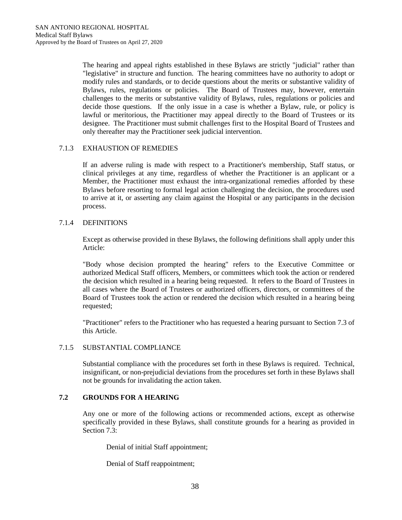The hearing and appeal rights established in these Bylaws are strictly "judicial" rather than "legislative" in structure and function. The hearing committees have no authority to adopt or modify rules and standards, or to decide questions about the merits or substantive validity of Bylaws, rules, regulations or policies. The Board of Trustees may, however, entertain challenges to the merits or substantive validity of Bylaws, rules, regulations or policies and decide those questions. If the only issue in a case is whether a Bylaw, rule, or policy is lawful or meritorious, the Practitioner may appeal directly to the Board of Trustees or its designee. The Practitioner must submit challenges first to the Hospital Board of Trustees and only thereafter may the Practitioner seek judicial intervention.

# 7.1.3 EXHAUSTION OF REMEDIES

If an adverse ruling is made with respect to a Practitioner's membership, Staff status, or clinical privileges at any time, regardless of whether the Practitioner is an applicant or a Member, the Practitioner must exhaust the intra-organizational remedies afforded by these Bylaws before resorting to formal legal action challenging the decision, the procedures used to arrive at it, or asserting any claim against the Hospital or any participants in the decision process.

## 7.1.4 DEFINITIONS

Except as otherwise provided in these Bylaws, the following definitions shall apply under this Article:

"Body whose decision prompted the hearing" refers to the Executive Committee or authorized Medical Staff officers, Members, or committees which took the action or rendered the decision which resulted in a hearing being requested. It refers to the Board of Trustees in all cases where the Board of Trustees or authorized officers, directors, or committees of the Board of Trustees took the action or rendered the decision which resulted in a hearing being requested;

"Practitioner" refers to the Practitioner who has requested a hearing pursuant to Section 7.3 of this Article.

## 7.1.5 SUBSTANTIAL COMPLIANCE

Substantial compliance with the procedures set forth in these Bylaws is required. Technical, insignificant, or non-prejudicial deviations from the procedures set forth in these Bylaws shall not be grounds for invalidating the action taken.

# **7.2 GROUNDS FOR A HEARING**

Any one or more of the following actions or recommended actions, except as otherwise specifically provided in these Bylaws, shall constitute grounds for a hearing as provided in Section 7.3:

Denial of initial Staff appointment;

Denial of Staff reappointment;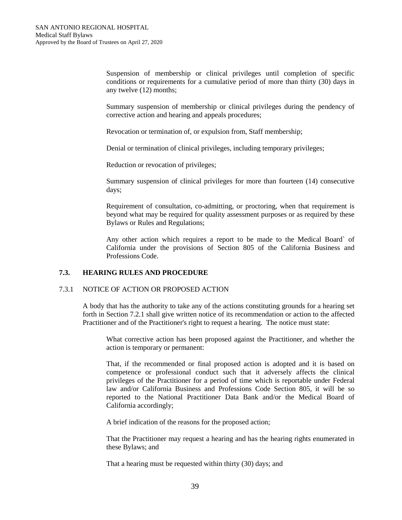Suspension of membership or clinical privileges until completion of specific conditions or requirements for a cumulative period of more than thirty (30) days in any twelve (12) months;

Summary suspension of membership or clinical privileges during the pendency of corrective action and hearing and appeals procedures;

Revocation or termination of, or expulsion from, Staff membership;

Denial or termination of clinical privileges, including temporary privileges;

Reduction or revocation of privileges;

Summary suspension of clinical privileges for more than fourteen (14) consecutive days;

Requirement of consultation, co-admitting, or proctoring, when that requirement is beyond what may be required for quality assessment purposes or as required by these Bylaws or Rules and Regulations;

Any other action which requires a report to be made to the Medical Board` of California under the provisions of Section 805 of the California Business and Professions Code.

## **7.3. HEARING RULES AND PROCEDURE**

#### 7.3.1 NOTICE OF ACTION OR PROPOSED ACTION

A body that has the authority to take any of the actions constituting grounds for a hearing set forth in Section 7.2.1 shall give written notice of its recommendation or action to the affected Practitioner and of the Practitioner's right to request a hearing. The notice must state:

What corrective action has been proposed against the Practitioner, and whether the action is temporary or permanent:

That, if the recommended or final proposed action is adopted and it is based on competence or professional conduct such that it adversely affects the clinical privileges of the Practitioner for a period of time which is reportable under Federal law and/or California Business and Professions Code Section 805, it will be so reported to the National Practitioner Data Bank and/or the Medical Board of California accordingly;

A brief indication of the reasons for the proposed action;

That the Practitioner may request a hearing and has the hearing rights enumerated in these Bylaws; and

That a hearing must be requested within thirty (30) days; and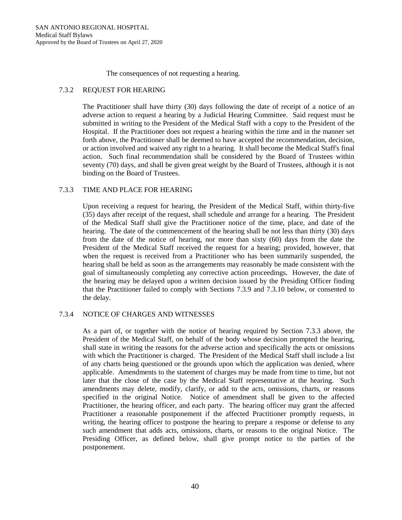The consequences of not requesting a hearing.

# 7.3.2 REQUEST FOR HEARING

The Practitioner shall have thirty (30) days following the date of receipt of a notice of an adverse action to request a hearing by a Judicial Hearing Committee. Said request must be submitted in writing to the President of the Medical Staff with a copy to the President of the Hospital. If the Practitioner does not request a hearing within the time and in the manner set forth above, the Practitioner shall be deemed to have accepted the recommendation, decision, or action involved and waived any right to a hearing. It shall become the Medical Staff's final action. Such final recommendation shall be considered by the Board of Trustees within seventy (70) days, and shall be given great weight by the Board of Trustees, although it is not binding on the Board of Trustees.

# 7.3.3 TIME AND PLACE FOR HEARING

Upon receiving a request for hearing, the President of the Medical Staff, within thirty-five (35) days after receipt of the request, shall schedule and arrange for a hearing. The President of the Medical Staff shall give the Practitioner notice of the time, place, and date of the hearing. The date of the commencement of the hearing shall be not less than thirty (30) days from the date of the notice of hearing, nor more than sixty (60) days from the date the President of the Medical Staff received the request for a hearing; provided, however, that when the request is received from a Practitioner who has been summarily suspended, the hearing shall be held as soon as the arrangements may reasonably be made consistent with the goal of simultaneously completing any corrective action proceedings. However, the date of the hearing may be delayed upon a written decision issued by the Presiding Officer finding that the Practitioner failed to comply with Sections 7.3.9 and 7.3.10 below, or consented to the delay.

## 7.3.4 NOTICE OF CHARGES AND WITNESSES

As a part of, or together with the notice of hearing required by Section 7.3.3 above, the President of the Medical Staff, on behalf of the body whose decision prompted the hearing, shall state in writing the reasons for the adverse action and specifically the acts or omissions with which the Practitioner is charged. The President of the Medical Staff shall include a list of any charts being questioned or the grounds upon which the application was denied, where applicable. Amendments to the statement of charges may be made from time to time, but not later that the close of the case by the Medical Staff representative at the hearing. Such amendments may delete, modify, clarify, or add to the acts, omissions, charts, or reasons specified in the original Notice. Notice of amendment shall be given to the affected Practitioner, the hearing officer, and each party. The hearing officer may grant the affected Practitioner a reasonable postponement if the affected Practitioner promptly requests, in writing, the hearing officer to postpone the hearing to prepare a response or defense to any such amendment that adds acts, omissions, charts, or reasons to the original Notice. The Presiding Officer, as defined below, shall give prompt notice to the parties of the postponement.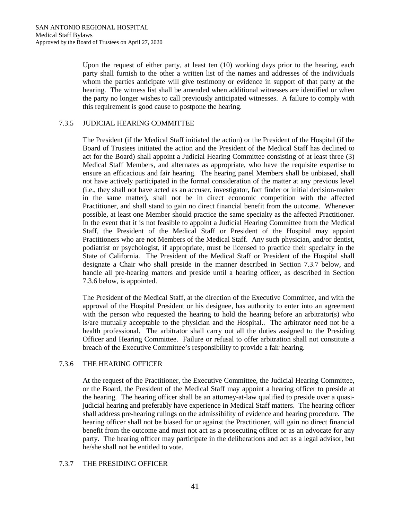Upon the request of either party, at least ten (10) working days prior to the hearing, each party shall furnish to the other a written list of the names and addresses of the individuals whom the parties anticipate will give testimony or evidence in support of that party at the hearing. The witness list shall be amended when additional witnesses are identified or when the party no longer wishes to call previously anticipated witnesses. A failure to comply with this requirement is good cause to postpone the hearing.

## 7.3.5 JUDICIAL HEARING COMMITTEE

The President (if the Medical Staff initiated the action) or the President of the Hospital (if the Board of Trustees initiated the action and the President of the Medical Staff has declined to act for the Board) shall appoint a Judicial Hearing Committee consisting of at least three (3) Medical Staff Members, and alternates as appropriate, who have the requisite expertise to ensure an efficacious and fair hearing. The hearing panel Members shall be unbiased, shall not have actively participated in the formal consideration of the matter at any previous level (i.e., they shall not have acted as an accuser, investigator, fact finder or initial decision-maker in the same matter), shall not be in direct economic competition with the affected Practitioner, and shall stand to gain no direct financial benefit from the outcome. Whenever possible, at least one Member should practice the same specialty as the affected Practitioner. In the event that it is not feasible to appoint a Judicial Hearing Committee from the Medical Staff, the President of the Medical Staff or President of the Hospital may appoint Practitioners who are not Members of the Medical Staff. Any such physician, and/or dentist, podiatrist or psychologist, if appropriate, must be licensed to practice their specialty in the State of California. The President of the Medical Staff or President of the Hospital shall designate a Chair who shall preside in the manner described in Section 7.3.7 below, and handle all pre-hearing matters and preside until a hearing officer, as described in Section 7.3.6 below, is appointed.

The President of the Medical Staff, at the direction of the Executive Committee, and with the approval of the Hospital President or his designee, has authority to enter into an agreement with the person who requested the hearing to hold the hearing before an arbitrator(s) who is/are mutually acceptable to the physician and the Hospital.. The arbitrator need not be a health professional. The arbitrator shall carry out all the duties assigned to the Presiding Officer and Hearing Committee. Failure or refusal to offer arbitration shall not constitute a breach of the Executive Committee's responsibility to provide a fair hearing.

## 7.3.6 THE HEARING OFFICER

At the request of the Practitioner, the Executive Committee, the Judicial Hearing Committee, or the Board, the President of the Medical Staff may appoint a hearing officer to preside at the hearing. The hearing officer shall be an attorney-at-law qualified to preside over a quasijudicial hearing and preferably have experience in Medical Staff matters. The hearing officer shall address pre-hearing rulings on the admissibility of evidence and hearing procedure. The hearing officer shall not be biased for or against the Practitioner, will gain no direct financial benefit from the outcome and must not act as a prosecuting officer or as an advocate for any party. The hearing officer may participate in the deliberations and act as a legal advisor, but he/she shall not be entitled to vote.

## 7.3.7 THE PRESIDING OFFICER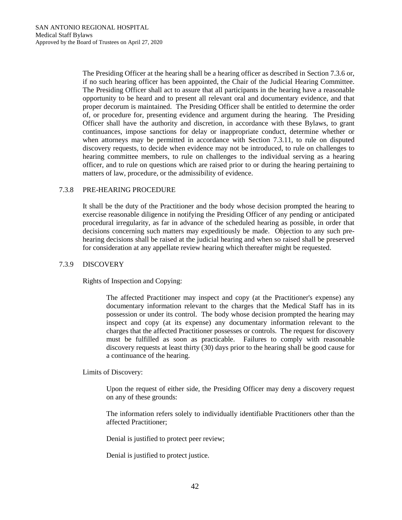The Presiding Officer at the hearing shall be a hearing officer as described in Section 7.3.6 or, if no such hearing officer has been appointed, the Chair of the Judicial Hearing Committee. The Presiding Officer shall act to assure that all participants in the hearing have a reasonable opportunity to be heard and to present all relevant oral and documentary evidence, and that proper decorum is maintained. The Presiding Officer shall be entitled to determine the order of, or procedure for, presenting evidence and argument during the hearing. The Presiding Officer shall have the authority and discretion, in accordance with these Bylaws, to grant continuances, impose sanctions for delay or inappropriate conduct, determine whether or when attorneys may be permitted in accordance with Section 7.3.11, to rule on disputed discovery requests, to decide when evidence may not be introduced, to rule on challenges to hearing committee members, to rule on challenges to the individual serving as a hearing officer, and to rule on questions which are raised prior to or during the hearing pertaining to matters of law, procedure, or the admissibility of evidence.

## 7.3.8 PRE-HEARING PROCEDURE

It shall be the duty of the Practitioner and the body whose decision prompted the hearing to exercise reasonable diligence in notifying the Presiding Officer of any pending or anticipated procedural irregularity, as far in advance of the scheduled hearing as possible, in order that decisions concerning such matters may expeditiously be made. Objection to any such prehearing decisions shall be raised at the judicial hearing and when so raised shall be preserved for consideration at any appellate review hearing which thereafter might be requested.

## 7.3.9 DISCOVERY

Rights of Inspection and Copying:

The affected Practitioner may inspect and copy (at the Practitioner's expense) any documentary information relevant to the charges that the Medical Staff has in its possession or under its control. The body whose decision prompted the hearing may inspect and copy (at its expense) any documentary information relevant to the charges that the affected Practitioner possesses or controls. The request for discovery must be fulfilled as soon as practicable. Failures to comply with reasonable discovery requests at least thirty (30) days prior to the hearing shall be good cause for a continuance of the hearing.

Limits of Discovery:

Upon the request of either side, the Presiding Officer may deny a discovery request on any of these grounds:

The information refers solely to individually identifiable Practitioners other than the affected Practitioner;

Denial is justified to protect peer review;

Denial is justified to protect justice.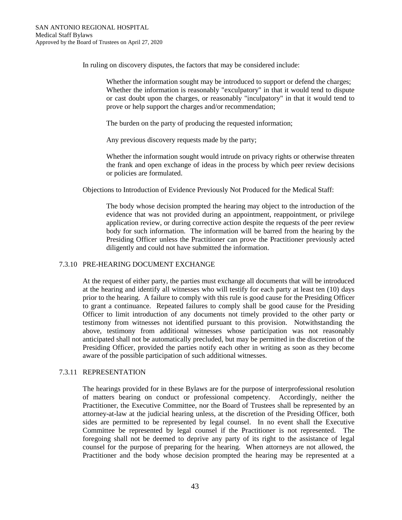In ruling on discovery disputes, the factors that may be considered include:

Whether the information sought may be introduced to support or defend the charges; Whether the information is reasonably "exculpatory" in that it would tend to dispute or cast doubt upon the charges, or reasonably "inculpatory" in that it would tend to prove or help support the charges and/or recommendation;

The burden on the party of producing the requested information;

Any previous discovery requests made by the party;

Whether the information sought would intrude on privacy rights or otherwise threaten the frank and open exchange of ideas in the process by which peer review decisions or policies are formulated.

Objections to Introduction of Evidence Previously Not Produced for the Medical Staff:

The body whose decision prompted the hearing may object to the introduction of the evidence that was not provided during an appointment, reappointment, or privilege application review, or during corrective action despite the requests of the peer review body for such information. The information will be barred from the hearing by the Presiding Officer unless the Practitioner can prove the Practitioner previously acted diligently and could not have submitted the information.

## 7.3.10 PRE-HEARING DOCUMENT EXCHANGE

At the request of either party, the parties must exchange all documents that will be introduced at the hearing and identify all witnesses who will testify for each party at least ten (10) days prior to the hearing. A failure to comply with this rule is good cause for the Presiding Officer to grant a continuance. Repeated failures to comply shall be good cause for the Presiding Officer to limit introduction of any documents not timely provided to the other party or testimony from witnesses not identified pursuant to this provision. Notwithstanding the above, testimony from additional witnesses whose participation was not reasonably anticipated shall not be automatically precluded, but may be permitted in the discretion of the Presiding Officer, provided the parties notify each other in writing as soon as they become aware of the possible participation of such additional witnesses.

## 7.3.11 REPRESENTATION

The hearings provided for in these Bylaws are for the purpose of interprofessional resolution of matters bearing on conduct or professional competency. Accordingly, neither the Practitioner, the Executive Committee, nor the Board of Trustees shall be represented by an attorney-at-law at the judicial hearing unless, at the discretion of the Presiding Officer, both sides are permitted to be represented by legal counsel. In no event shall the Executive Committee be represented by legal counsel if the Practitioner is not represented. The foregoing shall not be deemed to deprive any party of its right to the assistance of legal counsel for the purpose of preparing for the hearing. When attorneys are not allowed, the Practitioner and the body whose decision prompted the hearing may be represented at a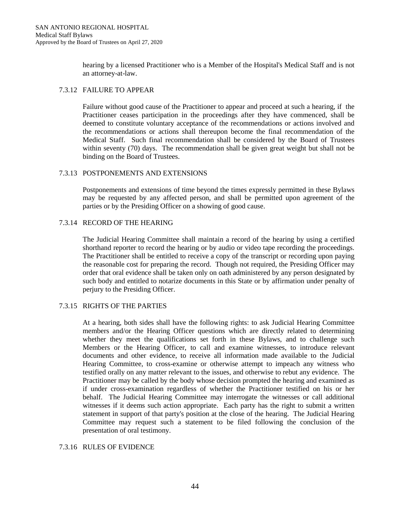hearing by a licensed Practitioner who is a Member of the Hospital's Medical Staff and is not an attorney-at-law.

# 7.3.12 FAILURE TO APPEAR

Failure without good cause of the Practitioner to appear and proceed at such a hearing, if the Practitioner ceases participation in the proceedings after they have commenced, shall be deemed to constitute voluntary acceptance of the recommendations or actions involved and the recommendations or actions shall thereupon become the final recommendation of the Medical Staff. Such final recommendation shall be considered by the Board of Trustees within seventy (70) days. The recommendation shall be given great weight but shall not be binding on the Board of Trustees.

## 7.3.13 POSTPONEMENTS AND EXTENSIONS

Postponements and extensions of time beyond the times expressly permitted in these Bylaws may be requested by any affected person, and shall be permitted upon agreement of the parties or by the Presiding Officer on a showing of good cause.

## 7.3.14 RECORD OF THE HEARING

The Judicial Hearing Committee shall maintain a record of the hearing by using a certified shorthand reporter to record the hearing or by audio or video tape recording the proceedings. The Practitioner shall be entitled to receive a copy of the transcript or recording upon paying the reasonable cost for preparing the record. Though not required, the Presiding Officer may order that oral evidence shall be taken only on oath administered by any person designated by such body and entitled to notarize documents in this State or by affirmation under penalty of perjury to the Presiding Officer.

## 7.3.15 RIGHTS OF THE PARTIES

At a hearing, both sides shall have the following rights: to ask Judicial Hearing Committee members and/or the Hearing Officer questions which are directly related to determining whether they meet the qualifications set forth in these Bylaws, and to challenge such Members or the Hearing Officer, to call and examine witnesses, to introduce relevant documents and other evidence, to receive all information made available to the Judicial Hearing Committee, to cross-examine or otherwise attempt to impeach any witness who testified orally on any matter relevant to the issues, and otherwise to rebut any evidence. The Practitioner may be called by the body whose decision prompted the hearing and examined as if under cross-examination regardless of whether the Practitioner testified on his or her behalf. The Judicial Hearing Committee may interrogate the witnesses or call additional witnesses if it deems such action appropriate. Each party has the right to submit a written statement in support of that party's position at the close of the hearing. The Judicial Hearing Committee may request such a statement to be filed following the conclusion of the presentation of oral testimony.

## 7.3.16 RULES OF EVIDENCE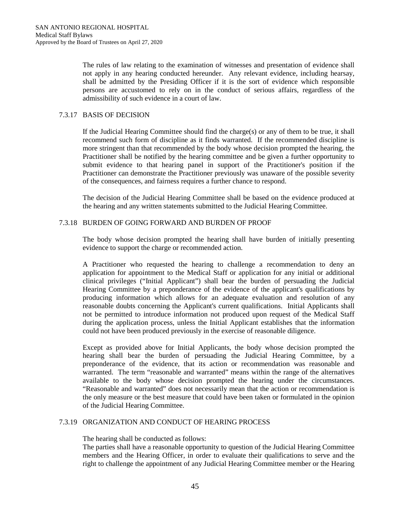The rules of law relating to the examination of witnesses and presentation of evidence shall not apply in any hearing conducted hereunder. Any relevant evidence, including hearsay, shall be admitted by the Presiding Officer if it is the sort of evidence which responsible persons are accustomed to rely on in the conduct of serious affairs, regardless of the admissibility of such evidence in a court of law.

#### 7.3.17 BASIS OF DECISION

If the Judicial Hearing Committee should find the charge(s) or any of them to be true, it shall recommend such form of discipline as it finds warranted. If the recommended discipline is more stringent than that recommended by the body whose decision prompted the hearing, the Practitioner shall be notified by the hearing committee and be given a further opportunity to submit evidence to that hearing panel in support of the Practitioner's position if the Practitioner can demonstrate the Practitioner previously was unaware of the possible severity of the consequences, and fairness requires a further chance to respond.

The decision of the Judicial Hearing Committee shall be based on the evidence produced at the hearing and any written statements submitted to the Judicial Hearing Committee.

#### 7.3.18 BURDEN OF GOING FORWARD AND BURDEN OF PROOF

The body whose decision prompted the hearing shall have burden of initially presenting evidence to support the charge or recommended action.

A Practitioner who requested the hearing to challenge a recommendation to deny an application for appointment to the Medical Staff or application for any initial or additional clinical privileges ("Initial Applicant") shall bear the burden of persuading the Judicial Hearing Committee by a preponderance of the evidence of the applicant's qualifications by producing information which allows for an adequate evaluation and resolution of any reasonable doubts concerning the Applicant's current qualifications. Initial Applicants shall not be permitted to introduce information not produced upon request of the Medical Staff during the application process, unless the Initial Applicant establishes that the information could not have been produced previously in the exercise of reasonable diligence.

Except as provided above for Initial Applicants, the body whose decision prompted the hearing shall bear the burden of persuading the Judicial Hearing Committee, by a preponderance of the evidence, that its action or recommendation was reasonable and warranted. The term "reasonable and warranted" means within the range of the alternatives available to the body whose decision prompted the hearing under the circumstances. "Reasonable and warranted" does not necessarily mean that the action or recommendation is the only measure or the best measure that could have been taken or formulated in the opinion of the Judicial Hearing Committee.

# 7.3.19 ORGANIZATION AND CONDUCT OF HEARING PROCESS

The hearing shall be conducted as follows:

The parties shall have a reasonable opportunity to question of the Judicial Hearing Committee members and the Hearing Officer, in order to evaluate their qualifications to serve and the right to challenge the appointment of any Judicial Hearing Committee member or the Hearing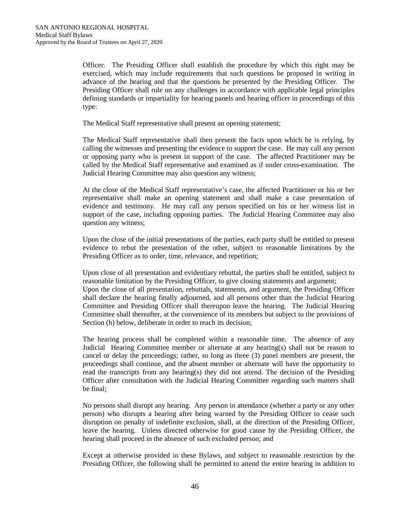Officer. The Presiding Officer shall establish the procedure by which this right may be exercised, which may include requirements that such questions be proposed in writing in advance of the hearing and that the questions be presented by the Presiding Officer. The Presiding Officer shall rule on any challenges in accordance with applicable legal principles defining standards or impartiality for hearing panels and hearing officer in proceedings of this type:

The Medical Staff representative shall present an opening statement;

The Medical Staff representative shall then present the facts upon which he is relying, by calling the witnesses and presenting the evidence to support the case. He may call any person or opposing party who is present in support of the case. The affected Practitioner may be called by the Medical Staff representative and examined as if under cross-examination. The Judicial Hearing Committee may also question any witness;

At the close of the Medical Staff representative's case, the affected Practitioner or his or her representative shall make an opening statement and shall make a case presentation of evidence and testimony. He may call any person specified on his or her witness list in support of the case, including opposing parties. The Judicial Hearing Committee may also question any witness;

Upon the close of the initial presentations of the parties, each party shall be entitled to present evidence to rebut the presentation of the other, subject to reasonable limitations by the Presiding Officer as to order, time, relevance, and repetition;

Upon close of all presentation and evidentiary rebuttal, the parties shall be entitled, subject to reasonable limitation by the Presiding Officer, to give closing statements and argument; Upon the close of all presentation, rebuttals, statements, and argument, the Presiding Officer shall declare the hearing finally adjourned, and all persons other than the Judicial Hearing Committee and Presiding Officer shall thereupon leave the hearing. The Judicial Hearing Committee shall thereafter, at the convenience of its members but subject to the provisions of Section (h) below, deliberate in order to reach its decision;

The hearing process shall be completed within a reasonable time. The absence of any Judicial Hearing Committee member or alternate at any hearing(s) shall not be reason to cancel or delay the proceedings; rather, so long as three (3) panel members are present, the proceedings shall continue, and the absent member or alternate will have the opportunity to read the transcripts from any hearing(s) they did not attend. The decision of the Presiding Officer after consultation with the Judicial Hearing Committee regarding such matters shall be final;

No persons shall disrupt any hearing. Any person in attendance (whether a party or any other person) who disrupts a hearing after being warned by the Presiding Officer to cease such disruption on penalty of indefinite exclusion, shall, at the direction of the Presiding Officer, leave the hearing. Unless directed otherwise for good cause by the Presiding Officer, the hearing shall proceed in the absence of such excluded person; and

Except at otherwise provided in these Bylaws, and subject to reasonable restriction by the Presiding Officer, the following shall be permitted to attend the entire hearing in addition to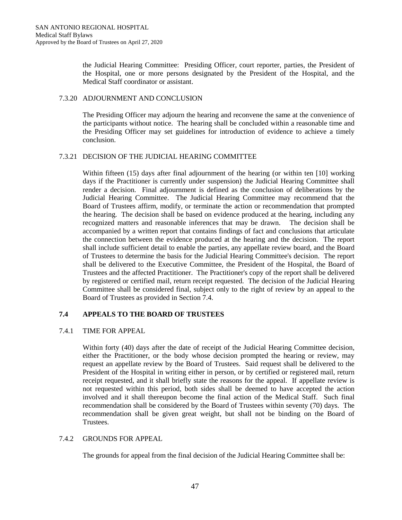the Judicial Hearing Committee: Presiding Officer, court reporter, parties, the President of the Hospital, one or more persons designated by the President of the Hospital, and the Medical Staff coordinator or assistant.

#### 7.3.20 ADJOURNMENT AND CONCLUSION

The Presiding Officer may adjourn the hearing and reconvene the same at the convenience of the participants without notice. The hearing shall be concluded within a reasonable time and the Presiding Officer may set guidelines for introduction of evidence to achieve a timely conclusion.

#### 7.3.21 DECISION OF THE JUDICIAL HEARING COMMITTEE

Within fifteen (15) days after final adjournment of the hearing (or within ten [10] working days if the Practitioner is currently under suspension) the Judicial Hearing Committee shall render a decision. Final adjournment is defined as the conclusion of deliberations by the Judicial Hearing Committee. The Judicial Hearing Committee may recommend that the Board of Trustees affirm, modify, or terminate the action or recommendation that prompted the hearing. The decision shall be based on evidence produced at the hearing, including any recognized matters and reasonable inferences that may be drawn. The decision shall be accompanied by a written report that contains findings of fact and conclusions that articulate the connection between the evidence produced at the hearing and the decision. The report shall include sufficient detail to enable the parties, any appellate review board, and the Board of Trustees to determine the basis for the Judicial Hearing Committee's decision. The report shall be delivered to the Executive Committee, the President of the Hospital, the Board of Trustees and the affected Practitioner. The Practitioner's copy of the report shall be delivered by registered or certified mail, return receipt requested. The decision of the Judicial Hearing Committee shall be considered final, subject only to the right of review by an appeal to the Board of Trustees as provided in Section 7.4.

## **7.4 APPEALS TO THE BOARD OF TRUSTEES**

## 7.4.1 TIME FOR APPEAL

Within forty (40) days after the date of receipt of the Judicial Hearing Committee decision, either the Practitioner, or the body whose decision prompted the hearing or review, may request an appellate review by the Board of Trustees. Said request shall be delivered to the President of the Hospital in writing either in person, or by certified or registered mail, return receipt requested, and it shall briefly state the reasons for the appeal. If appellate review is not requested within this period, both sides shall be deemed to have accepted the action involved and it shall thereupon become the final action of the Medical Staff. Such final recommendation shall be considered by the Board of Trustees within seventy (70) days. The recommendation shall be given great weight, but shall not be binding on the Board of Trustees.

## 7.4.2 GROUNDS FOR APPEAL

The grounds for appeal from the final decision of the Judicial Hearing Committee shall be: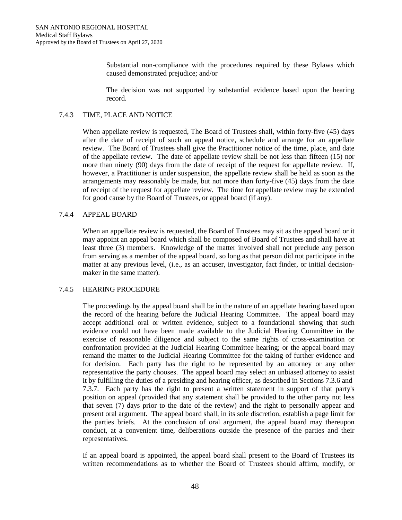Substantial non-compliance with the procedures required by these Bylaws which caused demonstrated prejudice; and/or

The decision was not supported by substantial evidence based upon the hearing record.

#### 7.4.3 TIME, PLACE AND NOTICE

When appellate review is requested, The Board of Trustees shall, within forty-five (45) days after the date of receipt of such an appeal notice, schedule and arrange for an appellate review. The Board of Trustees shall give the Practitioner notice of the time, place, and date of the appellate review. The date of appellate review shall be not less than fifteen (15) nor more than ninety (90) days from the date of receipt of the request for appellate review. If, however, a Practitioner is under suspension, the appellate review shall be held as soon as the arrangements may reasonably be made, but not more than forty-five (45) days from the date of receipt of the request for appellate review. The time for appellate review may be extended for good cause by the Board of Trustees, or appeal board (if any).

#### 7.4.4 APPEAL BOARD

When an appellate review is requested, the Board of Trustees may sit as the appeal board or it may appoint an appeal board which shall be composed of Board of Trustees and shall have at least three (3) members. Knowledge of the matter involved shall not preclude any person from serving as a member of the appeal board, so long as that person did not participate in the matter at any previous level, (i.e., as an accuser, investigator, fact finder, or initial decisionmaker in the same matter).

## 7.4.5 HEARING PROCEDURE

The proceedings by the appeal board shall be in the nature of an appellate hearing based upon the record of the hearing before the Judicial Hearing Committee. The appeal board may accept additional oral or written evidence, subject to a foundational showing that such evidence could not have been made available to the Judicial Hearing Committee in the exercise of reasonable diligence and subject to the same rights of cross-examination or confrontation provided at the Judicial Hearing Committee hearing; or the appeal board may remand the matter to the Judicial Hearing Committee for the taking of further evidence and for decision. Each party has the right to be represented by an attorney or any other representative the party chooses. The appeal board may select an unbiased attorney to assist it by fulfilling the duties of a presiding and hearing officer, as described in Sections 7.3.6 and 7.3.7. Each party has the right to present a written statement in support of that party's position on appeal (provided that any statement shall be provided to the other party not less that seven (7) days prior to the date of the review) and the right to personally appear and present oral argument. The appeal board shall, in its sole discretion, establish a page limit for the parties briefs. At the conclusion of oral argument, the appeal board may thereupon conduct, at a convenient time, deliberations outside the presence of the parties and their representatives.

If an appeal board is appointed, the appeal board shall present to the Board of Trustees its written recommendations as to whether the Board of Trustees should affirm, modify, or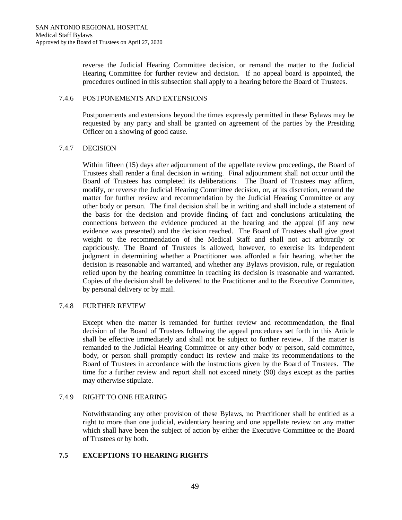reverse the Judicial Hearing Committee decision, or remand the matter to the Judicial Hearing Committee for further review and decision. If no appeal board is appointed, the procedures outlined in this subsection shall apply to a hearing before the Board of Trustees.

#### 7.4.6 POSTPONEMENTS AND EXTENSIONS

Postponements and extensions beyond the times expressly permitted in these Bylaws may be requested by any party and shall be granted on agreement of the parties by the Presiding Officer on a showing of good cause.

## 7.4.7 DECISION

Within fifteen (15) days after adjournment of the appellate review proceedings, the Board of Trustees shall render a final decision in writing. Final adjournment shall not occur until the Board of Trustees has completed its deliberations. The Board of Trustees may affirm, modify, or reverse the Judicial Hearing Committee decision, or, at its discretion, remand the matter for further review and recommendation by the Judicial Hearing Committee or any other body or person. The final decision shall be in writing and shall include a statement of the basis for the decision and provide finding of fact and conclusions articulating the connections between the evidence produced at the hearing and the appeal (if any new evidence was presented) and the decision reached. The Board of Trustees shall give great weight to the recommendation of the Medical Staff and shall not act arbitrarily or capriciously. The Board of Trustees is allowed, however, to exercise its independent judgment in determining whether a Practitioner was afforded a fair hearing, whether the decision is reasonable and warranted, and whether any Bylaws provision, rule, or regulation relied upon by the hearing committee in reaching its decision is reasonable and warranted. Copies of the decision shall be delivered to the Practitioner and to the Executive Committee, by personal delivery or by mail.

## 7.4.8 FURTHER REVIEW

Except when the matter is remanded for further review and recommendation, the final decision of the Board of Trustees following the appeal procedures set forth in this Article shall be effective immediately and shall not be subject to further review. If the matter is remanded to the Judicial Hearing Committee or any other body or person, said committee, body, or person shall promptly conduct its review and make its recommendations to the Board of Trustees in accordance with the instructions given by the Board of Trustees. The time for a further review and report shall not exceed ninety (90) days except as the parties may otherwise stipulate.

## 7.4.9 RIGHT TO ONE HEARING

Notwithstanding any other provision of these Bylaws, no Practitioner shall be entitled as a right to more than one judicial, evidentiary hearing and one appellate review on any matter which shall have been the subject of action by either the Executive Committee or the Board of Trustees or by both.

## **7.5 EXCEPTIONS TO HEARING RIGHTS**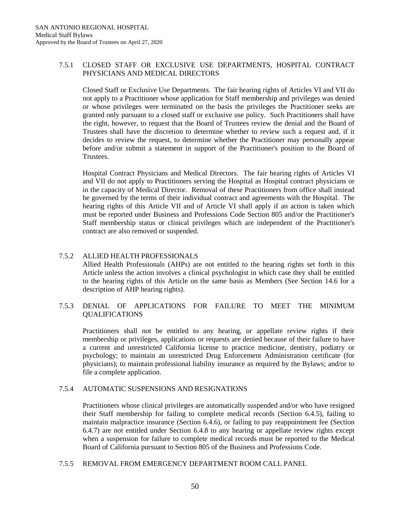# 7.5.1 CLOSED STAFF OR EXCLUSIVE USE DEPARTMENTS, HOSPITAL CONTRACT PHYSICIANS AND MEDICAL DIRECTORS

Closed Staff or Exclusive Use Departments. The fair hearing rights of Articles VI and VII do not apply to a Practitioner whose application for Staff membership and privileges was denied or whose privileges were terminated on the basis the privileges the Practitioner seeks are granted only pursuant to a closed staff or exclusive use policy. Such Practitioners shall have the right, however, to request that the Board of Trustees review the denial and the Board of Trustees shall have the discretion to determine whether to review such a request and, if it decides to review the request, to determine whether the Practitioner may personally appear before and/or submit a statement in support of the Practitioner's position to the Board of Trustees.

Hospital Contract Physicians and Medical Directors. The fair hearing rights of Articles VI and VII do not apply to Practitioners serving the Hospital as Hospital contract physicians or in the capacity of Medical Director. Removal of these Practitioners from office shall instead be governed by the terms of their individual contract and agreements with the Hospital. The hearing rights of this Article VII and of Article VI shall apply if an action is taken which must be reported under Business and Professions Code Section 805 and/or the Practitioner's Staff membership status or clinical privileges which are independent of the Practitioner's contract are also removed or suspended.

## 7.5.2 ALLIED HEALTH PROFESSIONALS

Allied Health Professionals (AHPs) are not entitled to the hearing rights set forth in this Article unless the action involves a clinical psychologist in which case they shall be entitled to the hearing rights of this Article on the same basis as Members (See Section 14.6 for a description of AHP hearing rights).

# 7.5.3 DENIAL OF APPLICATIONS FOR FAILURE TO MEET THE MINIMUM QUALIFICATIONS

Practitioners shall not be entitled to any hearing, or appellate review rights if their membership or privileges, applications or requests are denied because of their failure to have a current and unrestricted California license to practice medicine, dentistry, podiatry or psychology; to maintain an unrestricted Drug Enforcement Administration certificate (for physicians); to maintain professional liability insurance as required by the Bylaws; and/or to file a complete application.

#### 7.5.4 AUTOMATIC SUSPENSIONS AND RESIGNATIONS

Practitioners whose clinical privileges are automatically suspended and/or who have resigned their Staff membership for failing to complete medical records (Section 6.4.5), failing to maintain malpractice insurance (Section 6.4.6), or failing to pay reappointment fee (Section 6.4.7) are not entitled under Section 6.4.8 to any hearing or appellate review rights except when a suspension for failure to complete medical records must be reported to the Medical Board of California pursuant to Section 805 of the Business and Professions Code.

#### 7.5.5 REMOVAL FROM EMERGENCY DEPARTMENT ROOM CALL PANEL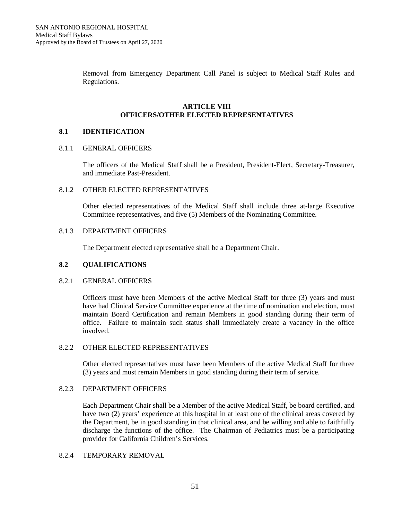Removal from Emergency Department Call Panel is subject to Medical Staff Rules and Regulations.

#### **ARTICLE VIII OFFICERS/OTHER ELECTED REPRESENTATIVES**

# **8.1 IDENTIFICATION**

#### 8.1.1 GENERAL OFFICERS

The officers of the Medical Staff shall be a President, President-Elect, Secretary-Treasurer, and immediate Past-President.

# 8.1.2 OTHER ELECTED REPRESENTATIVES

Other elected representatives of the Medical Staff shall include three at-large Executive Committee representatives, and five (5) Members of the Nominating Committee.

## 8.1.3 DEPARTMENT OFFICERS

The Department elected representative shall be a Department Chair.

#### **8.2 QUALIFICATIONS**

#### 8.2.1 GENERAL OFFICERS

Officers must have been Members of the active Medical Staff for three (3) years and must have had Clinical Service Committee experience at the time of nomination and election, must maintain Board Certification and remain Members in good standing during their term of office. Failure to maintain such status shall immediately create a vacancy in the office involved.

#### 8.2.2 OTHER ELECTED REPRESENTATIVES

Other elected representatives must have been Members of the active Medical Staff for three (3) years and must remain Members in good standing during their term of service.

#### 8.2.3 DEPARTMENT OFFICERS

Each Department Chair shall be a Member of the active Medical Staff, be board certified, and have two (2) years' experience at this hospital in at least one of the clinical areas covered by the Department, be in good standing in that clinical area, and be willing and able to faithfully discharge the functions of the office. The Chairman of Pediatrics must be a participating provider for California Children's Services.

#### 8.2.4 TEMPORARY REMOVAL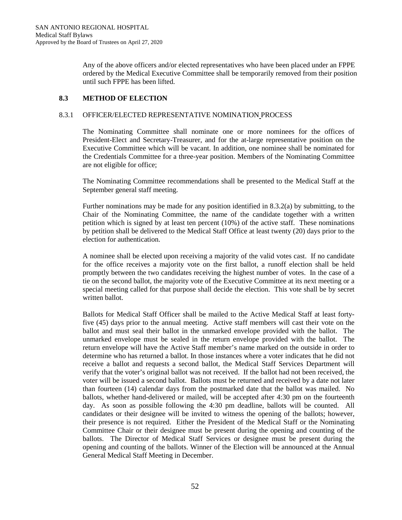Any of the above officers and/or elected representatives who have been placed under an FPPE ordered by the Medical Executive Committee shall be temporarily removed from their position until such FPPE has been lifted.

# **8.3 METHOD OF ELECTION**

## 8.3.1 OFFICER/ELECTED REPRESENTATIVE NOMINATION PROCESS

The Nominating Committee shall nominate one or more nominees for the offices of President-Elect and Secretary-Treasurer, and for the at-large representative position on the Executive Committee which will be vacant. In addition, one nominee shall be nominated for the Credentials Committee for a three-year position. Members of the Nominating Committee are not eligible for office;

The Nominating Committee recommendations shall be presented to the Medical Staff at the September general staff meeting.

Further nominations may be made for any position identified in 8.3.2(a) by submitting, to the Chair of the Nominating Committee, the name of the candidate together with a written petition which is signed by at least ten percent (10%) of the active staff. These nominations by petition shall be delivered to the Medical Staff Office at least twenty (20) days prior to the election for authentication.

A nominee shall be elected upon receiving a majority of the valid votes cast. If no candidate for the office receives a majority vote on the first ballot, a runoff election shall be held promptly between the two candidates receiving the highest number of votes. In the case of a tie on the second ballot, the majority vote of the Executive Committee at its next meeting or a special meeting called for that purpose shall decide the election. This vote shall be by secret written ballot.

Ballots for Medical Staff Officer shall be mailed to the Active Medical Staff at least fortyfive (45) days prior to the annual meeting. Active staff members will cast their vote on the ballot and must seal their ballot in the unmarked envelope provided with the ballot. The unmarked envelope must be sealed in the return envelope provided with the ballot. The return envelope will have the Active Staff member's name marked on the outside in order to determine who has returned a ballot. In those instances where a voter indicates that he did not receive a ballot and requests a second ballot, the Medical Staff Services Department will verify that the voter's original ballot was not received. If the ballot had not been received, the voter will be issued a second ballot. Ballots must be returned and received by a date not later than fourteen (14) calendar days from the postmarked date that the ballot was mailed. No ballots, whether hand-delivered or mailed, will be accepted after 4:30 pm on the fourteenth day. As soon as possible following the 4:30 pm deadline, ballots will be counted. All candidates or their designee will be invited to witness the opening of the ballots; however, their presence is not required. Either the President of the Medical Staff or the Nominating Committee Chair or their designee must be present during the opening and counting of the ballots. The Director of Medical Staff Services or designee must be present during the opening and counting of the ballots. Winner of the Election will be announced at the Annual General Medical Staff Meeting in December.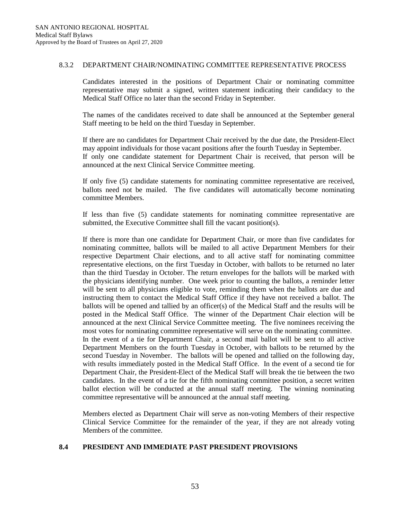#### 8.3.2 DEPARTMENT CHAIR/NOMINATING COMMITTEE REPRESENTATIVE PROCESS

Candidates interested in the positions of Department Chair or nominating committee representative may submit a signed, written statement indicating their candidacy to the Medical Staff Office no later than the second Friday in September.

The names of the candidates received to date shall be announced at the September general Staff meeting to be held on the third Tuesday in September.

If there are no candidates for Department Chair received by the due date, the President-Elect may appoint individuals for those vacant positions after the fourth Tuesday in September. If only one candidate statement for Department Chair is received, that person will be announced at the next Clinical Service Committee meeting.

If only five (5) candidate statements for nominating committee representative are received, ballots need not be mailed. The five candidates will automatically become nominating committee Members.

If less than five (5) candidate statements for nominating committee representative are submitted, the Executive Committee shall fill the vacant position(s).

If there is more than one candidate for Department Chair, or more than five candidates for nominating committee, ballots will be mailed to all active Department Members for their respective Department Chair elections, and to all active staff for nominating committee representative elections, on the first Tuesday in October, with ballots to be returned no later than the third Tuesday in October. The return envelopes for the ballots will be marked with the physicians identifying number. One week prior to counting the ballots, a reminder letter will be sent to all physicians eligible to vote, reminding them when the ballots are due and instructing them to contact the Medical Staff Office if they have not received a ballot. The ballots will be opened and tallied by an officer(s) of the Medical Staff and the results will be posted in the Medical Staff Office. The winner of the Department Chair election will be announced at the next Clinical Service Committee meeting. The five nominees receiving the most votes for nominating committee representative will serve on the nominating committee. In the event of a tie for Department Chair, a second mail ballot will be sent to all active Department Members on the fourth Tuesday in October, with ballots to be returned by the second Tuesday in November. The ballots will be opened and tallied on the following day, with results immediately posted in the Medical Staff Office. In the event of a second tie for Department Chair, the President-Elect of the Medical Staff will break the tie between the two candidates. In the event of a tie for the fifth nominating committee position, a secret written ballot election will be conducted at the annual staff meeting. The winning nominating committee representative will be announced at the annual staff meeting.

Members elected as Department Chair will serve as non-voting Members of their respective Clinical Service Committee for the remainder of the year, if they are not already voting Members of the committee.

#### **8.4 PRESIDENT AND IMMEDIATE PAST PRESIDENT PROVISIONS**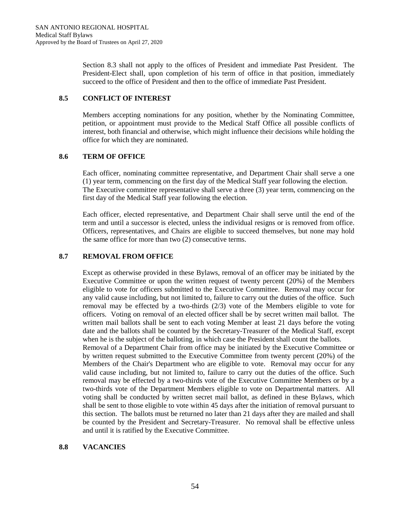Section 8.3 shall not apply to the offices of President and immediate Past President. The President-Elect shall, upon completion of his term of office in that position, immediately succeed to the office of President and then to the office of immediate Past President.

## **8.5 CONFLICT OF INTEREST**

Members accepting nominations for any position, whether by the Nominating Committee, petition, or appointment must provide to the Medical Staff Office all possible conflicts of interest, both financial and otherwise, which might influence their decisions while holding the office for which they are nominated.

# **8.6 TERM OF OFFICE**

Each officer, nominating committee representative, and Department Chair shall serve a one (1) year term, commencing on the first day of the Medical Staff year following the election. The Executive committee representative shall serve a three (3) year term, commencing on the first day of the Medical Staff year following the election.

Each officer, elected representative, and Department Chair shall serve until the end of the term and until a successor is elected, unless the individual resigns or is removed from office. Officers, representatives, and Chairs are eligible to succeed themselves, but none may hold the same office for more than two (2) consecutive terms.

# **8.7 REMOVAL FROM OFFICE**

Except as otherwise provided in these Bylaws, removal of an officer may be initiated by the Executive Committee or upon the written request of twenty percent (20%) of the Members eligible to vote for officers submitted to the Executive Committee. Removal may occur for any valid cause including, but not limited to, failure to carry out the duties of the office. Such removal may be effected by a two-thirds (2/3) vote of the Members eligible to vote for officers. Voting on removal of an elected officer shall be by secret written mail ballot. The written mail ballots shall be sent to each voting Member at least 21 days before the voting date and the ballots shall be counted by the Secretary-Treasurer of the Medical Staff, except when he is the subject of the balloting, in which case the President shall count the ballots. Removal of a Department Chair from office may be initiated by the Executive Committee or by written request submitted to the Executive Committee from twenty percent (20%) of the Members of the Chair's Department who are eligible to vote. Removal may occur for any valid cause including, but not limited to, failure to carry out the duties of the office. Such removal may be effected by a two-thirds vote of the Executive Committee Members or by a two-thirds vote of the Department Members eligible to vote on Departmental matters. All voting shall be conducted by written secret mail ballot, as defined in these Bylaws, which shall be sent to those eligible to vote within 45 days after the initiation of removal pursuant to this section. The ballots must be returned no later than 21 days after they are mailed and shall be counted by the President and Secretary-Treasurer. No removal shall be effective unless and until it is ratified by the Executive Committee.

## **8.8 VACANCIES**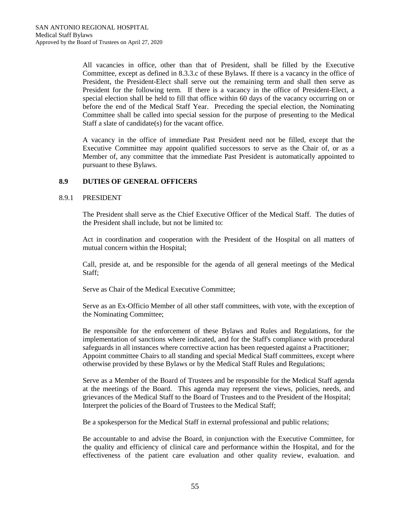All vacancies in office, other than that of President, shall be filled by the Executive Committee, except as defined in 8.3.3.c of these Bylaws. If there is a vacancy in the office of President, the President-Elect shall serve out the remaining term and shall then serve as President for the following term. If there is a vacancy in the office of President-Elect, a special election shall be held to fill that office within 60 days of the vacancy occurring on or before the end of the Medical Staff Year. Preceding the special election, the Nominating Committee shall be called into special session for the purpose of presenting to the Medical Staff a slate of candidate(s) for the vacant office.

A vacancy in the office of immediate Past President need not be filled, except that the Executive Committee may appoint qualified successors to serve as the Chair of, or as a Member of, any committee that the immediate Past President is automatically appointed to pursuant to these Bylaws.

## **8.9 DUTIES OF GENERAL OFFICERS**

#### 8.9.1 PRESIDENT

The President shall serve as the Chief Executive Officer of the Medical Staff. The duties of the President shall include, but not be limited to:

Act in coordination and cooperation with the President of the Hospital on all matters of mutual concern within the Hospital;

Call, preside at, and be responsible for the agenda of all general meetings of the Medical Staff;

Serve as Chair of the Medical Executive Committee;

Serve as an Ex-Officio Member of all other staff committees, with vote, with the exception of the Nominating Committee;

Be responsible for the enforcement of these Bylaws and Rules and Regulations, for the implementation of sanctions where indicated, and for the Staff's compliance with procedural safeguards in all instances where corrective action has been requested against a Practitioner; Appoint committee Chairs to all standing and special Medical Staff committees, except where otherwise provided by these Bylaws or by the Medical Staff Rules and Regulations;

Serve as a Member of the Board of Trustees and be responsible for the Medical Staff agenda at the meetings of the Board. This agenda may represent the views, policies, needs, and grievances of the Medical Staff to the Board of Trustees and to the President of the Hospital; Interpret the policies of the Board of Trustees to the Medical Staff;

Be a spokesperson for the Medical Staff in external professional and public relations;

Be accountable to and advise the Board, in conjunction with the Executive Committee, for the quality and efficiency of clinical care and performance within the Hospital, and for the effectiveness of the patient care evaluation and other quality review, evaluation. and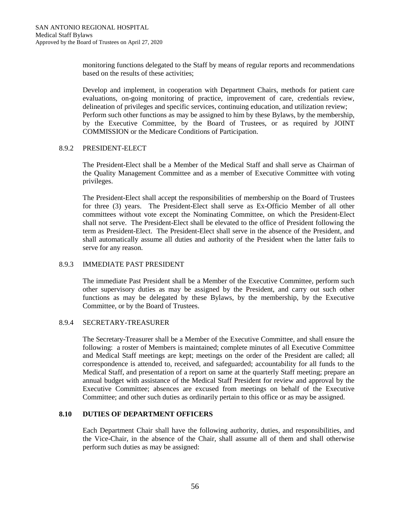monitoring functions delegated to the Staff by means of regular reports and recommendations based on the results of these activities;

Develop and implement, in cooperation with Department Chairs, methods for patient care evaluations, on-going monitoring of practice, improvement of care, credentials review, delineation of privileges and specific services, continuing education, and utilization review; Perform such other functions as may be assigned to him by these Bylaws, by the membership, by the Executive Committee, by the Board of Trustees, or as required by JOINT COMMISSION or the Medicare Conditions of Participation.

#### 8.9.2 PRESIDENT-ELECT

The President-Elect shall be a Member of the Medical Staff and shall serve as Chairman of the Quality Management Committee and as a member of Executive Committee with voting privileges.

The President-Elect shall accept the responsibilities of membership on the Board of Trustees for three (3) years. The President-Elect shall serve as Ex-Officio Member of all other committees without vote except the Nominating Committee, on which the President-Elect shall not serve. The President-Elect shall be elevated to the office of President following the term as President-Elect. The President-Elect shall serve in the absence of the President, and shall automatically assume all duties and authority of the President when the latter fails to serve for any reason.

#### 8.9.3 IMMEDIATE PAST PRESIDENT

The immediate Past President shall be a Member of the Executive Committee, perform such other supervisory duties as may be assigned by the President, and carry out such other functions as may be delegated by these Bylaws, by the membership, by the Executive Committee, or by the Board of Trustees.

## 8.9.4 SECRETARY-TREASURER

The Secretary-Treasurer shall be a Member of the Executive Committee, and shall ensure the following: a roster of Members is maintained; complete minutes of all Executive Committee and Medical Staff meetings are kept; meetings on the order of the President are called; all correspondence is attended to, received, and safeguarded; accountability for all funds to the Medical Staff, and presentation of a report on same at the quarterly Staff meeting; prepare an annual budget with assistance of the Medical Staff President for review and approval by the Executive Committee; absences are excused from meetings on behalf of the Executive Committee; and other such duties as ordinarily pertain to this office or as may be assigned.

#### **8.10 DUTIES OF DEPARTMENT OFFICERS**

Each Department Chair shall have the following authority, duties, and responsibilities, and the Vice-Chair, in the absence of the Chair, shall assume all of them and shall otherwise perform such duties as may be assigned: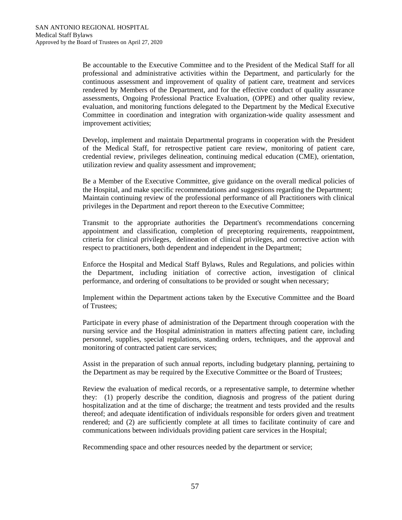Be accountable to the Executive Committee and to the President of the Medical Staff for all professional and administrative activities within the Department, and particularly for the continuous assessment and improvement of quality of patient care, treatment and services rendered by Members of the Department, and for the effective conduct of quality assurance assessments, Ongoing Professional Practice Evaluation, (OPPE) and other quality review, evaluation, and monitoring functions delegated to the Department by the Medical Executive Committee in coordination and integration with organization-wide quality assessment and improvement activities;

Develop, implement and maintain Departmental programs in cooperation with the President of the Medical Staff, for retrospective patient care review, monitoring of patient care, credential review, privileges delineation, continuing medical education (CME), orientation, utilization review and quality assessment and improvement;

Be a Member of the Executive Committee, give guidance on the overall medical policies of the Hospital, and make specific recommendations and suggestions regarding the Department; Maintain continuing review of the professional performance of all Practitioners with clinical privileges in the Department and report thereon to the Executive Committee;

Transmit to the appropriate authorities the Department's recommendations concerning appointment and classification, completion of preceptoring requirements, reappointment, criteria for clinical privileges, delineation of clinical privileges, and corrective action with respect to practitioners, both dependent and independent in the Department;

Enforce the Hospital and Medical Staff Bylaws, Rules and Regulations, and policies within the Department, including initiation of corrective action, investigation of clinical performance, and ordering of consultations to be provided or sought when necessary;

Implement within the Department actions taken by the Executive Committee and the Board of Trustees;

Participate in every phase of administration of the Department through cooperation with the nursing service and the Hospital administration in matters affecting patient care, including personnel, supplies, special regulations, standing orders, techniques, and the approval and monitoring of contracted patient care services;

Assist in the preparation of such annual reports, including budgetary planning, pertaining to the Department as may be required by the Executive Committee or the Board of Trustees;

Review the evaluation of medical records, or a representative sample, to determine whether they: (1) properly describe the condition, diagnosis and progress of the patient during hospitalization and at the time of discharge; the treatment and tests provided and the results thereof; and adequate identification of individuals responsible for orders given and treatment rendered; and (2) are sufficiently complete at all times to facilitate continuity of care and communications between individuals providing patient care services in the Hospital;

Recommending space and other resources needed by the department or service;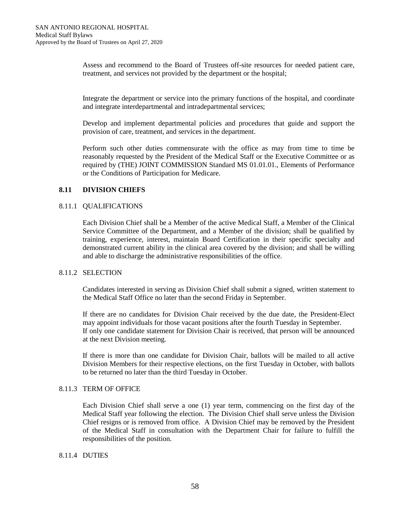Assess and recommend to the Board of Trustees off-site resources for needed patient care, treatment, and services not provided by the department or the hospital;

Integrate the department or service into the primary functions of the hospital, and coordinate and integrate interdepartmental and intradepartmental services;

Develop and implement departmental policies and procedures that guide and support the provision of care, treatment, and services in the department.

Perform such other duties commensurate with the office as may from time to time be reasonably requested by the President of the Medical Staff or the Executive Committee or as required by (THE) JOINT COMMISSION Standard MS 01.01.01., Elements of Performance or the Conditions of Participation for Medicare.

## **8.11 DIVISION CHIEFS**

#### 8.11.1 QUALIFICATIONS

Each Division Chief shall be a Member of the active Medical Staff, a Member of the Clinical Service Committee of the Department, and a Member of the division; shall be qualified by training, experience, interest, maintain Board Certification in their specific specialty and demonstrated current ability in the clinical area covered by the division; and shall be willing and able to discharge the administrative responsibilities of the office.

## 8.11.2 SELECTION

Candidates interested in serving as Division Chief shall submit a signed, written statement to the Medical Staff Office no later than the second Friday in September.

If there are no candidates for Division Chair received by the due date, the President-Elect may appoint individuals for those vacant positions after the fourth Tuesday in September. If only one candidate statement for Division Chair is received, that person will be announced at the next Division meeting.

If there is more than one candidate for Division Chair, ballots will be mailed to all active Division Members for their respective elections, on the first Tuesday in October, with ballots to be returned no later than the third Tuesday in October.

### 8.11.3 TERM OF OFFICE

Each Division Chief shall serve a one (1) year term, commencing on the first day of the Medical Staff year following the election. The Division Chief shall serve unless the Division Chief resigns or is removed from office. A Division Chief may be removed by the President of the Medical Staff in consultation with the Department Chair for failure to fulfill the responsibilities of the position.

# 8.11.4 DUTIES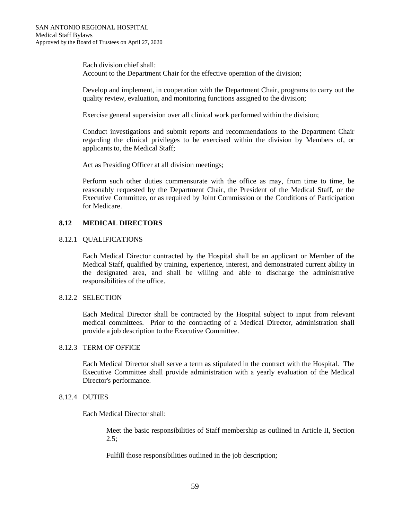Each division chief shall: Account to the Department Chair for the effective operation of the division;

Develop and implement, in cooperation with the Department Chair, programs to carry out the quality review, evaluation, and monitoring functions assigned to the division;

Exercise general supervision over all clinical work performed within the division;

Conduct investigations and submit reports and recommendations to the Department Chair regarding the clinical privileges to be exercised within the division by Members of, or applicants to, the Medical Staff;

Act as Presiding Officer at all division meetings;

Perform such other duties commensurate with the office as may, from time to time, be reasonably requested by the Department Chair, the President of the Medical Staff, or the Executive Committee, or as required by Joint Commission or the Conditions of Participation for Medicare.

# **8.12 MEDICAL DIRECTORS**

## 8.12.1 QUALIFICATIONS

Each Medical Director contracted by the Hospital shall be an applicant or Member of the Medical Staff, qualified by training, experience, interest, and demonstrated current ability in the designated area, and shall be willing and able to discharge the administrative responsibilities of the office.

# 8.12.2 SELECTION

Each Medical Director shall be contracted by the Hospital subject to input from relevant medical committees. Prior to the contracting of a Medical Director, administration shall provide a job description to the Executive Committee.

#### 8.12.3 TERM OF OFFICE

Each Medical Director shall serve a term as stipulated in the contract with the Hospital. The Executive Committee shall provide administration with a yearly evaluation of the Medical Director's performance.

# 8.12.4 DUTIES

Each Medical Director shall:

Meet the basic responsibilities of Staff membership as outlined in Article II, Section  $2.5$ :

Fulfill those responsibilities outlined in the job description;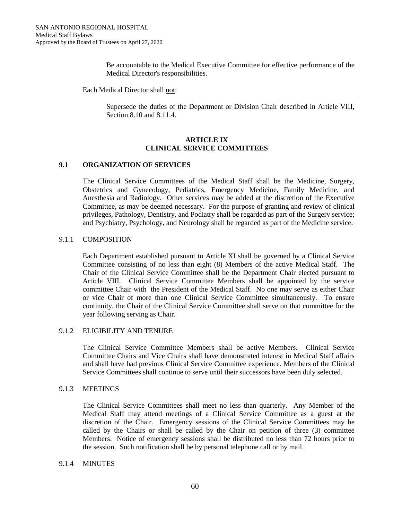Be accountable to the Medical Executive Committee for effective performance of the Medical Director's responsibilities.

Each Medical Director shall not:

Supersede the duties of the Department or Division Chair described in Article VIII, Section 8.10 and 8.11.4.

## **ARTICLE IX CLINICAL SERVICE COMMITTEES**

# **9.1 ORGANIZATION OF SERVICES**

The Clinical Service Committees of the Medical Staff shall be the Medicine, Surgery, Obstetrics and Gynecology, Pediatrics, Emergency Medicine, Family Medicine, and Anesthesia and Radiology. Other services may be added at the discretion of the Executive Committee, as may be deemed necessary. For the purpose of granting and review of clinical privileges, Pathology, Dentistry, and Podiatry shall be regarded as part of the Surgery service; and Psychiatry, Psychology, and Neurology shall be regarded as part of the Medicine service.

## 9.1.1 COMPOSITION

Each Department established pursuant to Article XI shall be governed by a Clinical Service Committee consisting of no less than eight (8) Members of the active Medical Staff. The Chair of the Clinical Service Committee shall be the Department Chair elected pursuant to Article VIII. Clinical Service Committee Members shall be appointed by the service committee Chair with the President of the Medical Staff. No one may serve as either Chair or vice Chair of more than one Clinical Service Committee simultaneously. To ensure continuity, the Chair of the Clinical Service Committee shall serve on that committee for the year following serving as Chair.

# 9.1.2 ELIGIBILITY AND TENURE

The Clinical Service Committee Members shall be active Members. Clinical Service Committee Chairs and Vice Chairs shall have demonstrated interest in Medical Staff affairs and shall have had previous Clinical Service Committee experience. Members of the Clinical Service Committees shall continue to serve until their successors have been duly selected.

#### 9.1.3 MEETINGS

The Clinical Service Committees shall meet no less than quarterly. Any Member of the Medical Staff may attend meetings of a Clinical Service Committee as a guest at the discretion of the Chair. Emergency sessions of the Clinical Service Committees may be called by the Chairs or shall be called by the Chair on petition of three (3) committee Members. Notice of emergency sessions shall be distributed no less than 72 hours prior to the session. Such notification shall be by personal telephone call or by mail.

## 9.1.4 MINUTES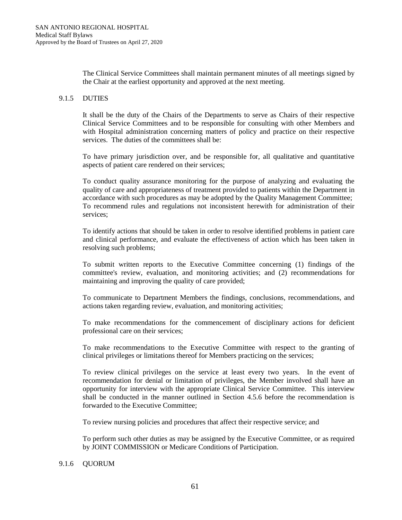The Clinical Service Committees shall maintain permanent minutes of all meetings signed by the Chair at the earliest opportunity and approved at the next meeting.

## 9.1.5 DUTIES

It shall be the duty of the Chairs of the Departments to serve as Chairs of their respective Clinical Service Committees and to be responsible for consulting with other Members and with Hospital administration concerning matters of policy and practice on their respective services. The duties of the committees shall be:

To have primary jurisdiction over, and be responsible for, all qualitative and quantitative aspects of patient care rendered on their services;

To conduct quality assurance monitoring for the purpose of analyzing and evaluating the quality of care and appropriateness of treatment provided to patients within the Department in accordance with such procedures as may be adopted by the Quality Management Committee; To recommend rules and regulations not inconsistent herewith for administration of their services;

To identify actions that should be taken in order to resolve identified problems in patient care and clinical performance, and evaluate the effectiveness of action which has been taken in resolving such problems;

To submit written reports to the Executive Committee concerning (1) findings of the committee's review, evaluation, and monitoring activities; and (2) recommendations for maintaining and improving the quality of care provided;

To communicate to Department Members the findings, conclusions, recommendations, and actions taken regarding review, evaluation, and monitoring activities;

To make recommendations for the commencement of disciplinary actions for deficient professional care on their services;

To make recommendations to the Executive Committee with respect to the granting of clinical privileges or limitations thereof for Members practicing on the services;

To review clinical privileges on the service at least every two years. In the event of recommendation for denial or limitation of privileges, the Member involved shall have an opportunity for interview with the appropriate Clinical Service Committee. This interview shall be conducted in the manner outlined in Section 4.5.6 before the recommendation is forwarded to the Executive Committee;

To review nursing policies and procedures that affect their respective service; and

To perform such other duties as may be assigned by the Executive Committee, or as required by JOINT COMMISSION or Medicare Conditions of Participation.

#### 9.1.6 QUORUM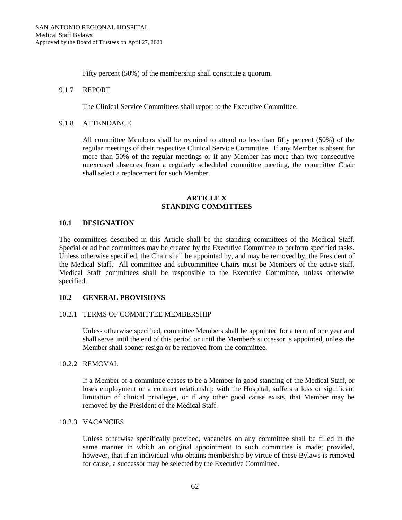Fifty percent (50%) of the membership shall constitute a quorum.

### 9.1.7 REPORT

The Clinical Service Committees shall report to the Executive Committee.

## 9.1.8 ATTENDANCE

All committee Members shall be required to attend no less than fifty percent (50%) of the regular meetings of their respective Clinical Service Committee. If any Member is absent for more than 50% of the regular meetings or if any Member has more than two consecutive unexcused absences from a regularly scheduled committee meeting, the committee Chair shall select a replacement for such Member.

### **ARTICLE X STANDING COMMITTEES**

## **10.1 DESIGNATION**

The committees described in this Article shall be the standing committees of the Medical Staff. Special or ad hoc committees may be created by the Executive Committee to perform specified tasks. Unless otherwise specified, the Chair shall be appointed by, and may be removed by, the President of the Medical Staff. All committee and subcommittee Chairs must be Members of the active staff. Medical Staff committees shall be responsible to the Executive Committee, unless otherwise specified.

# **10.2 GENERAL PROVISIONS**

#### 10.2.1 TERMS OF COMMITTEE MEMBERSHIP

Unless otherwise specified, committee Members shall be appointed for a term of one year and shall serve until the end of this period or until the Member's successor is appointed, unless the Member shall sooner resign or be removed from the committee.

## 10.2.2 REMOVAL

If a Member of a committee ceases to be a Member in good standing of the Medical Staff, or loses employment or a contract relationship with the Hospital, suffers a loss or significant limitation of clinical privileges, or if any other good cause exists, that Member may be removed by the President of the Medical Staff.

## 10.2.3 VACANCIES

Unless otherwise specifically provided, vacancies on any committee shall be filled in the same manner in which an original appointment to such committee is made; provided, however, that if an individual who obtains membership by virtue of these Bylaws is removed for cause, a successor may be selected by the Executive Committee.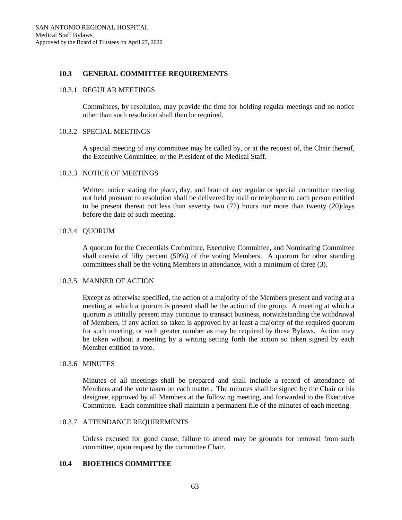## **10.3 GENERAL COMMITTEE REQUIREMENTS**

#### 10.3.1 REGULAR MEETINGS

Committees, by resolution, may provide the time for holding regular meetings and no notice other than such resolution shall then be required.

# 10.3.2 SPECIAL MEETINGS

A special meeting of any committee may be called by, or at the request of, the Chair thereof, the Executive Committee, or the President of the Medical Staff.

#### 10.3.3 NOTICE OF MEETINGS

Written notice stating the place, day, and hour of any regular or special committee meeting not held pursuant to resolution shall be delivered by mail or telephone to each person entitled to be present thereat not less than seventy two (72) hours nor more than twenty (20)days before the date of such meeting.

## 10.3.4 QUORUM

A quorum for the Credentials Committee, Executive Committee, and Nominating Committee shall consist of fifty percent (50%) of the voting Members. A quorum for other standing committees shall be the voting Members in attendance, with a minimum of three (3).

#### 10.3.5 MANNER OF ACTION

Except as otherwise specified, the action of a majority of the Members present and voting at a meeting at which a quorum is present shall be the action of the group. A meeting at which a quorum is initially present may continue to transact business, notwithstanding the withdrawal of Members, if any action so taken is approved by at least a majority of the required quorum for such meeting, or such greater number as may be required by these Bylaws. Action may be taken without a meeting by a writing setting forth the action so taken signed by each Member entitled to vote.

#### 10.3.6 MINUTES

Minutes of all meetings shall be prepared and shall include a record of attendance of Members and the vote taken on each matter. The minutes shall be signed by the Chair or his designee, approved by all Members at the following meeting, and forwarded to the Executive Committee. Each committee shall maintain a permanent file of the minutes of each meeting.

## 10.3.7 ATTENDANCE REQUIREMENTS

Unless excused for good cause, failure to attend may be grounds for removal from such committee, upon request by the committee Chair.

## **10.4 BIOETHICS COMMITTEE**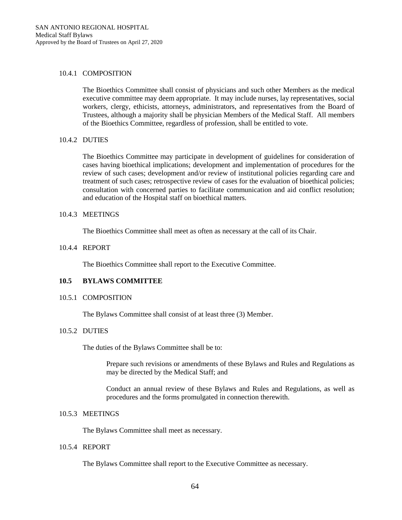### 10.4.1 COMPOSITION

The Bioethics Committee shall consist of physicians and such other Members as the medical executive committee may deem appropriate. It may include nurses, lay representatives, social workers, clergy, ethicists, attorneys, administrators, and representatives from the Board of Trustees, although a majority shall be physician Members of the Medical Staff. All members of the Bioethics Committee, regardless of profession, shall be entitled to vote.

## 10.4.2 DUTIES

The Bioethics Committee may participate in development of guidelines for consideration of cases having bioethical implications; development and implementation of procedures for the review of such cases; development and/or review of institutional policies regarding care and treatment of such cases; retrospective review of cases for the evaluation of bioethical policies; consultation with concerned parties to facilitate communication and aid conflict resolution; and education of the Hospital staff on bioethical matters.

## 10.4.3 MEETINGS

The Bioethics Committee shall meet as often as necessary at the call of its Chair.

## 10.4.4 REPORT

The Bioethics Committee shall report to the Executive Committee.

# **10.5 BYLAWS COMMITTEE**

#### 10.5.1 COMPOSITION

The Bylaws Committee shall consist of at least three (3) Member.

#### 10.5.2 DUTIES

The duties of the Bylaws Committee shall be to:

Prepare such revisions or amendments of these Bylaws and Rules and Regulations as may be directed by the Medical Staff; and

Conduct an annual review of these Bylaws and Rules and Regulations, as well as procedures and the forms promulgated in connection therewith.

# 10.5.3 MEETINGS

The Bylaws Committee shall meet as necessary.

### 10.5.4 REPORT

The Bylaws Committee shall report to the Executive Committee as necessary.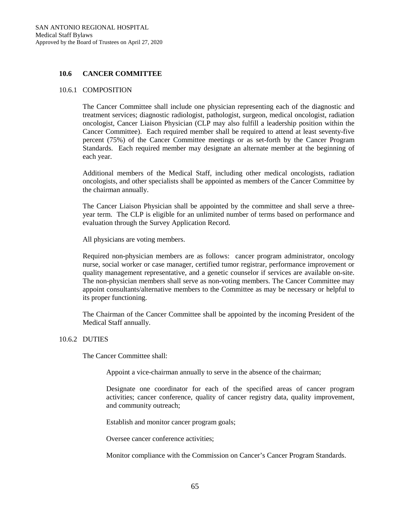## **10.6 CANCER COMMITTEE**

#### 10.6.1 COMPOSITION

The Cancer Committee shall include one physician representing each of the diagnostic and treatment services; diagnostic radiologist, pathologist, surgeon, medical oncologist, radiation oncologist, Cancer Liaison Physician (CLP may also fulfill a leadership position within the Cancer Committee). Each required member shall be required to attend at least seventy-five percent (75%) of the Cancer Committee meetings or as set-forth by the Cancer Program Standards. Each required member may designate an alternate member at the beginning of each year.

Additional members of the Medical Staff, including other medical oncologists, radiation oncologists, and other specialists shall be appointed as members of the Cancer Committee by the chairman annually.

The Cancer Liaison Physician shall be appointed by the committee and shall serve a threeyear term. The CLP is eligible for an unlimited number of terms based on performance and evaluation through the Survey Application Record.

All physicians are voting members.

Required non-physician members are as follows: cancer program administrator, oncology nurse, social worker or case manager, certified tumor registrar, performance improvement or quality management representative, and a genetic counselor if services are available on-site. The non-physician members shall serve as non-voting members. The Cancer Committee may appoint consultants/alternative members to the Committee as may be necessary or helpful to its proper functioning.

The Chairman of the Cancer Committee shall be appointed by the incoming President of the Medical Staff annually.

#### 10.6.2 DUTIES

The Cancer Committee shall:

Appoint a vice-chairman annually to serve in the absence of the chairman;

Designate one coordinator for each of the specified areas of cancer program activities; cancer conference, quality of cancer registry data, quality improvement, and community outreach;

Establish and monitor cancer program goals;

Oversee cancer conference activities;

Monitor compliance with the Commission on Cancer's Cancer Program Standards.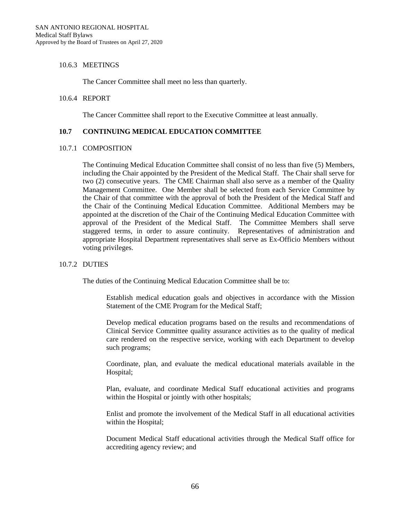## 10.6.3 MEETINGS

The Cancer Committee shall meet no less than quarterly.

#### 10.6.4 REPORT

The Cancer Committee shall report to the Executive Committee at least annually.

## **10.7 CONTINUING MEDICAL EDUCATION COMMITTEE**

#### 10.7.1 COMPOSITION

The Continuing Medical Education Committee shall consist of no less than five (5) Members, including the Chair appointed by the President of the Medical Staff. The Chair shall serve for two (2) consecutive years. The CME Chairman shall also serve as a member of the Quality Management Committee. One Member shall be selected from each Service Committee by the Chair of that committee with the approval of both the President of the Medical Staff and the Chair of the Continuing Medical Education Committee. Additional Members may be appointed at the discretion of the Chair of the Continuing Medical Education Committee with approval of the President of the Medical Staff. The Committee Members shall serve staggered terms, in order to assure continuity. Representatives of administration and appropriate Hospital Department representatives shall serve as Ex-Officio Members without voting privileges.

#### 10.7.2 DUTIES

The duties of the Continuing Medical Education Committee shall be to:

Establish medical education goals and objectives in accordance with the Mission Statement of the CME Program for the Medical Staff;

Develop medical education programs based on the results and recommendations of Clinical Service Committee quality assurance activities as to the quality of medical care rendered on the respective service, working with each Department to develop such programs;

Coordinate, plan, and evaluate the medical educational materials available in the Hospital;

Plan, evaluate, and coordinate Medical Staff educational activities and programs within the Hospital or jointly with other hospitals;

Enlist and promote the involvement of the Medical Staff in all educational activities within the Hospital;

Document Medical Staff educational activities through the Medical Staff office for accrediting agency review; and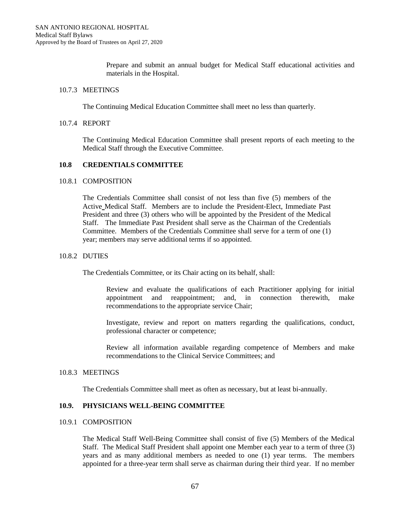Prepare and submit an annual budget for Medical Staff educational activities and materials in the Hospital.

## 10.7.3 MEETINGS

The Continuing Medical Education Committee shall meet no less than quarterly.

### 10.7.4 REPORT

The Continuing Medical Education Committee shall present reports of each meeting to the Medical Staff through the Executive Committee.

## **10.8 CREDENTIALS COMMITTEE**

#### 10.8.1 COMPOSITION

The Credentials Committee shall consist of not less than five (5) members of the Active Medical Staff. Members are to include the President-Elect, Immediate Past President and three (3) others who will be appointed by the President of the Medical Staff. The Immediate Past President shall serve as the Chairman of the Credentials Committee. Members of the Credentials Committee shall serve for a term of one (1) year; members may serve additional terms if so appointed.

## 10.8.2 DUTIES

The Credentials Committee, or its Chair acting on its behalf, shall:

Review and evaluate the qualifications of each Practitioner applying for initial appointment and reappointment; and, in connection therewith, make recommendations to the appropriate service Chair;

Investigate, review and report on matters regarding the qualifications, conduct, professional character or competence;

Review all information available regarding competence of Members and make recommendations to the Clinical Service Committees; and

#### 10.8.3 MEETINGS

The Credentials Committee shall meet as often as necessary, but at least bi-annually.

# **10.9. PHYSICIANS WELL-BEING COMMITTEE**

## 10.9.1 COMPOSITION

The Medical Staff Well-Being Committee shall consist of five (5) Members of the Medical Staff. The Medical Staff President shall appoint one Member each year to a term of three (3) years and as many additional members as needed to one (1) year terms. The members appointed for a three-year term shall serve as chairman during their third year. If no member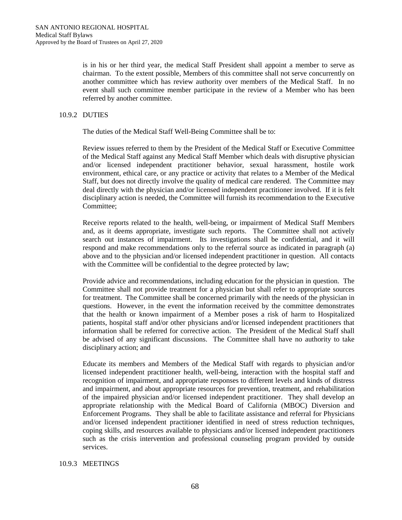is in his or her third year, the medical Staff President shall appoint a member to serve as chairman. To the extent possible, Members of this committee shall not serve concurrently on another committee which has review authority over members of the Medical Staff. In no event shall such committee member participate in the review of a Member who has been referred by another committee.

# 10.9.2 DUTIES

The duties of the Medical Staff Well-Being Committee shall be to:

Review issues referred to them by the President of the Medical Staff or Executive Committee of the Medical Staff against any Medical Staff Member which deals with disruptive physician and/or licensed independent practitioner behavior, sexual harassment, hostile work environment, ethical care, or any practice or activity that relates to a Member of the Medical Staff, but does not directly involve the quality of medical care rendered. The Committee may deal directly with the physician and/or licensed independent practitioner involved. If it is felt disciplinary action is needed, the Committee will furnish its recommendation to the Executive Committee;

Receive reports related to the health, well-being, or impairment of Medical Staff Members and, as it deems appropriate, investigate such reports. The Committee shall not actively search out instances of impairment. Its investigations shall be confidential, and it will respond and make recommendations only to the referral source as indicated in paragraph (a) above and to the physician and/or licensed independent practitioner in question. All contacts with the Committee will be confidential to the degree protected by law;

Provide advice and recommendations, including education for the physician in question. The Committee shall not provide treatment for a physician but shall refer to appropriate sources for treatment. The Committee shall be concerned primarily with the needs of the physician in questions. However, in the event the information received by the committee demonstrates that the health or known impairment of a Member poses a risk of harm to Hospitalized patients, hospital staff and/or other physicians and/or licensed independent practitioners that information shall be referred for corrective action. The President of the Medical Staff shall be advised of any significant discussions. The Committee shall have no authority to take disciplinary action; and

Educate its members and Members of the Medical Staff with regards to physician and/or licensed independent practitioner health, well-being, interaction with the hospital staff and recognition of impairment, and appropriate responses to different levels and kinds of distress and impairment, and about appropriate resources for prevention, treatment, and rehabilitation of the impaired physician and/or licensed independent practitioner. They shall develop an appropriate relationship with the Medical Board of California (MBOC) Diversion and Enforcement Programs. They shall be able to facilitate assistance and referral for Physicians and/or licensed independent practitioner identified in need of stress reduction techniques, coping skills, and resources available to physicians and/or licensed independent practitioners such as the crisis intervention and professional counseling program provided by outside services.

# 10.9.3 MEETINGS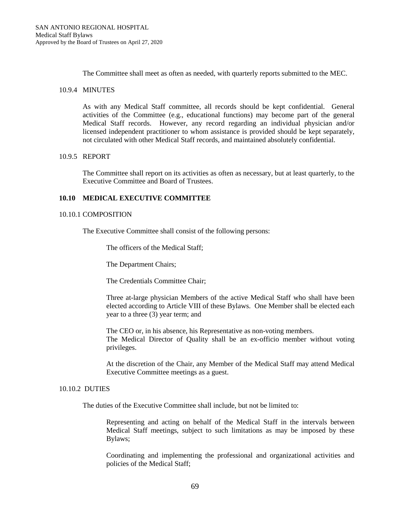The Committee shall meet as often as needed, with quarterly reports submitted to the MEC.

### 10.9.4 MINUTES

As with any Medical Staff committee, all records should be kept confidential. General activities of the Committee (e.g., educational functions) may become part of the general Medical Staff records. However, any record regarding an individual physician and/or licensed independent practitioner to whom assistance is provided should be kept separately, not circulated with other Medical Staff records, and maintained absolutely confidential.

## 10.9.5 REPORT

The Committee shall report on its activities as often as necessary, but at least quarterly, to the Executive Committee and Board of Trustees.

## **10.10 MEDICAL EXECUTIVE COMMITTEE**

#### 10.10.1 COMPOSITION

The Executive Committee shall consist of the following persons:

The officers of the Medical Staff;

The Department Chairs;

The Credentials Committee Chair;

Three at-large physician Members of the active Medical Staff who shall have been elected according to Article VIII of these Bylaws. One Member shall be elected each year to a three (3) year term; and

The CEO or, in his absence, his Representative as non-voting members. The Medical Director of Quality shall be an ex-officio member without voting privileges.

At the discretion of the Chair, any Member of the Medical Staff may attend Medical Executive Committee meetings as a guest.

#### 10.10.2 DUTIES

The duties of the Executive Committee shall include, but not be limited to:

Representing and acting on behalf of the Medical Staff in the intervals between Medical Staff meetings, subject to such limitations as may be imposed by these Bylaws;

Coordinating and implementing the professional and organizational activities and policies of the Medical Staff;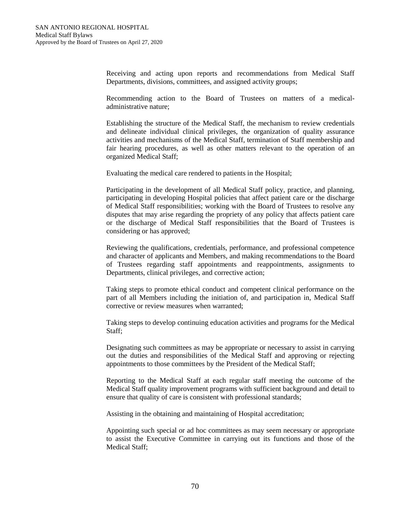Receiving and acting upon reports and recommendations from Medical Staff Departments, divisions, committees, and assigned activity groups;

Recommending action to the Board of Trustees on matters of a medicaladministrative nature;

Establishing the structure of the Medical Staff, the mechanism to review credentials and delineate individual clinical privileges, the organization of quality assurance activities and mechanisms of the Medical Staff, termination of Staff membership and fair hearing procedures, as well as other matters relevant to the operation of an organized Medical Staff;

Evaluating the medical care rendered to patients in the Hospital;

Participating in the development of all Medical Staff policy, practice, and planning, participating in developing Hospital policies that affect patient care or the discharge of Medical Staff responsibilities; working with the Board of Trustees to resolve any disputes that may arise regarding the propriety of any policy that affects patient care or the discharge of Medical Staff responsibilities that the Board of Trustees is considering or has approved;

Reviewing the qualifications, credentials, performance, and professional competence and character of applicants and Members, and making recommendations to the Board of Trustees regarding staff appointments and reappointments, assignments to Departments, clinical privileges, and corrective action;

Taking steps to promote ethical conduct and competent clinical performance on the part of all Members including the initiation of, and participation in, Medical Staff corrective or review measures when warranted;

Taking steps to develop continuing education activities and programs for the Medical Staff;

Designating such committees as may be appropriate or necessary to assist in carrying out the duties and responsibilities of the Medical Staff and approving or rejecting appointments to those committees by the President of the Medical Staff;

Reporting to the Medical Staff at each regular staff meeting the outcome of the Medical Staff quality improvement programs with sufficient background and detail to ensure that quality of care is consistent with professional standards;

Assisting in the obtaining and maintaining of Hospital accreditation;

Appointing such special or ad hoc committees as may seem necessary or appropriate to assist the Executive Committee in carrying out its functions and those of the Medical Staff;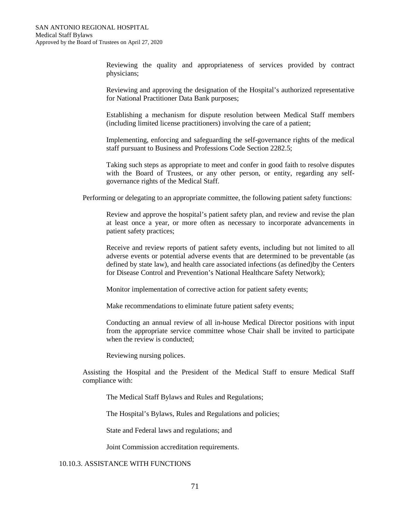Reviewing the quality and appropriateness of services provided by contract physicians;

Reviewing and approving the designation of the Hospital's authorized representative for National Practitioner Data Bank purposes;

Establishing a mechanism for dispute resolution between Medical Staff members (including limited license practitioners) involving the care of a patient;

Implementing, enforcing and safeguarding the self-governance rights of the medical staff pursuant to Business and Professions Code Section 2282.5;

Taking such steps as appropriate to meet and confer in good faith to resolve disputes with the Board of Trustees, or any other person, or entity, regarding any selfgovernance rights of the Medical Staff.

Performing or delegating to an appropriate committee, the following patient safety functions:

Review and approve the hospital's patient safety plan, and review and revise the plan at least once a year, or more often as necessary to incorporate advancements in patient safety practices;

Receive and review reports of patient safety events, including but not limited to all adverse events or potential adverse events that are determined to be preventable (as defined by state law), and health care associated infections (as defined)by the Centers for Disease Control and Prevention's National Healthcare Safety Network);

Monitor implementation of corrective action for patient safety events;

Make recommendations to eliminate future patient safety events;

Conducting an annual review of all in-house Medical Director positions with input from the appropriate service committee whose Chair shall be invited to participate when the review is conducted;

Reviewing nursing polices.

Assisting the Hospital and the President of the Medical Staff to ensure Medical Staff compliance with:

The Medical Staff Bylaws and Rules and Regulations;

The Hospital's Bylaws, Rules and Regulations and policies;

State and Federal laws and regulations; and

Joint Commission accreditation requirements.

## 10.10.3. ASSISTANCE WITH FUNCTIONS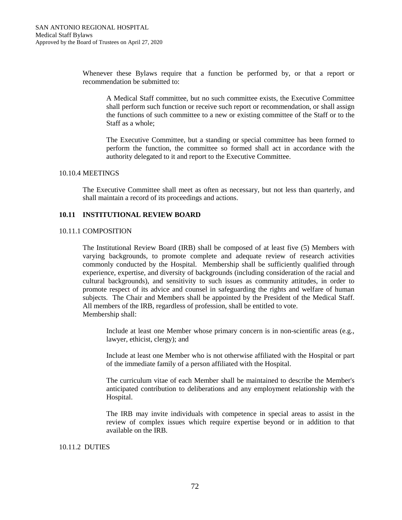Whenever these Bylaws require that a function be performed by, or that a report or recommendation be submitted to:

A Medical Staff committee, but no such committee exists, the Executive Committee shall perform such function or receive such report or recommendation, or shall assign the functions of such committee to a new or existing committee of the Staff or to the Staff as a whole;

The Executive Committee, but a standing or special committee has been formed to perform the function, the committee so formed shall act in accordance with the authority delegated to it and report to the Executive Committee.

#### 10.10.4 MEETINGS

The Executive Committee shall meet as often as necessary, but not less than quarterly, and shall maintain a record of its proceedings and actions.

# **10.11 INSTITUTIONAL REVIEW BOARD**

## 10.11.1 COMPOSITION

The Institutional Review Board (IRB) shall be composed of at least five (5) Members with varying backgrounds, to promote complete and adequate review of research activities commonly conducted by the Hospital. Membership shall be sufficiently qualified through experience, expertise, and diversity of backgrounds (including consideration of the racial and cultural backgrounds), and sensitivity to such issues as community attitudes, in order to promote respect of its advice and counsel in safeguarding the rights and welfare of human subjects. The Chair and Members shall be appointed by the President of the Medical Staff. All members of the IRB, regardless of profession, shall be entitled to vote. Membership shall:

Include at least one Member whose primary concern is in non-scientific areas (e.g., lawyer, ethicist, clergy); and

Include at least one Member who is not otherwise affiliated with the Hospital or part of the immediate family of a person affiliated with the Hospital.

The curriculum vitae of each Member shall be maintained to describe the Member's anticipated contribution to deliberations and any employment relationship with the Hospital.

The IRB may invite individuals with competence in special areas to assist in the review of complex issues which require expertise beyond or in addition to that available on the IRB.

#### 10.11.2 DUTIES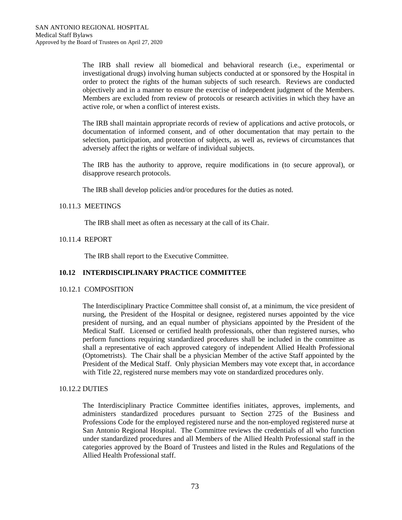The IRB shall review all biomedical and behavioral research (i.e., experimental or investigational drugs) involving human subjects conducted at or sponsored by the Hospital in order to protect the rights of the human subjects of such research. Reviews are conducted objectively and in a manner to ensure the exercise of independent judgment of the Members. Members are excluded from review of protocols or research activities in which they have an active role, or when a conflict of interest exists.

The IRB shall maintain appropriate records of review of applications and active protocols, or documentation of informed consent, and of other documentation that may pertain to the selection, participation, and protection of subjects, as well as, reviews of circumstances that adversely affect the rights or welfare of individual subjects.

The IRB has the authority to approve, require modifications in (to secure approval), or disapprove research protocols.

The IRB shall develop policies and/or procedures for the duties as noted.

## 10.11.3 MEETINGS

The IRB shall meet as often as necessary at the call of its Chair.

## 10.11.4 REPORT

The IRB shall report to the Executive Committee.

# **10.12 INTERDISCIPLINARY PRACTICE COMMITTEE**

#### 10.12.1 COMPOSITION

The Interdisciplinary Practice Committee shall consist of, at a minimum, the vice president of nursing, the President of the Hospital or designee, registered nurses appointed by the vice president of nursing, and an equal number of physicians appointed by the President of the Medical Staff. Licensed or certified health professionals, other than registered nurses, who perform functions requiring standardized procedures shall be included in the committee as shall a representative of each approved category of independent Allied Health Professional (Optometrists). The Chair shall be a physician Member of the active Staff appointed by the President of the Medical Staff. Only physician Members may vote except that, in accordance with Title 22, registered nurse members may vote on standardized procedures only.

#### 10.12.2 DUTIES

The Interdisciplinary Practice Committee identifies initiates, approves, implements, and administers standardized procedures pursuant to Section 2725 of the Business and Professions Code for the employed registered nurse and the non-employed registered nurse at San Antonio Regional Hospital. The Committee reviews the credentials of all who function under standardized procedures and all Members of the Allied Health Professional staff in the categories approved by the Board of Trustees and listed in the Rules and Regulations of the Allied Health Professional staff.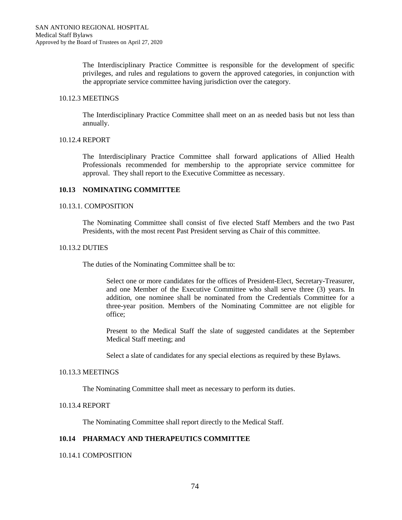The Interdisciplinary Practice Committee is responsible for the development of specific privileges, and rules and regulations to govern the approved categories, in conjunction with the appropriate service committee having jurisdiction over the category.

#### 10.12.3 MEETINGS

The Interdisciplinary Practice Committee shall meet on an as needed basis but not less than annually.

#### 10.12.4 REPORT

The Interdisciplinary Practice Committee shall forward applications of Allied Health Professionals recommended for membership to the appropriate service committee for approval. They shall report to the Executive Committee as necessary.

## **10.13 NOMINATING COMMITTEE**

#### 10.13.1. COMPOSITION

The Nominating Committee shall consist of five elected Staff Members and the two Past Presidents, with the most recent Past President serving as Chair of this committee.

#### 10.13.2 DUTIES

The duties of the Nominating Committee shall be to:

Select one or more candidates for the offices of President-Elect, Secretary-Treasurer, and one Member of the Executive Committee who shall serve three (3) years. In addition, one nominee shall be nominated from the Credentials Committee for a three-year position. Members of the Nominating Committee are not eligible for office;

Present to the Medical Staff the slate of suggested candidates at the September Medical Staff meeting; and

Select a slate of candidates for any special elections as required by these Bylaws.

#### 10.13.3 MEETINGS

The Nominating Committee shall meet as necessary to perform its duties.

# 10.13.4 REPORT

The Nominating Committee shall report directly to the Medical Staff.

# **10.14 PHARMACY AND THERAPEUTICS COMMITTEE**

## 10.14.1 COMPOSITION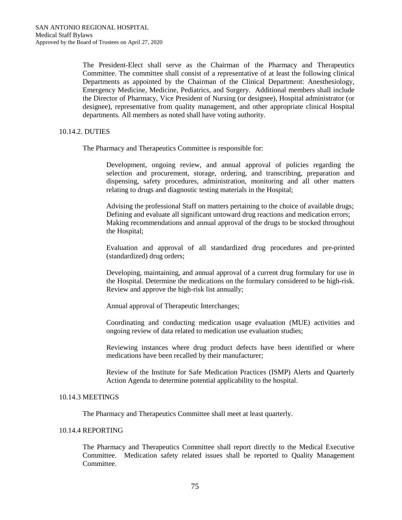The President-Elect shall serve as the Chairman of the Pharmacy and Therapeutics Committee. The committee shall consist of a representative of at least the following clinical Departments as appointed by the Chairman of the Clinical Department: Anesthesiology, Emergency Medicine, Medicine, Pediatrics, and Surgery. Additional members shall include the Director of Pharmacy, Vice President of Nursing (or designee), Hospital administrator (or designee), representative from quality management, and other appropriate clinical Hospital departments. All members as noted shall have voting authority.

## 10.14.2. DUTIES

The Pharmacy and Therapeutics Committee is responsible for:

Development, ongoing review, and annual approval of policies regarding the selection and procurement, storage, ordering, and transcribing, preparation and dispensing, safety procedures, administration, monitoring and all other matters relating to drugs and diagnostic testing materials in the Hospital;

Advising the professional Staff on matters pertaining to the choice of available drugs; Defining and evaluate all significant untoward drug reactions and medication errors; Making recommendations and annual approval of the drugs to be stocked throughout the Hospital;

Evaluation and approval of all standardized drug procedures and pre-printed (standardized) drug orders;

Developing, maintaining, and annual approval of a current drug formulary for use in the Hospital. Determine the medications on the formulary considered to be high-risk. Review and approve the high-risk list annually;

Annual approval of Therapeutic Interchanges;

Coordinating and conducting medication usage evaluation (MUE) activities and ongoing review of data related to medication use evaluation studies;

Reviewing instances where drug product defects have been identified or where medications have been recalled by their manufacturer;

Review of the Institute for Safe Medication Practices (ISMP) Alerts and Quarterly Action Agenda to determine potential applicability to the hospital.

## 10.14.3 MEETINGS

The Pharmacy and Therapeutics Committee shall meet at least quarterly.

## 10.14.4 REPORTING

The Pharmacy and Therapeutics Committee shall report directly to the Medical Executive Committee. Medication safety related issues shall be reported to Quality Management **Committee**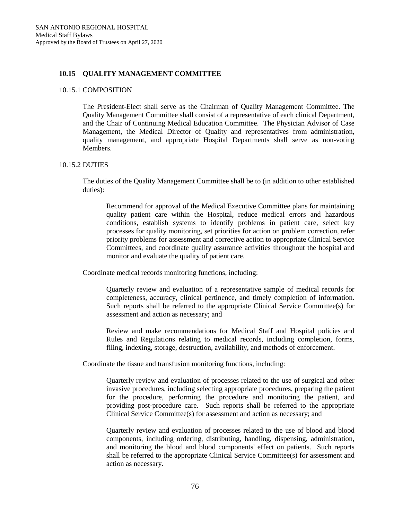## **10.15 QUALITY MANAGEMENT COMMITTEE**

#### 10.15.1 COMPOSITION

The President-Elect shall serve as the Chairman of Quality Management Committee. The Quality Management Committee shall consist of a representative of each clinical Department, and the Chair of Continuing Medical Education Committee. The Physician Advisor of Case Management, the Medical Director of Quality and representatives from administration, quality management, and appropriate Hospital Departments shall serve as non-voting Members.

#### 10.15.2 DUTIES

The duties of the Quality Management Committee shall be to (in addition to other established duties):

Recommend for approval of the Medical Executive Committee plans for maintaining quality patient care within the Hospital, reduce medical errors and hazardous conditions, establish systems to identify problems in patient care, select key processes for quality monitoring, set priorities for action on problem correction, refer priority problems for assessment and corrective action to appropriate Clinical Service Committees, and coordinate quality assurance activities throughout the hospital and monitor and evaluate the quality of patient care.

Coordinate medical records monitoring functions, including:

Quarterly review and evaluation of a representative sample of medical records for completeness, accuracy, clinical pertinence, and timely completion of information. Such reports shall be referred to the appropriate Clinical Service Committee(s) for assessment and action as necessary; and

Review and make recommendations for Medical Staff and Hospital policies and Rules and Regulations relating to medical records, including completion, forms, filing, indexing, storage, destruction, availability, and methods of enforcement.

Coordinate the tissue and transfusion monitoring functions, including:

Quarterly review and evaluation of processes related to the use of surgical and other invasive procedures, including selecting appropriate procedures, preparing the patient for the procedure, performing the procedure and monitoring the patient, and providing post-procedure care. Such reports shall be referred to the appropriate Clinical Service Committee(s) for assessment and action as necessary; and

Quarterly review and evaluation of processes related to the use of blood and blood components, including ordering, distributing, handling, dispensing, administration, and monitoring the blood and blood components' effect on patients. Such reports shall be referred to the appropriate Clinical Service Committee(s) for assessment and action as necessary.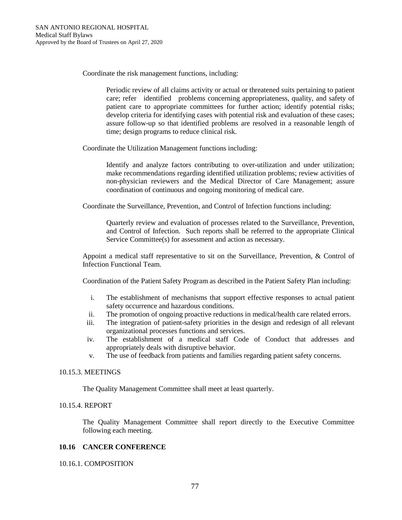Coordinate the risk management functions, including:

Periodic review of all claims activity or actual or threatened suits pertaining to patient care; refer identified problems concerning appropriateness, quality, and safety of patient care to appropriate committees for further action; identify potential risks; develop criteria for identifying cases with potential risk and evaluation of these cases; assure follow-up so that identified problems are resolved in a reasonable length of time; design programs to reduce clinical risk.

Coordinate the Utilization Management functions including:

Identify and analyze factors contributing to over-utilization and under utilization; make recommendations regarding identified utilization problems; review activities of non-physician reviewers and the Medical Director of Care Management; assure coordination of continuous and ongoing monitoring of medical care.

Coordinate the Surveillance, Prevention, and Control of Infection functions including:

Quarterly review and evaluation of processes related to the Surveillance, Prevention, and Control of Infection. Such reports shall be referred to the appropriate Clinical Service Committee(s) for assessment and action as necessary.

Appoint a medical staff representative to sit on the Surveillance, Prevention, & Control of Infection Functional Team.

Coordination of the Patient Safety Program as described in the Patient Safety Plan including:

- i. The establishment of mechanisms that support effective responses to actual patient safety occurrence and hazardous conditions.
- ii. The promotion of ongoing proactive reductions in medical/health care related errors.
- iii. The integration of patient-safety priorities in the design and redesign of all relevant organizational processes functions and services.
- iv. The establishment of a medical staff Code of Conduct that addresses and appropriately deals with disruptive behavior.
- v. The use of feedback from patients and families regarding patient safety concerns.

#### 10.15.3. MEETINGS

The Quality Management Committee shall meet at least quarterly.

# 10.15.4. REPORT

The Quality Management Committee shall report directly to the Executive Committee following each meeting.

#### **10.16 CANCER CONFERENCE**

10.16.1. COMPOSITION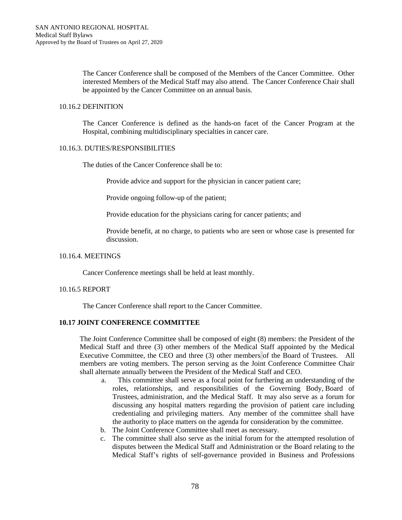The Cancer Conference shall be composed of the Members of the Cancer Committee. Other interested Members of the Medical Staff may also attend. The Cancer Conference Chair shall be appointed by the Cancer Committee on an annual basis.

### 10.16.2 DEFINITION

The Cancer Conference is defined as the hands-on facet of the Cancer Program at the Hospital, combining multidisciplinary specialties in cancer care.

# 10.16.3. DUTIES/RESPONSIBILITIES

The duties of the Cancer Conference shall be to:

Provide advice and support for the physician in cancer patient care;

Provide ongoing follow-up of the patient;

Provide education for the physicians caring for cancer patients; and

Provide benefit, at no charge, to patients who are seen or whose case is presented for discussion.

## 10.16.4. MEETINGS

Cancer Conference meetings shall be held at least monthly.

#### 10.16.5 REPORT

The Cancer Conference shall report to the Cancer Committee.

## **10.17 JOINT CONFERENCE COMMITTEE**

The Joint Conference Committee shall be composed of eight (8) members: the President of the Medical Staff and three (3) other members of the Medical Staff appointed by the Medical Executive Committee, the CEO and three (3) other members of the Board of Trustees. All members are voting members. The person serving as the Joint Conference Committee Chair shall alternate annually between the President of the Medical Staff and CEO.

- a. This committee shall serve as a focal point for furthering an understanding of the roles, relationships, and responsibilities of the Governing Body, Board of Trustees, administration, and the Medical Staff. It may also serve as a forum for discussing any hospital matters regarding the provision of patient care including credentialing and privileging matters. Any member of the committee shall have the authority to place matters on the agenda for consideration by the committee.
- b. The Joint Conference Committee shall meet as necessary.
- c. The committee shall also serve as the initial forum for the attempted resolution of disputes between the Medical Staff and Administration or the Board relating to the Medical Staff's rights of self-governance provided in Business and Professions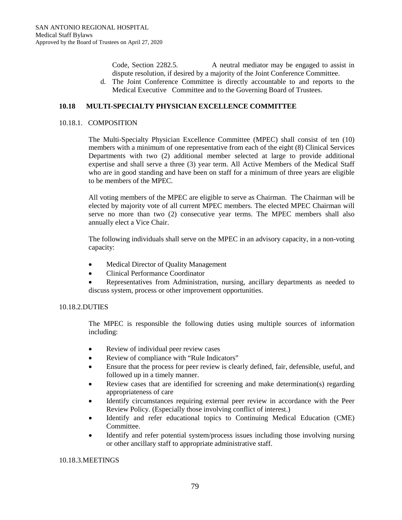Code, Section 2282.5. A neutral mediator may be engaged to assist in dispute resolution, if desired by a majority of the Joint Conference Committee.

d. The Joint Conference Committee is directly accountable to and reports to the Medical Executive Committee and to the Governing Board of Trustees.

# **10.18 MULTI-SPECIALTY PHYSICIAN EXCELLENCE COMMITTEE**

## 10.18.1. COMPOSITION

The Multi-Specialty Physician Excellence Committee (MPEC) shall consist of ten (10) members with a minimum of one representative from each of the eight (8) Clinical Services Departments with two (2) additional member selected at large to provide additional expertise and shall serve a three (3) year term. All Active Members of the Medical Staff who are in good standing and have been on staff for a minimum of three years are eligible to be members of the MPEC.

All voting members of the MPEC are eligible to serve as Chairman. The Chairman will be elected by majority vote of all current MPEC members. The elected MPEC Chairman will serve no more than two (2) consecutive year terms. The MPEC members shall also annually elect a Vice Chair.

The following individuals shall serve on the MPEC in an advisory capacity, in a non-voting capacity:

- Medical Director of Quality Management
- Clinical Performance Coordinator
- Representatives from Administration, nursing, ancillary departments as needed to discuss system, process or other improvement opportunities.

# 10.18.2.DUTIES

The MPEC is responsible the following duties using multiple sources of information including:

- Review of individual peer review cases
- Review of compliance with "Rule Indicators"
- Ensure that the process for peer review is clearly defined, fair, defensible, useful, and followed up in a timely manner.
- Review cases that are identified for screening and make determination(s) regarding appropriateness of care
- Identify circumstances requiring external peer review in accordance with the Peer Review Policy. (Especially those involving conflict of interest.)
- Identify and refer educational topics to Continuing Medical Education (CME) Committee.
- Identify and refer potential system/process issues including those involving nursing or other ancillary staff to appropriate administrative staff.

#### 10.18.3.MEETINGS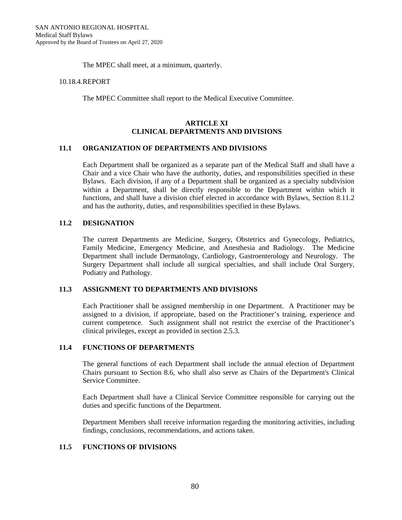The MPEC shall meet, at a minimum, quarterly.

#### 10.18.4.REPORT

The MPEC Committee shall report to the Medical Executive Committee.

## **ARTICLE XI CLINICAL DEPARTMENTS AND DIVISIONS**

## **11.1 ORGANIZATION OF DEPARTMENTS AND DIVISIONS**

Each Department shall be organized as a separate part of the Medical Staff and shall have a Chair and a vice Chair who have the authority, duties, and responsibilities specified in these Bylaws. Each division, if any of a Department shall be organized as a specialty subdivision within a Department, shall be directly responsible to the Department within which it functions, and shall have a division chief elected in accordance with Bylaws, Section 8.11.2 and has the authority, duties, and responsibilities specified in these Bylaws.

## **11.2 DESIGNATION**

The current Departments are Medicine, Surgery, Obstetrics and Gynecology, Pediatrics, Family Medicine, Emergency Medicine, and Anesthesia and Radiology. The Medicine Department shall include Dermatology, Cardiology, Gastroenterology and Neurology. The Surgery Department shall include all surgical specialties, and shall include Oral Surgery, Podiatry and Pathology.

## **11.3 ASSIGNMENT TO DEPARTMENTS AND DIVISIONS**

Each Practitioner shall be assigned membership in one Department. A Practitioner may be assigned to a division, if appropriate, based on the Practitioner's training, experience and current competence. Such assignment shall not restrict the exercise of the Practitioner's clinical privileges, except as provided in section 2.5.3.

#### **11.4 FUNCTIONS OF DEPARTMENTS**

The general functions of each Department shall include the annual election of Department Chairs pursuant to Section 8.6, who shall also serve as Chairs of the Department's Clinical Service Committee.

Each Department shall have a Clinical Service Committee responsible for carrying out the duties and specific functions of the Department.

Department Members shall receive information regarding the monitoring activities, including findings, conclusions, recommendations, and actions taken.

# **11.5 FUNCTIONS OF DIVISIONS**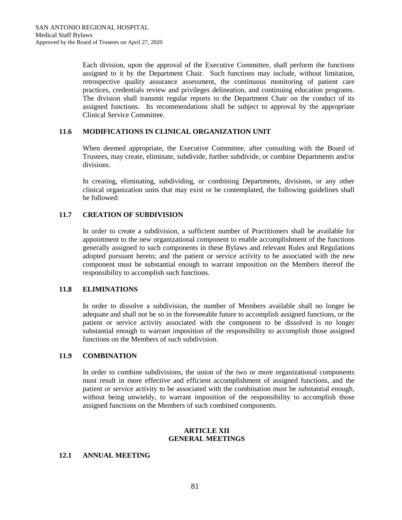Each division, upon the approval of the Executive Committee, shall perform the functions assigned to it by the Department Chair. Such functions may include, without limitation, retrospective quality assurance assessment, the continuous monitoring of patient care practices, credentials review and privileges delineation, and continuing education programs. The division shall transmit regular reports to the Department Chair on the conduct of its assigned functions. Its recommendations shall be subject to approval by the appropriate Clinical Service Committee.

# **11.6 MODIFICATIONS IN CLINICAL ORGANIZATION UNIT**

When deemed appropriate, the Executive Committee, after consulting with the Board of Trustees, may create, eliminate, subdivide, further subdivide, or combine Departments and/or divisions.

In creating, eliminating, subdividing, or combining Departments, divisions, or any other clinical organization units that may exist or be contemplated, the following guidelines shall be followed:

# **11.7 CREATION OF SUBDIVISION**

In order to create a subdivision, a sufficient number of Practitioners shall be available for appointment to the new organizational component to enable accomplishment of the functions generally assigned to such components in these Bylaws and relevant Rules and Regulations adopted pursuant hereto; and the patient or service activity to be associated with the new component must be substantial enough to warrant imposition on the Members thereof the responsibility to accomplish such functions.

# **11.8 ELIMINATIONS**

In order to dissolve a subdivision, the number of Members available shall no longer be adequate and shall not be so in the foreseeable future to accomplish assigned functions, or the patient or service activity associated with the component to be dissolved is no longer substantial enough to warrant imposition of the responsibility to accomplish those assigned functions on the Members of such subdivision.

# **11.9 COMBINATION**

In order to combine subdivisions, the union of the two or more organizational components must result in more effective and efficient accomplishment of assigned functions, and the patient or service activity to be associated with the combination must be substantial enough, without being unwieldy, to warrant imposition of the responsibility to accomplish those assigned functions on the Members of such combined components.

# **ARTICLE XII GENERAL MEETINGS**

# **12.1 ANNUAL MEETING**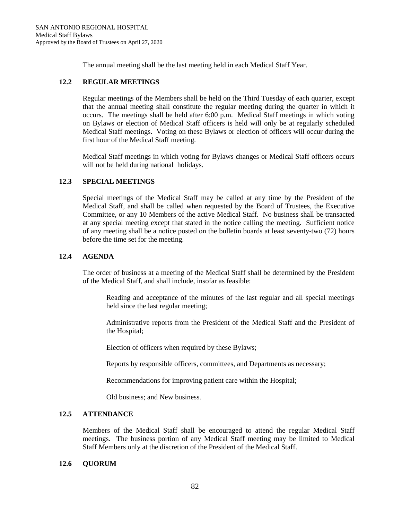The annual meeting shall be the last meeting held in each Medical Staff Year.

# **12.2 REGULAR MEETINGS**

Regular meetings of the Members shall be held on the Third Tuesday of each quarter, except that the annual meeting shall constitute the regular meeting during the quarter in which it occurs. The meetings shall be held after 6:00 p.m. Medical Staff meetings in which voting on Bylaws or election of Medical Staff officers is held will only be at regularly scheduled Medical Staff meetings. Voting on these Bylaws or election of officers will occur during the first hour of the Medical Staff meeting.

Medical Staff meetings in which voting for Bylaws changes or Medical Staff officers occurs will not be held during national holidays.

# **12.3 SPECIAL MEETINGS**

Special meetings of the Medical Staff may be called at any time by the President of the Medical Staff, and shall be called when requested by the Board of Trustees, the Executive Committee, or any 10 Members of the active Medical Staff. No business shall be transacted at any special meeting except that stated in the notice calling the meeting. Sufficient notice of any meeting shall be a notice posted on the bulletin boards at least seventy-two (72) hours before the time set for the meeting.

# **12.4 AGENDA**

The order of business at a meeting of the Medical Staff shall be determined by the President of the Medical Staff, and shall include, insofar as feasible:

Reading and acceptance of the minutes of the last regular and all special meetings held since the last regular meeting;

Administrative reports from the President of the Medical Staff and the President of the Hospital;

Election of officers when required by these Bylaws;

Reports by responsible officers, committees, and Departments as necessary;

Recommendations for improving patient care within the Hospital;

Old business; and New business.

## **12.5 ATTENDANCE**

Members of the Medical Staff shall be encouraged to attend the regular Medical Staff meetings. The business portion of any Medical Staff meeting may be limited to Medical Staff Members only at the discretion of the President of the Medical Staff.

## **12.6 QUORUM**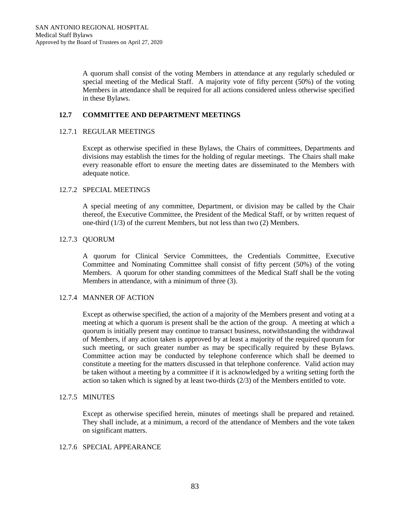A quorum shall consist of the voting Members in attendance at any regularly scheduled or special meeting of the Medical Staff. A majority vote of fifty percent (50%) of the voting Members in attendance shall be required for all actions considered unless otherwise specified in these Bylaws.

# **12.7 COMMITTEE AND DEPARTMENT MEETINGS**

## 12.7.1 REGULAR MEETINGS

Except as otherwise specified in these Bylaws, the Chairs of committees, Departments and divisions may establish the times for the holding of regular meetings. The Chairs shall make every reasonable effort to ensure the meeting dates are disseminated to the Members with adequate notice.

# 12.7.2 SPECIAL MEETINGS

A special meeting of any committee, Department, or division may be called by the Chair thereof, the Executive Committee, the President of the Medical Staff, or by written request of one-third (1/3) of the current Members, but not less than two (2) Members.

## 12.7.3 QUORUM

A quorum for Clinical Service Committees, the Credentials Committee, Executive Committee and Nominating Committee shall consist of fifty percent (50%) of the voting Members. A quorum for other standing committees of the Medical Staff shall be the voting Members in attendance, with a minimum of three (3).

# 12.7.4 MANNER OF ACTION

Except as otherwise specified, the action of a majority of the Members present and voting at a meeting at which a quorum is present shall be the action of the group. A meeting at which a quorum is initially present may continue to transact business, notwithstanding the withdrawal of Members, if any action taken is approved by at least a majority of the required quorum for such meeting, or such greater number as may be specifically required by these Bylaws. Committee action may be conducted by telephone conference which shall be deemed to constitute a meeting for the matters discussed in that telephone conference. Valid action may be taken without a meeting by a committee if it is acknowledged by a writing setting forth the action so taken which is signed by at least two-thirds (2/3) of the Members entitled to vote.

# 12.7.5 MINUTES

Except as otherwise specified herein, minutes of meetings shall be prepared and retained. They shall include, at a minimum, a record of the attendance of Members and the vote taken on significant matters.

#### 12.7.6 SPECIAL APPEARANCE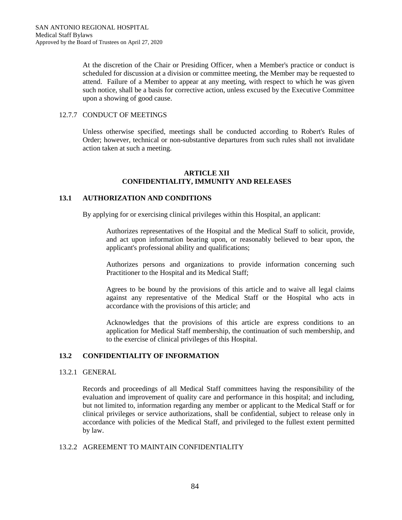At the discretion of the Chair or Presiding Officer, when a Member's practice or conduct is scheduled for discussion at a division or committee meeting, the Member may be requested to attend. Failure of a Member to appear at any meeting, with respect to which he was given such notice, shall be a basis for corrective action, unless excused by the Executive Committee upon a showing of good cause.

## 12.7.7 CONDUCT OF MEETINGS

Unless otherwise specified, meetings shall be conducted according to Robert's Rules of Order; however, technical or non-substantive departures from such rules shall not invalidate action taken at such a meeting.

### **ARTICLE XII CONFIDENTIALITY, IMMUNITY AND RELEASES**

## **13.1 AUTHORIZATION AND CONDITIONS**

By applying for or exercising clinical privileges within this Hospital, an applicant:

Authorizes representatives of the Hospital and the Medical Staff to solicit, provide, and act upon information bearing upon, or reasonably believed to bear upon, the applicant's professional ability and qualifications;

Authorizes persons and organizations to provide information concerning such Practitioner to the Hospital and its Medical Staff;

Agrees to be bound by the provisions of this article and to waive all legal claims against any representative of the Medical Staff or the Hospital who acts in accordance with the provisions of this article; and

Acknowledges that the provisions of this article are express conditions to an application for Medical Staff membership, the continuation of such membership, and to the exercise of clinical privileges of this Hospital.

# **13.2 CONFIDENTIALITY OF INFORMATION**

## 13.2.1 GENERAL

Records and proceedings of all Medical Staff committees having the responsibility of the evaluation and improvement of quality care and performance in this hospital; and including, but not limited to, information regarding any member or applicant to the Medical Staff or for clinical privileges or service authorizations, shall be confidential, subject to release only in accordance with policies of the Medical Staff, and privileged to the fullest extent permitted by law.

#### 13.2.2 AGREEMENT TO MAINTAIN CONFIDENTIALITY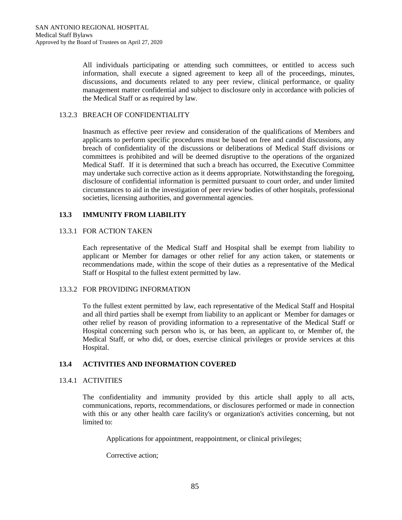All individuals participating or attending such committees, or entitled to access such information, shall execute a signed agreement to keep all of the proceedings, minutes, discussions, and documents related to any peer review, clinical performance, or quality management matter confidential and subject to disclosure only in accordance with policies of the Medical Staff or as required by law.

## 13.2.3 BREACH OF CONFIDENTIALITY

Inasmuch as effective peer review and consideration of the qualifications of Members and applicants to perform specific procedures must be based on free and candid discussions, any breach of confidentiality of the discussions or deliberations of Medical Staff divisions or committees is prohibited and will be deemed disruptive to the operations of the organized Medical Staff. If it is determined that such a breach has occurred, the Executive Committee may undertake such corrective action as it deems appropriate. Notwithstanding the foregoing, disclosure of confidential information is permitted pursuant to court order, and under limited circumstances to aid in the investigation of peer review bodies of other hospitals, professional societies, licensing authorities, and governmental agencies.

# **13.3 IMMUNITY FROM LIABILITY**

# 13.3.1 FOR ACTION TAKEN

Each representative of the Medical Staff and Hospital shall be exempt from liability to applicant or Member for damages or other relief for any action taken, or statements or recommendations made, within the scope of their duties as a representative of the Medical Staff or Hospital to the fullest extent permitted by law.

# 13.3.2 FOR PROVIDING INFORMATION

To the fullest extent permitted by law, each representative of the Medical Staff and Hospital and all third parties shall be exempt from liability to an applicant or Member for damages or other relief by reason of providing information to a representative of the Medical Staff or Hospital concerning such person who is, or has been, an applicant to, or Member of, the Medical Staff, or who did, or does, exercise clinical privileges or provide services at this Hospital.

# **13.4 ACTIVITIES AND INFORMATION COVERED**

# 13.4.1 ACTIVITIES

The confidentiality and immunity provided by this article shall apply to all acts, communications, reports, recommendations, or disclosures performed or made in connection with this or any other health care facility's or organization's activities concerning, but not limited to:

Applications for appointment, reappointment, or clinical privileges;

Corrective action;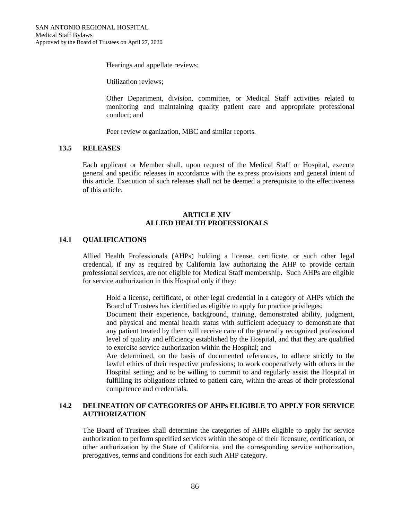Hearings and appellate reviews;

Utilization reviews;

Other Department, division, committee, or Medical Staff activities related to monitoring and maintaining quality patient care and appropriate professional conduct; and

Peer review organization, MBC and similar reports.

## **13.5 RELEASES**

Each applicant or Member shall, upon request of the Medical Staff or Hospital, execute general and specific releases in accordance with the express provisions and general intent of this article. Execution of such releases shall not be deemed a prerequisite to the effectiveness of this article.

## **ARTICLE XIV ALLIED HEALTH PROFESSIONALS**

#### **14.1 QUALIFICATIONS**

Allied Health Professionals (AHPs) holding a license, certificate, or such other legal credential, if any as required by California law authorizing the AHP to provide certain professional services, are not eligible for Medical Staff membership. Such AHPs are eligible for service authorization in this Hospital only if they:

Hold a license, certificate, or other legal credential in a category of AHPs which the Board of Trustees has identified as eligible to apply for practice privileges;

Document their experience, background, training, demonstrated ability, judgment, and physical and mental health status with sufficient adequacy to demonstrate that any patient treated by them will receive care of the generally recognized professional level of quality and efficiency established by the Hospital, and that they are qualified to exercise service authorization within the Hospital; and

Are determined, on the basis of documented references, to adhere strictly to the lawful ethics of their respective professions; to work cooperatively with others in the Hospital setting; and to be willing to commit to and regularly assist the Hospital in fulfilling its obligations related to patient care, within the areas of their professional competence and credentials.

# **14.2 DELINEATION OF CATEGORIES OF AHPs ELIGIBLE TO APPLY FOR SERVICE AUTHORIZATION**

The Board of Trustees shall determine the categories of AHPs eligible to apply for service authorization to perform specified services within the scope of their licensure, certification, or other authorization by the State of California, and the corresponding service authorization, prerogatives, terms and conditions for each such AHP category.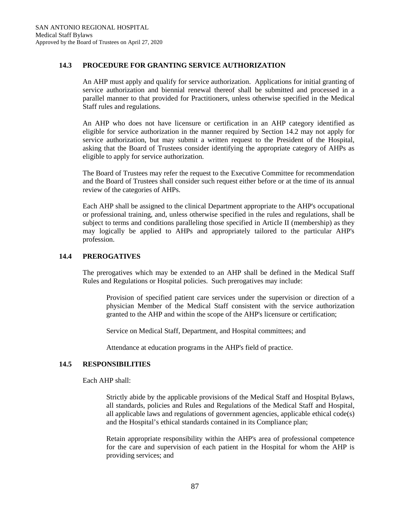# **14.3 PROCEDURE FOR GRANTING SERVICE AUTHORIZATION**

An AHP must apply and qualify for service authorization. Applications for initial granting of service authorization and biennial renewal thereof shall be submitted and processed in a parallel manner to that provided for Practitioners, unless otherwise specified in the Medical Staff rules and regulations.

An AHP who does not have licensure or certification in an AHP category identified as eligible for service authorization in the manner required by Section 14.2 may not apply for service authorization, but may submit a written request to the President of the Hospital, asking that the Board of Trustees consider identifying the appropriate category of AHPs as eligible to apply for service authorization.

The Board of Trustees may refer the request to the Executive Committee for recommendation and the Board of Trustees shall consider such request either before or at the time of its annual review of the categories of AHPs.

Each AHP shall be assigned to the clinical Department appropriate to the AHP's occupational or professional training, and, unless otherwise specified in the rules and regulations, shall be subject to terms and conditions paralleling those specified in Article II (membership) as they may logically be applied to AHPs and appropriately tailored to the particular AHP's profession.

## **14.4 PREROGATIVES**

The prerogatives which may be extended to an AHP shall be defined in the Medical Staff Rules and Regulations or Hospital policies. Such prerogatives may include:

Provision of specified patient care services under the supervision or direction of a physician Member of the Medical Staff consistent with the service authorization granted to the AHP and within the scope of the AHP's licensure or certification;

Service on Medical Staff, Department, and Hospital committees; and

Attendance at education programs in the AHP's field of practice.

#### **14.5 RESPONSIBILITIES**

Each AHP shall:

Strictly abide by the applicable provisions of the Medical Staff and Hospital Bylaws, all standards, policies and Rules and Regulations of the Medical Staff and Hospital, all applicable laws and regulations of government agencies, applicable ethical code(s) and the Hospital's ethical standards contained in its Compliance plan;

Retain appropriate responsibility within the AHP's area of professional competence for the care and supervision of each patient in the Hospital for whom the AHP is providing services; and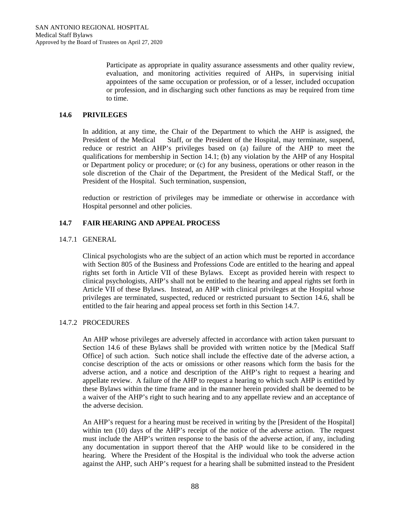Participate as appropriate in quality assurance assessments and other quality review, evaluation, and monitoring activities required of AHPs, in supervising initial appointees of the same occupation or profession, or of a lesser, included occupation or profession, and in discharging such other functions as may be required from time to time.

# **14.6 PRIVILEGES**

In addition, at any time, the Chair of the Department to which the AHP is assigned, the President of the Medical Staff, or the President of the Hospital, may terminate, suspend, reduce or restrict an AHP's privileges based on (a) failure of the AHP to meet the qualifications for membership in Section 14.1; (b) any violation by the AHP of any Hospital or Department policy or procedure; or (c) for any business, operations or other reason in the sole discretion of the Chair of the Department, the President of the Medical Staff, or the President of the Hospital. Such termination, suspension,

reduction or restriction of privileges may be immediate or otherwise in accordance with Hospital personnel and other policies.

# **14.7 FAIR HEARING AND APPEAL PROCESS**

# 14.7.1 GENERAL

Clinical psychologists who are the subject of an action which must be reported in accordance with Section 805 of the Business and Professions Code are entitled to the hearing and appeal rights set forth in Article VII of these Bylaws. Except as provided herein with respect to clinical psychologists, AHP's shall not be entitled to the hearing and appeal rights set forth in Article VII of these Bylaws. Instead, an AHP with clinical privileges at the Hospital whose privileges are terminated, suspected, reduced or restricted pursuant to Section 14.6, shall be entitled to the fair hearing and appeal process set forth in this Section 14.7.

# 14.7.2 PROCEDURES

An AHP whose privileges are adversely affected in accordance with action taken pursuant to Section 14.6 of these Bylaws shall be provided with written notice by the [Medical Staff Office] of such action. Such notice shall include the effective date of the adverse action, a concise description of the acts or omissions or other reasons which form the basis for the adverse action, and a notice and description of the AHP's right to request a hearing and appellate review. A failure of the AHP to request a hearing to which such AHP is entitled by these Bylaws within the time frame and in the manner herein provided shall be deemed to be a waiver of the AHP's right to such hearing and to any appellate review and an acceptance of the adverse decision.

An AHP's request for a hearing must be received in writing by the [President of the Hospital] within ten (10) days of the AHP's receipt of the notice of the adverse action. The request must include the AHP's written response to the basis of the adverse action, if any, including any documentation in support thereof that the AHP would like to be considered in the hearing. Where the President of the Hospital is the individual who took the adverse action against the AHP, such AHP's request for a hearing shall be submitted instead to the President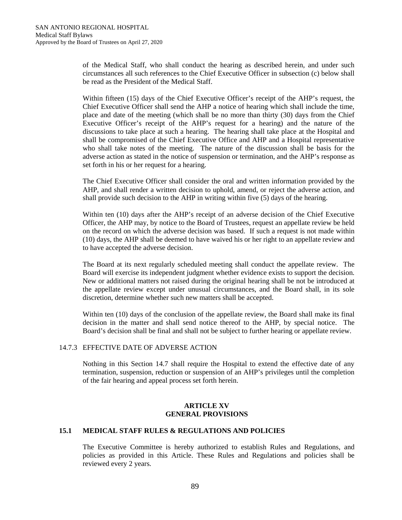of the Medical Staff, who shall conduct the hearing as described herein, and under such circumstances all such references to the Chief Executive Officer in subsection (c) below shall be read as the President of the Medical Staff.

Within fifteen (15) days of the Chief Executive Officer's receipt of the AHP's request, the Chief Executive Officer shall send the AHP a notice of hearing which shall include the time, place and date of the meeting (which shall be no more than thirty (30) days from the Chief Executive Officer's receipt of the AHP's request for a hearing) and the nature of the discussions to take place at such a hearing. The hearing shall take place at the Hospital and shall be compromised of the Chief Executive Office and AHP and a Hospital representative who shall take notes of the meeting. The nature of the discussion shall be basis for the adverse action as stated in the notice of suspension or termination, and the AHP's response as set forth in his or her request for a hearing.

The Chief Executive Officer shall consider the oral and written information provided by the AHP, and shall render a written decision to uphold, amend, or reject the adverse action, and shall provide such decision to the AHP in writing within five (5) days of the hearing.

Within ten (10) days after the AHP's receipt of an adverse decision of the Chief Executive Officer, the AHP may, by notice to the Board of Trustees, request an appellate review be held on the record on which the adverse decision was based. If such a request is not made within (10) days, the AHP shall be deemed to have waived his or her right to an appellate review and to have accepted the adverse decision.

The Board at its next regularly scheduled meeting shall conduct the appellate review. The Board will exercise its independent judgment whether evidence exists to support the decision. New or additional matters not raised during the original hearing shall be not be introduced at the appellate review except under unusual circumstances, and the Board shall, in its sole discretion, determine whether such new matters shall be accepted.

Within ten (10) days of the conclusion of the appellate review, the Board shall make its final decision in the matter and shall send notice thereof to the AHP, by special notice. The Board's decision shall be final and shall not be subject to further hearing or appellate review.

#### 14.7.3 EFFECTIVE DATE OF ADVERSE ACTION

Nothing in this Section 14.7 shall require the Hospital to extend the effective date of any termination, suspension, reduction or suspension of an AHP's privileges until the completion of the fair hearing and appeal process set forth herein.

#### **ARTICLE XV GENERAL PROVISIONS**

### **15.1 MEDICAL STAFF RULES & REGULATIONS AND POLICIES**

The Executive Committee is hereby authorized to establish Rules and Regulations, and policies as provided in this Article. These Rules and Regulations and policies shall be reviewed every 2 years.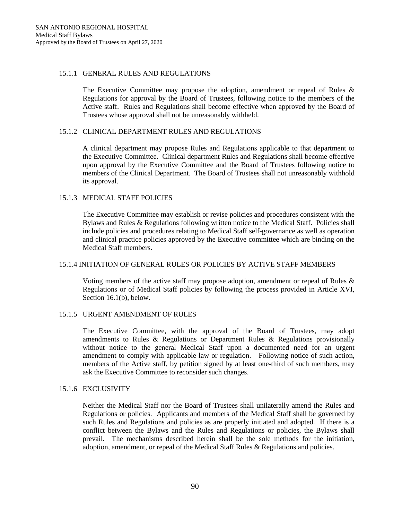#### 15.1.1 GENERAL RULES AND REGULATIONS

The Executive Committee may propose the adoption, amendment or repeal of Rules & Regulations for approval by the Board of Trustees, following notice to the members of the Active staff. Rules and Regulations shall become effective when approved by the Board of Trustees whose approval shall not be unreasonably withheld.

## 15.1.2 CLINICAL DEPARTMENT RULES AND REGULATIONS

A clinical department may propose Rules and Regulations applicable to that department to the Executive Committee. Clinical department Rules and Regulations shall become effective upon approval by the Executive Committee and the Board of Trustees following notice to members of the Clinical Department. The Board of Trustees shall not unreasonably withhold its approval.

## 15.1.3 MEDICAL STAFF POLICIES

The Executive Committee may establish or revise policies and procedures consistent with the Bylaws and Rules & Regulations following written notice to the Medical Staff. Policies shall include policies and procedures relating to Medical Staff self-governance as well as operation and clinical practice policies approved by the Executive committee which are binding on the Medical Staff members.

#### 15.1.4 INITIATION OF GENERAL RULES OR POLICIES BY ACTIVE STAFF MEMBERS

Voting members of the active staff may propose adoption, amendment or repeal of Rules & Regulations or of Medical Staff policies by following the process provided in Article XVI, Section 16.1(b), below.

# 15.1.5 URGENT AMENDMENT OF RULES

The Executive Committee, with the approval of the Board of Trustees, may adopt amendments to Rules & Regulations or Department Rules & Regulations provisionally without notice to the general Medical Staff upon a documented need for an urgent amendment to comply with applicable law or regulation. Following notice of such action, members of the Active staff, by petition signed by at least one-third of such members, may ask the Executive Committee to reconsider such changes.

#### 15.1.6 EXCLUSIVITY

Neither the Medical Staff nor the Board of Trustees shall unilaterally amend the Rules and Regulations or policies. Applicants and members of the Medical Staff shall be governed by such Rules and Regulations and policies as are properly initiated and adopted. If there is a conflict between the Bylaws and the Rules and Regulations or policies, the Bylaws shall prevail. The mechanisms described herein shall be the sole methods for the initiation, adoption, amendment, or repeal of the Medical Staff Rules & Regulations and policies.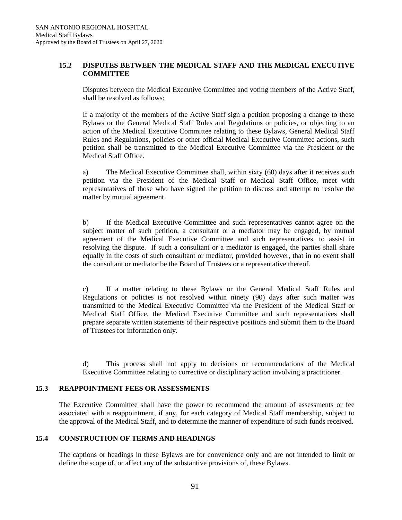# **15.2 DISPUTES BETWEEN THE MEDICAL STAFF AND THE MEDICAL EXECUTIVE COMMITTEE**

Disputes between the Medical Executive Committee and voting members of the Active Staff, shall be resolved as follows:

If a majority of the members of the Active Staff sign a petition proposing a change to these Bylaws or the General Medical Staff Rules and Regulations or policies, or objecting to an action of the Medical Executive Committee relating to these Bylaws, General Medical Staff Rules and Regulations, policies or other official Medical Executive Committee actions, such petition shall be transmitted to the Medical Executive Committee via the President or the Medical Staff Office.

a) The Medical Executive Committee shall, within sixty (60) days after it receives such petition via the President of the Medical Staff or Medical Staff Office, meet with representatives of those who have signed the petition to discuss and attempt to resolve the matter by mutual agreement.

b) If the Medical Executive Committee and such representatives cannot agree on the subject matter of such petition, a consultant or a mediator may be engaged, by mutual agreement of the Medical Executive Committee and such representatives, to assist in resolving the dispute. If such a consultant or a mediator is engaged, the parties shall share equally in the costs of such consultant or mediator, provided however, that in no event shall the consultant or mediator be the Board of Trustees or a representative thereof.

c) If a matter relating to these Bylaws or the General Medical Staff Rules and Regulations or policies is not resolved within ninety (90) days after such matter was transmitted to the Medical Executive Committee via the President of the Medical Staff or Medical Staff Office, the Medical Executive Committee and such representatives shall prepare separate written statements of their respective positions and submit them to the Board of Trustees for information only.

d) This process shall not apply to decisions or recommendations of the Medical Executive Committee relating to corrective or disciplinary action involving a practitioner.

# **15.3 REAPPOINTMENT FEES OR ASSESSMENTS**

The Executive Committee shall have the power to recommend the amount of assessments or fee associated with a reappointment, if any, for each category of Medical Staff membership, subject to the approval of the Medical Staff, and to determine the manner of expenditure of such funds received.

# **15.4 CONSTRUCTION OF TERMS AND HEADINGS**

The captions or headings in these Bylaws are for convenience only and are not intended to limit or define the scope of, or affect any of the substantive provisions of, these Bylaws.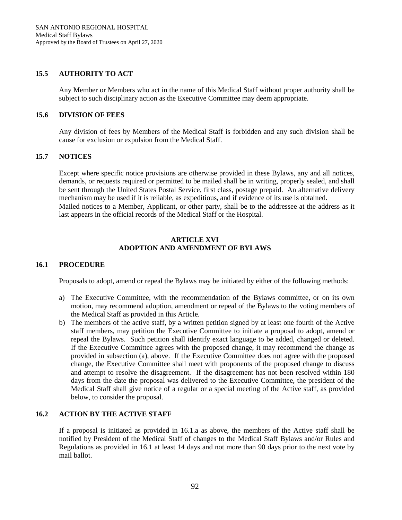## **15.5 AUTHORITY TO ACT**

Any Member or Members who act in the name of this Medical Staff without proper authority shall be subject to such disciplinary action as the Executive Committee may deem appropriate.

## **15.6 DIVISION OF FEES**

Any division of fees by Members of the Medical Staff is forbidden and any such division shall be cause for exclusion or expulsion from the Medical Staff.

# **15.7 NOTICES**

Except where specific notice provisions are otherwise provided in these Bylaws, any and all notices, demands, or requests required or permitted to be mailed shall be in writing, properly sealed, and shall be sent through the United States Postal Service, first class, postage prepaid. An alternative delivery mechanism may be used if it is reliable, as expeditious, and if evidence of its use is obtained. Mailed notices to a Member, Applicant, or other party, shall be to the addressee at the address as it last appears in the official records of the Medical Staff or the Hospital.

## **ARTICLE XVI ADOPTION AND AMENDMENT OF BYLAWS**

# **16.1 PROCEDURE**

Proposals to adopt, amend or repeal the Bylaws may be initiated by either of the following methods:

- a) The Executive Committee, with the recommendation of the Bylaws committee, or on its own motion, may recommend adoption, amendment or repeal of the Bylaws to the voting members of the Medical Staff as provided in this Article.
- b) The members of the active staff, by a written petition signed by at least one fourth of the Active staff members, may petition the Executive Committee to initiate a proposal to adopt, amend or repeal the Bylaws. Such petition shall identify exact language to be added, changed or deleted. If the Executive Committee agrees with the proposed change, it may recommend the change as provided in subsection (a), above. If the Executive Committee does not agree with the proposed change, the Executive Committee shall meet with proponents of the proposed change to discuss and attempt to resolve the disagreement. If the disagreement has not been resolved within 180 days from the date the proposal was delivered to the Executive Committee, the president of the Medical Staff shall give notice of a regular or a special meeting of the Active staff, as provided below, to consider the proposal.

## **16.2 ACTION BY THE ACTIVE STAFF**

If a proposal is initiated as provided in 16.1.a as above, the members of the Active staff shall be notified by President of the Medical Staff of changes to the Medical Staff Bylaws and/or Rules and Regulations as provided in 16.1 at least 14 days and not more than 90 days prior to the next vote by mail ballot.